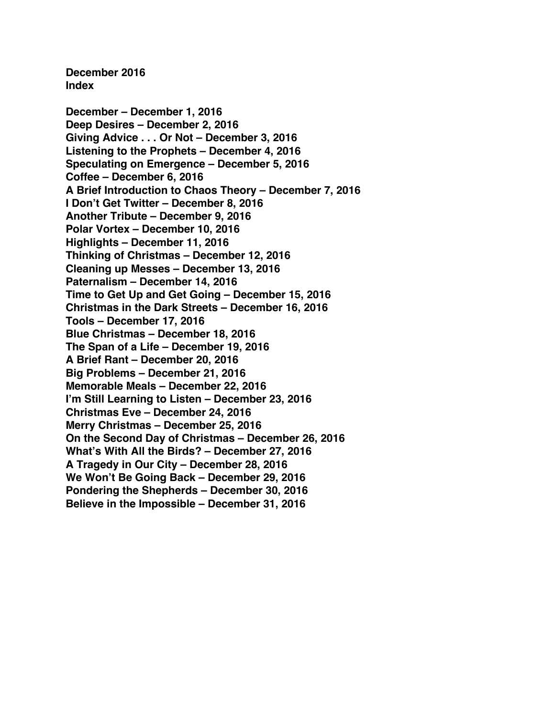**December 2016 Index**

**December – [December 1, 2016](#page-1-0) Deep Desires – [December 2, 2016](#page-3-0) [Giving Advice . . . Or Not –](#page-5-0) December 3, 2016 [Listening to the Prophets –](#page-7-0) December 4, 2016 [Speculating on Emergence –](#page-9-0) December 5, 2016 Coffee – [December 6, 2016](#page-11-0) [A Brief Introduction to Chaos Theory –](#page-13-0) December 7, 2016 [I Don't Get Twitter –](#page-15-0) December 8, 2016 Another Tribute – [December 9, 2016](#page-18-0) Polar Vortex – [December 10, 2016](#page-20-0) Highlights – [December 11, 2016](#page-22-0) [Thinking of Christmas –](#page-24-0) December 12, 2016 [Cleaning up Messes –](#page-26-0) December 13, 2016 Paternalism – [December 14, 2016](#page-28-0) [Time to Get Up and Get Going –](#page-30-0) December 15, 2016 [Christmas in the Dark Streets –](#page-32-0) December 16, 2016 Tools – [December 17, 2016](#page-34-0) Blue Christmas – [December 18, 2016](#page-36-0) The Span of a Life – [December 19, 2016](#page-39-0) A Brief Rant – [December 20, 2016](#page-41-0) Big Problems – [December 21, 2016](#page-43-0) [Memorable Meals –](#page-45-0) December 22, 2016 [I'm Still Learning to Listen –](#page-47-0) December 23, 2016 Christmas Eve – [December 24, 2016](#page-49-0) Merry Christmas – [December 25, 2016](#page-51-0) [On the Second Day of Christmas –](#page-53-0) December 26, 2016 [What's With All the Birds? –](#page-55-0) December 27, 2016 [A Tragedy in Our City –](#page-57-0) December 28, 2016 [We Won't Be Going Back –](#page-59-0) December 29, 2016 [Pondering the Shepherds –](#page-61-0) December 30, 2016 [Believe in the Impossible –](#page-63-0) December 31, 2016**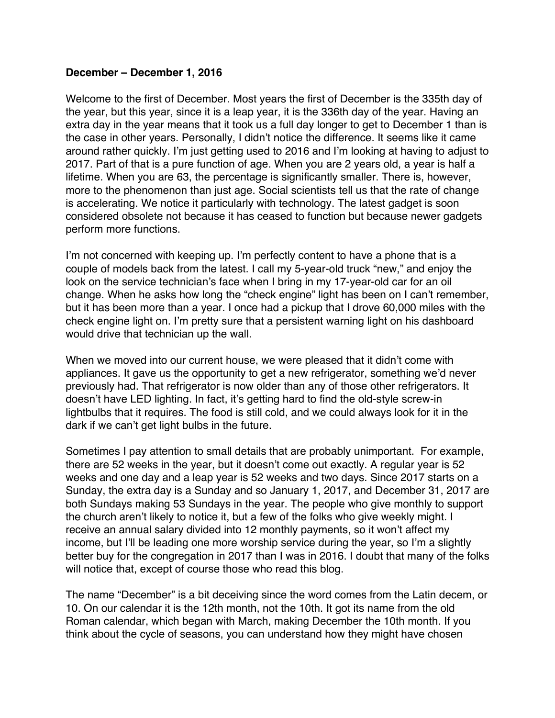## <span id="page-1-0"></span>**December – December 1, 2016**

Welcome to the first of December. Most years the first of December is the 335th day of the year, but this year, since it is a leap year, it is the 336th day of the year. Having an extra day in the year means that it took us a full day longer to get to December 1 than is the case in other years. Personally, I didn't notice the difference. It seems like it came around rather quickly. I'm just getting used to 2016 and I'm looking at having to adjust to 2017. Part of that is a pure function of age. When you are 2 years old, a year is half a lifetime. When you are 63, the percentage is significantly smaller. There is, however, more to the phenomenon than just age. Social scientists tell us that the rate of change is accelerating. We notice it particularly with technology. The latest gadget is soon considered obsolete not because it has ceased to function but because newer gadgets perform more functions.

I'm not concerned with keeping up. I'm perfectly content to have a phone that is a couple of models back from the latest. I call my 5-year-old truck "new," and enjoy the look on the service technician's face when I bring in my 17-year-old car for an oil change. When he asks how long the "check engine" light has been on I can't remember, but it has been more than a year. I once had a pickup that I drove 60,000 miles with the check engine light on. I'm pretty sure that a persistent warning light on his dashboard would drive that technician up the wall.

When we moved into our current house, we were pleased that it didn't come with appliances. It gave us the opportunity to get a new refrigerator, something we'd never previously had. That refrigerator is now older than any of those other refrigerators. It doesn't have LED lighting. In fact, it's getting hard to find the old-style screw-in lightbulbs that it requires. The food is still cold, and we could always look for it in the dark if we can't get light bulbs in the future.

Sometimes I pay attention to small details that are probably unimportant. For example, there are 52 weeks in the year, but it doesn't come out exactly. A regular year is 52 weeks and one day and a leap year is 52 weeks and two days. Since 2017 starts on a Sunday, the extra day is a Sunday and so January 1, 2017, and December 31, 2017 are both Sundays making 53 Sundays in the year. The people who give monthly to support the church aren't likely to notice it, but a few of the folks who give weekly might. I receive an annual salary divided into 12 monthly payments, so it won't affect my income, but I'll be leading one more worship service during the year, so I'm a slightly better buy for the congregation in 2017 than I was in 2016. I doubt that many of the folks will notice that, except of course those who read this blog.

The name "December" is a bit deceiving since the word comes from the Latin decem, or 10. On our calendar it is the 12th month, not the 10th. It got its name from the old Roman calendar, which began with March, making December the 10th month. If you think about the cycle of seasons, you can understand how they might have chosen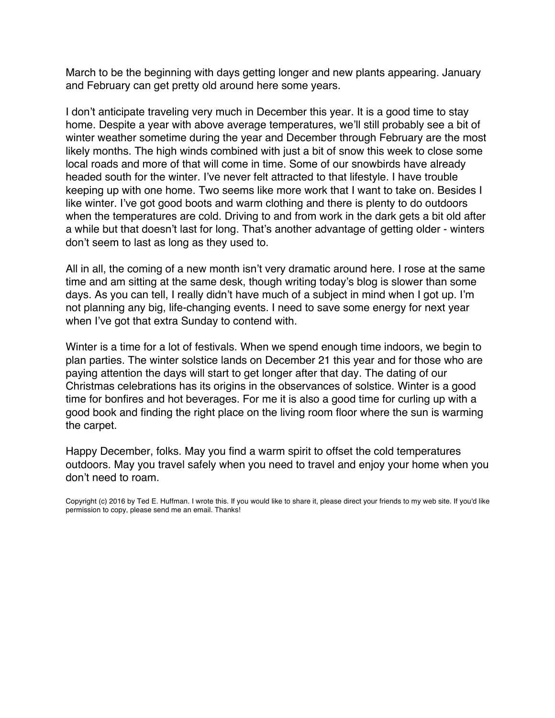March to be the beginning with days getting longer and new plants appearing. January and February can get pretty old around here some years.

I don't anticipate traveling very much in December this year. It is a good time to stay home. Despite a year with above average temperatures, we'll still probably see a bit of winter weather sometime during the year and December through February are the most likely months. The high winds combined with just a bit of snow this week to close some local roads and more of that will come in time. Some of our snowbirds have already headed south for the winter. I've never felt attracted to that lifestyle. I have trouble keeping up with one home. Two seems like more work that I want to take on. Besides I like winter. I've got good boots and warm clothing and there is plenty to do outdoors when the temperatures are cold. Driving to and from work in the dark gets a bit old after a while but that doesn't last for long. That's another advantage of getting older - winters don't seem to last as long as they used to.

All in all, the coming of a new month isn't very dramatic around here. I rose at the same time and am sitting at the same desk, though writing today's blog is slower than some days. As you can tell, I really didn't have much of a subject in mind when I got up. I'm not planning any big, life-changing events. I need to save some energy for next year when I've got that extra Sunday to contend with.

Winter is a time for a lot of festivals. When we spend enough time indoors, we begin to plan parties. The winter solstice lands on December 21 this year and for those who are paying attention the days will start to get longer after that day. The dating of our Christmas celebrations has its origins in the observances of solstice. Winter is a good time for bonfires and hot beverages. For me it is also a good time for curling up with a good book and finding the right place on the living room floor where the sun is warming the carpet.

Happy December, folks. May you find a warm spirit to offset the cold temperatures outdoors. May you travel safely when you need to travel and enjoy your home when you don't need to roam.

Copyright (c) 2016 by Ted E. Huffman. I wrote this. If you would like to share it, please direct your friends to my web site. If you'd like permission to copy, please send me an email. Thanks!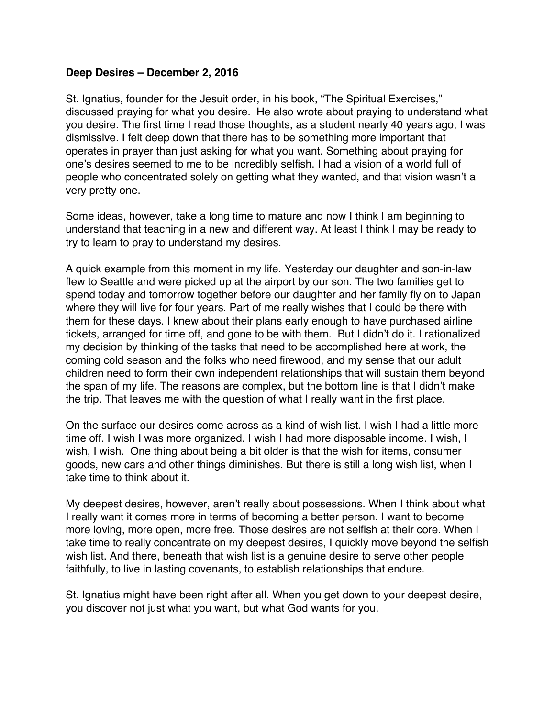## <span id="page-3-0"></span>**Deep Desires – December 2, 2016**

St. Ignatius, founder for the Jesuit order, in his book, "The Spiritual Exercises," discussed praying for what you desire. He also wrote about praying to understand what you desire. The first time I read those thoughts, as a student nearly 40 years ago, I was dismissive. I felt deep down that there has to be something more important that operates in prayer than just asking for what you want. Something about praying for one's desires seemed to me to be incredibly selfish. I had a vision of a world full of people who concentrated solely on getting what they wanted, and that vision wasn't a very pretty one.

Some ideas, however, take a long time to mature and now I think I am beginning to understand that teaching in a new and different way. At least I think I may be ready to try to learn to pray to understand my desires.

A quick example from this moment in my life. Yesterday our daughter and son-in-law flew to Seattle and were picked up at the airport by our son. The two families get to spend today and tomorrow together before our daughter and her family fly on to Japan where they will live for four years. Part of me really wishes that I could be there with them for these days. I knew about their plans early enough to have purchased airline tickets, arranged for time off, and gone to be with them. But I didn't do it. I rationalized my decision by thinking of the tasks that need to be accomplished here at work, the coming cold season and the folks who need firewood, and my sense that our adult children need to form their own independent relationships that will sustain them beyond the span of my life. The reasons are complex, but the bottom line is that I didn't make the trip. That leaves me with the question of what I really want in the first place.

On the surface our desires come across as a kind of wish list. I wish I had a little more time off. I wish I was more organized. I wish I had more disposable income. I wish, I wish, I wish. One thing about being a bit older is that the wish for items, consumer goods, new cars and other things diminishes. But there is still a long wish list, when I take time to think about it.

My deepest desires, however, aren't really about possessions. When I think about what I really want it comes more in terms of becoming a better person. I want to become more loving, more open, more free. Those desires are not selfish at their core. When I take time to really concentrate on my deepest desires, I quickly move beyond the selfish wish list. And there, beneath that wish list is a genuine desire to serve other people faithfully, to live in lasting covenants, to establish relationships that endure.

St. Ignatius might have been right after all. When you get down to your deepest desire, you discover not just what you want, but what God wants for you.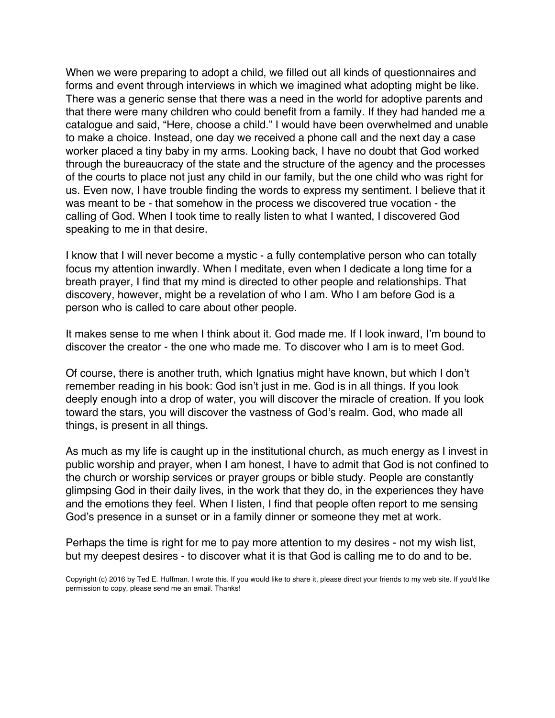When we were preparing to adopt a child, we filled out all kinds of questionnaires and forms and event through interviews in which we imagined what adopting might be like. There was a generic sense that there was a need in the world for adoptive parents and that there were many children who could benefit from a family. If they had handed me a catalogue and said, "Here, choose a child." I would have been overwhelmed and unable to make a choice. Instead, one day we received a phone call and the next day a case worker placed a tiny baby in my arms. Looking back, I have no doubt that God worked through the bureaucracy of the state and the structure of the agency and the processes of the courts to place not just any child in our family, but the one child who was right for us. Even now, I have trouble finding the words to express my sentiment. I believe that it was meant to be - that somehow in the process we discovered true vocation - the calling of God. When I took time to really listen to what I wanted, I discovered God speaking to me in that desire.

I know that I will never become a mystic - a fully contemplative person who can totally focus my attention inwardly. When I meditate, even when I dedicate a long time for a breath prayer, I find that my mind is directed to other people and relationships. That discovery, however, might be a revelation of who I am. Who I am before God is a person who is called to care about other people.

It makes sense to me when I think about it. God made me. If I look inward, I'm bound to discover the creator - the one who made me. To discover who I am is to meet God.

Of course, there is another truth, which Ignatius might have known, but which I don't remember reading in his book: God isn't just in me. God is in all things. If you look deeply enough into a drop of water, you will discover the miracle of creation. If you look toward the stars, you will discover the vastness of God's realm. God, who made all things, is present in all things.

As much as my life is caught up in the institutional church, as much energy as I invest in public worship and prayer, when I am honest, I have to admit that God is not confined to the church or worship services or prayer groups or bible study. People are constantly glimpsing God in their daily lives, in the work that they do, in the experiences they have and the emotions they feel. When I listen, I find that people often report to me sensing God's presence in a sunset or in a family dinner or someone they met at work.

Perhaps the time is right for me to pay more attention to my desires - not my wish list, but my deepest desires - to discover what it is that God is calling me to do and to be.

Copyright (c) 2016 by Ted E. Huffman. I wrote this. If you would like to share it, please direct your friends to my web site. If you'd like permission to copy, please send me an email. Thanks!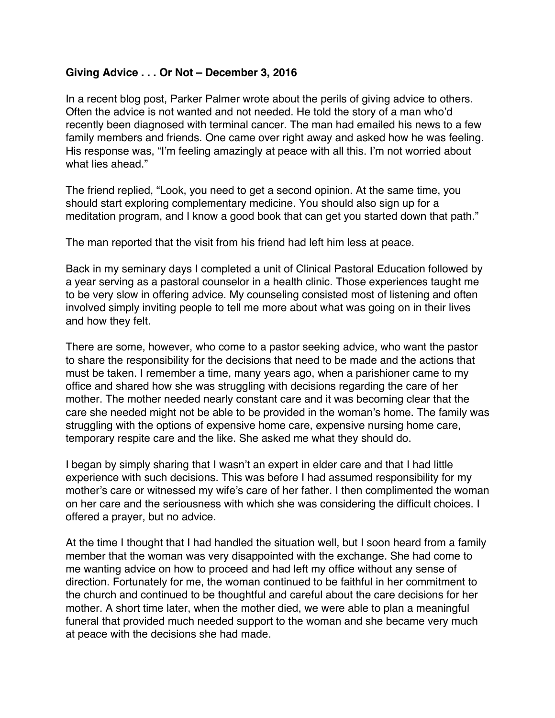# <span id="page-5-0"></span>**Giving Advice . . . Or Not – December 3, 2016**

In a recent blog post, Parker Palmer wrote about the perils of giving advice to others. Often the advice is not wanted and not needed. He told the story of a man who'd recently been diagnosed with terminal cancer. The man had emailed his news to a few family members and friends. One came over right away and asked how he was feeling. His response was, "I'm feeling amazingly at peace with all this. I'm not worried about what lies ahead."

The friend replied, "Look, you need to get a second opinion. At the same time, you should start exploring complementary medicine. You should also sign up for a meditation program, and I know a good book that can get you started down that path."

The man reported that the visit from his friend had left him less at peace.

Back in my seminary days I completed a unit of Clinical Pastoral Education followed by a year serving as a pastoral counselor in a health clinic. Those experiences taught me to be very slow in offering advice. My counseling consisted most of listening and often involved simply inviting people to tell me more about what was going on in their lives and how they felt.

There are some, however, who come to a pastor seeking advice, who want the pastor to share the responsibility for the decisions that need to be made and the actions that must be taken. I remember a time, many years ago, when a parishioner came to my office and shared how she was struggling with decisions regarding the care of her mother. The mother needed nearly constant care and it was becoming clear that the care she needed might not be able to be provided in the woman's home. The family was struggling with the options of expensive home care, expensive nursing home care, temporary respite care and the like. She asked me what they should do.

I began by simply sharing that I wasn't an expert in elder care and that I had little experience with such decisions. This was before I had assumed responsibility for my mother's care or witnessed my wife's care of her father. I then complimented the woman on her care and the seriousness with which she was considering the difficult choices. I offered a prayer, but no advice.

At the time I thought that I had handled the situation well, but I soon heard from a family member that the woman was very disappointed with the exchange. She had come to me wanting advice on how to proceed and had left my office without any sense of direction. Fortunately for me, the woman continued to be faithful in her commitment to the church and continued to be thoughtful and careful about the care decisions for her mother. A short time later, when the mother died, we were able to plan a meaningful funeral that provided much needed support to the woman and she became very much at peace with the decisions she had made.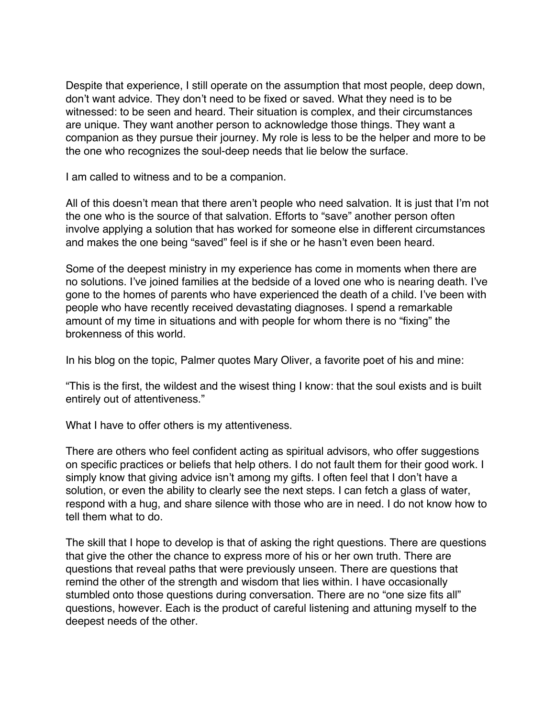Despite that experience, I still operate on the assumption that most people, deep down, don't want advice. They don't need to be fixed or saved. What they need is to be witnessed: to be seen and heard. Their situation is complex, and their circumstances are unique. They want another person to acknowledge those things. They want a companion as they pursue their journey. My role is less to be the helper and more to be the one who recognizes the soul-deep needs that lie below the surface.

I am called to witness and to be a companion.

All of this doesn't mean that there aren't people who need salvation. It is just that I'm not the one who is the source of that salvation. Efforts to "save" another person often involve applying a solution that has worked for someone else in different circumstances and makes the one being "saved" feel is if she or he hasn't even been heard.

Some of the deepest ministry in my experience has come in moments when there are no solutions. I've joined families at the bedside of a loved one who is nearing death. I've gone to the homes of parents who have experienced the death of a child. I've been with people who have recently received devastating diagnoses. I spend a remarkable amount of my time in situations and with people for whom there is no "fixing" the brokenness of this world.

In his blog on the topic, Palmer quotes Mary Oliver, a favorite poet of his and mine:

"This is the first, the wildest and the wisest thing I know: that the soul exists and is built entirely out of attentiveness."

What I have to offer others is my attentiveness.

There are others who feel confident acting as spiritual advisors, who offer suggestions on specific practices or beliefs that help others. I do not fault them for their good work. I simply know that giving advice isn't among my gifts. I often feel that I don't have a solution, or even the ability to clearly see the next steps. I can fetch a glass of water, respond with a hug, and share silence with those who are in need. I do not know how to tell them what to do.

The skill that I hope to develop is that of asking the right questions. There are questions that give the other the chance to express more of his or her own truth. There are questions that reveal paths that were previously unseen. There are questions that remind the other of the strength and wisdom that lies within. I have occasionally stumbled onto those questions during conversation. There are no "one size fits all" questions, however. Each is the product of careful listening and attuning myself to the deepest needs of the other.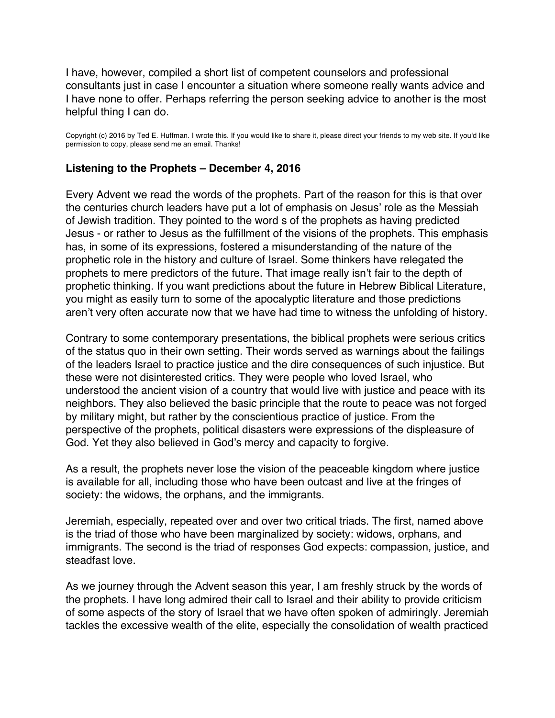<span id="page-7-0"></span>I have, however, compiled a short list of competent counselors and professional consultants just in case I encounter a situation where someone really wants advice and I have none to offer. Perhaps referring the person seeking advice to another is the most helpful thing I can do.

Copyright (c) 2016 by Ted E. Huffman. I wrote this. If you would like to share it, please direct your friends to my web site. If you'd like permission to copy, please send me an email. Thanks!

#### **Listening to the Prophets – December 4, 2016**

Every Advent we read the words of the prophets. Part of the reason for this is that over the centuries church leaders have put a lot of emphasis on Jesus' role as the Messiah of Jewish tradition. They pointed to the word s of the prophets as having predicted Jesus - or rather to Jesus as the fulfillment of the visions of the prophets. This emphasis has, in some of its expressions, fostered a misunderstanding of the nature of the prophetic role in the history and culture of Israel. Some thinkers have relegated the prophets to mere predictors of the future. That image really isn't fair to the depth of prophetic thinking. If you want predictions about the future in Hebrew Biblical Literature, you might as easily turn to some of the apocalyptic literature and those predictions aren't very often accurate now that we have had time to witness the unfolding of history.

Contrary to some contemporary presentations, the biblical prophets were serious critics of the status quo in their own setting. Their words served as warnings about the failings of the leaders Israel to practice justice and the dire consequences of such injustice. But these were not disinterested critics. They were people who loved Israel, who understood the ancient vision of a country that would live with justice and peace with its neighbors. They also believed the basic principle that the route to peace was not forged by military might, but rather by the conscientious practice of justice. From the perspective of the prophets, political disasters were expressions of the displeasure of God. Yet they also believed in God's mercy and capacity to forgive.

As a result, the prophets never lose the vision of the peaceable kingdom where justice is available for all, including those who have been outcast and live at the fringes of society: the widows, the orphans, and the immigrants.

Jeremiah, especially, repeated over and over two critical triads. The first, named above is the triad of those who have been marginalized by society: widows, orphans, and immigrants. The second is the triad of responses God expects: compassion, justice, and steadfast love.

As we journey through the Advent season this year, I am freshly struck by the words of the prophets. I have long admired their call to Israel and their ability to provide criticism of some aspects of the story of Israel that we have often spoken of admiringly. Jeremiah tackles the excessive wealth of the elite, especially the consolidation of wealth practiced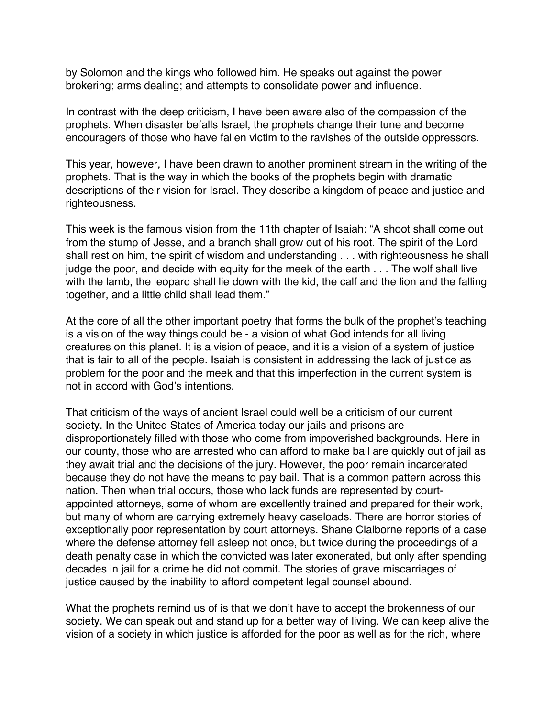by Solomon and the kings who followed him. He speaks out against the power brokering; arms dealing; and attempts to consolidate power and influence.

In contrast with the deep criticism, I have been aware also of the compassion of the prophets. When disaster befalls Israel, the prophets change their tune and become encouragers of those who have fallen victim to the ravishes of the outside oppressors.

This year, however, I have been drawn to another prominent stream in the writing of the prophets. That is the way in which the books of the prophets begin with dramatic descriptions of their vision for Israel. They describe a kingdom of peace and justice and righteousness.

This week is the famous vision from the 11th chapter of Isaiah: "A shoot shall come out from the stump of Jesse, and a branch shall grow out of his root. The spirit of the Lord shall rest on him, the spirit of wisdom and understanding . . . with righteousness he shall judge the poor, and decide with equity for the meek of the earth . . . The wolf shall live with the lamb, the leopard shall lie down with the kid, the calf and the lion and the falling together, and a little child shall lead them."

At the core of all the other important poetry that forms the bulk of the prophet's teaching is a vision of the way things could be - a vision of what God intends for all living creatures on this planet. It is a vision of peace, and it is a vision of a system of justice that is fair to all of the people. Isaiah is consistent in addressing the lack of justice as problem for the poor and the meek and that this imperfection in the current system is not in accord with God's intentions.

That criticism of the ways of ancient Israel could well be a criticism of our current society. In the United States of America today our jails and prisons are disproportionately filled with those who come from impoverished backgrounds. Here in our county, those who are arrested who can afford to make bail are quickly out of jail as they await trial and the decisions of the jury. However, the poor remain incarcerated because they do not have the means to pay bail. That is a common pattern across this nation. Then when trial occurs, those who lack funds are represented by courtappointed attorneys, some of whom are excellently trained and prepared for their work, but many of whom are carrying extremely heavy caseloads. There are horror stories of exceptionally poor representation by court attorneys. Shane Claiborne reports of a case where the defense attorney fell asleep not once, but twice during the proceedings of a death penalty case in which the convicted was later exonerated, but only after spending decades in jail for a crime he did not commit. The stories of grave miscarriages of justice caused by the inability to afford competent legal counsel abound.

What the prophets remind us of is that we don't have to accept the brokenness of our society. We can speak out and stand up for a better way of living. We can keep alive the vision of a society in which justice is afforded for the poor as well as for the rich, where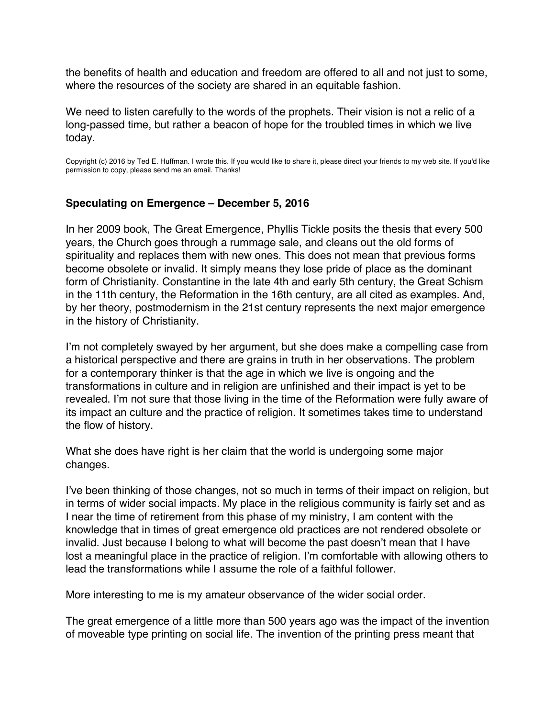<span id="page-9-0"></span>the benefits of health and education and freedom are offered to all and not just to some, where the resources of the society are shared in an equitable fashion.

We need to listen carefully to the words of the prophets. Their vision is not a relic of a long-passed time, but rather a beacon of hope for the troubled times in which we live today.

Copyright (c) 2016 by Ted E. Huffman. I wrote this. If you would like to share it, please direct your friends to my web site. If you'd like permission to copy, please send me an email. Thanks!

#### **Speculating on Emergence – December 5, 2016**

In her 2009 book, The Great Emergence, Phyllis Tickle posits the thesis that every 500 years, the Church goes through a rummage sale, and cleans out the old forms of spirituality and replaces them with new ones. This does not mean that previous forms become obsolete or invalid. It simply means they lose pride of place as the dominant form of Christianity. Constantine in the late 4th and early 5th century, the Great Schism in the 11th century, the Reformation in the 16th century, are all cited as examples. And, by her theory, postmodernism in the 21st century represents the next major emergence in the history of Christianity.

I'm not completely swayed by her argument, but she does make a compelling case from a historical perspective and there are grains in truth in her observations. The problem for a contemporary thinker is that the age in which we live is ongoing and the transformations in culture and in religion are unfinished and their impact is yet to be revealed. I'm not sure that those living in the time of the Reformation were fully aware of its impact an culture and the practice of religion. It sometimes takes time to understand the flow of history.

What she does have right is her claim that the world is undergoing some major changes.

I've been thinking of those changes, not so much in terms of their impact on religion, but in terms of wider social impacts. My place in the religious community is fairly set and as I near the time of retirement from this phase of my ministry, I am content with the knowledge that in times of great emergence old practices are not rendered obsolete or invalid. Just because I belong to what will become the past doesn't mean that I have lost a meaningful place in the practice of religion. I'm comfortable with allowing others to lead the transformations while I assume the role of a faithful follower.

More interesting to me is my amateur observance of the wider social order.

The great emergence of a little more than 500 years ago was the impact of the invention of moveable type printing on social life. The invention of the printing press meant that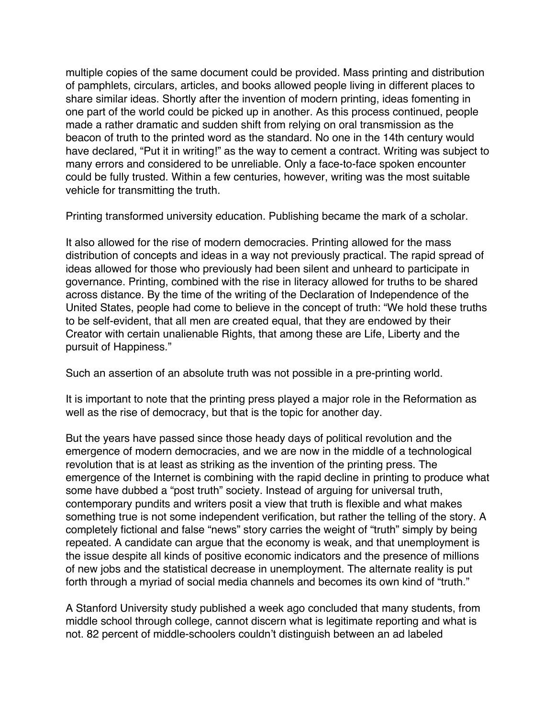multiple copies of the same document could be provided. Mass printing and distribution of pamphlets, circulars, articles, and books allowed people living in different places to share similar ideas. Shortly after the invention of modern printing, ideas fomenting in one part of the world could be picked up in another. As this process continued, people made a rather dramatic and sudden shift from relying on oral transmission as the beacon of truth to the printed word as the standard. No one in the 14th century would have declared, "Put it in writing!" as the way to cement a contract. Writing was subject to many errors and considered to be unreliable. Only a face-to-face spoken encounter could be fully trusted. Within a few centuries, however, writing was the most suitable vehicle for transmitting the truth.

Printing transformed university education. Publishing became the mark of a scholar.

It also allowed for the rise of modern democracies. Printing allowed for the mass distribution of concepts and ideas in a way not previously practical. The rapid spread of ideas allowed for those who previously had been silent and unheard to participate in governance. Printing, combined with the rise in literacy allowed for truths to be shared across distance. By the time of the writing of the Declaration of Independence of the United States, people had come to believe in the concept of truth: "We hold these truths to be self-evident, that all men are created equal, that they are endowed by their Creator with certain unalienable Rights, that among these are Life, Liberty and the pursuit of Happiness."

Such an assertion of an absolute truth was not possible in a pre-printing world.

It is important to note that the printing press played a major role in the Reformation as well as the rise of democracy, but that is the topic for another day.

But the years have passed since those heady days of political revolution and the emergence of modern democracies, and we are now in the middle of a technological revolution that is at least as striking as the invention of the printing press. The emergence of the Internet is combining with the rapid decline in printing to produce what some have dubbed a "post truth" society. Instead of arguing for universal truth, contemporary pundits and writers posit a view that truth is flexible and what makes something true is not some independent verification, but rather the telling of the story. A completely fictional and false "news" story carries the weight of "truth" simply by being repeated. A candidate can argue that the economy is weak, and that unemployment is the issue despite all kinds of positive economic indicators and the presence of millions of new jobs and the statistical decrease in unemployment. The alternate reality is put forth through a myriad of social media channels and becomes its own kind of "truth."

A Stanford University study published a week ago concluded that many students, from middle school through college, cannot discern what is legitimate reporting and what is not. 82 percent of middle-schoolers couldn't distinguish between an ad labeled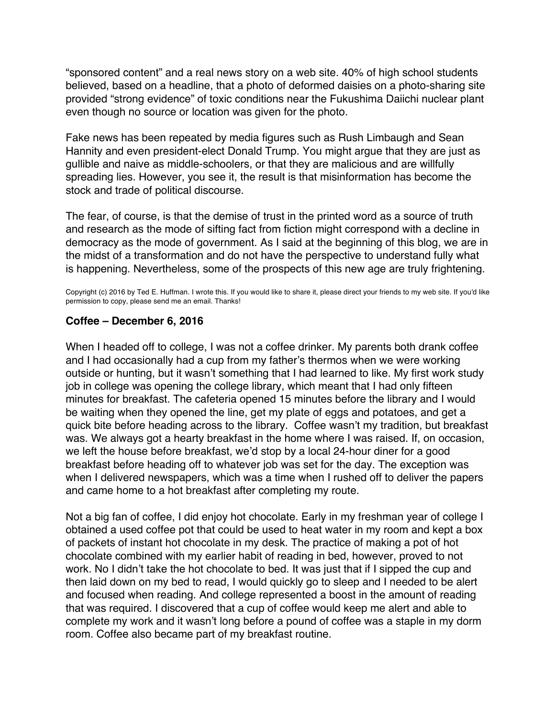<span id="page-11-0"></span>"sponsored content" and a real news story on a web site. 40% of high school students believed, based on a headline, that a photo of deformed daisies on a photo-sharing site provided "strong evidence" of toxic conditions near the Fukushima Daiichi nuclear plant even though no source or location was given for the photo.

Fake news has been repeated by media figures such as Rush Limbaugh and Sean Hannity and even president-elect Donald Trump. You might argue that they are just as gullible and naive as middle-schoolers, or that they are malicious and are willfully spreading lies. However, you see it, the result is that misinformation has become the stock and trade of political discourse.

The fear, of course, is that the demise of trust in the printed word as a source of truth and research as the mode of sifting fact from fiction might correspond with a decline in democracy as the mode of government. As I said at the beginning of this blog, we are in the midst of a transformation and do not have the perspective to understand fully what is happening. Nevertheless, some of the prospects of this new age are truly frightening.

Copyright (c) 2016 by Ted E. Huffman. I wrote this. If you would like to share it, please direct your friends to my web site. If you'd like permission to copy, please send me an email. Thanks!

#### **Coffee – December 6, 2016**

When I headed off to college, I was not a coffee drinker. My parents both drank coffee and I had occasionally had a cup from my father's thermos when we were working outside or hunting, but it wasn't something that I had learned to like. My first work study job in college was opening the college library, which meant that I had only fifteen minutes for breakfast. The cafeteria opened 15 minutes before the library and I would be waiting when they opened the line, get my plate of eggs and potatoes, and get a quick bite before heading across to the library. Coffee wasn't my tradition, but breakfast was. We always got a hearty breakfast in the home where I was raised. If, on occasion, we left the house before breakfast, we'd stop by a local 24-hour diner for a good breakfast before heading off to whatever job was set for the day. The exception was when I delivered newspapers, which was a time when I rushed off to deliver the papers and came home to a hot breakfast after completing my route.

Not a big fan of coffee, I did enjoy hot chocolate. Early in my freshman year of college I obtained a used coffee pot that could be used to heat water in my room and kept a box of packets of instant hot chocolate in my desk. The practice of making a pot of hot chocolate combined with my earlier habit of reading in bed, however, proved to not work. No I didn't take the hot chocolate to bed. It was just that if I sipped the cup and then laid down on my bed to read, I would quickly go to sleep and I needed to be alert and focused when reading. And college represented a boost in the amount of reading that was required. I discovered that a cup of coffee would keep me alert and able to complete my work and it wasn't long before a pound of coffee was a staple in my dorm room. Coffee also became part of my breakfast routine.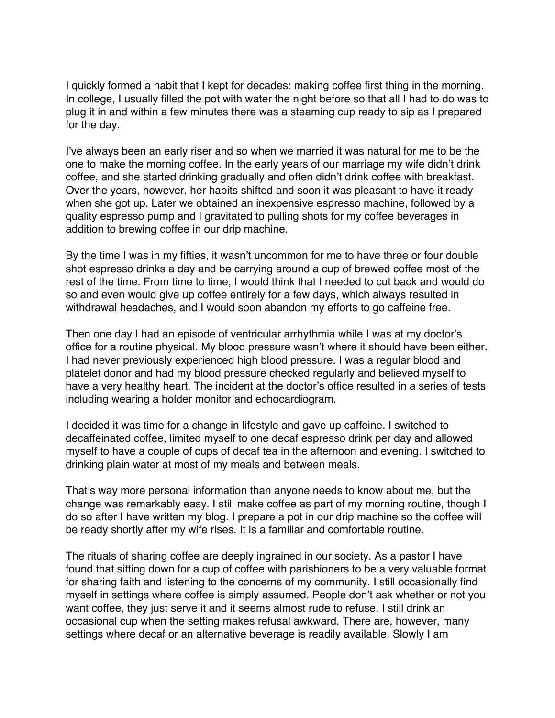I quickly formed a habit that I kept for decades: making coffee first thing in the morning. In college, I usually filled the pot with water the night before so that all I had to do was to plug it in and within a few minutes there was a steaming cup ready to sip as I prepared for the day.

I've always been an early riser and so when we married it was natural for me to be the one to make the morning coffee. In the early years of our marriage my wife didn't drink coffee, and she started drinking gradually and often didn't drink coffee with breakfast. Over the years, however, her habits shifted and soon it was pleasant to have it ready when she got up. Later we obtained an inexpensive espresso machine, followed by a quality espresso pump and I gravitated to pulling shots for my coffee beverages in addition to brewing coffee in our drip machine.

By the time I was in my fifties, it wasn't uncommon for me to have three or four double shot espresso drinks a day and be carrying around a cup of brewed coffee most of the rest of the time. From time to time, I would think that I needed to cut back and would do so and even would give up coffee entirely for a few days, which always resulted in withdrawal headaches, and I would soon abandon my efforts to go caffeine free.

Then one day I had an episode of ventricular arrhythmia while I was at my doctor's office for a routine physical. My blood pressure wasn't where it should have been either. I had never previously experienced high blood pressure. I was a regular blood and platelet donor and had my blood pressure checked regularly and believed myself to have a very healthy heart. The incident at the doctor's office resulted in a series of tests including wearing a holder monitor and echocardiogram.

I decided it was time for a change in lifestyle and gave up caffeine. I switched to decaffeinated coffee, limited myself to one decaf espresso drink per day and allowed myself to have a couple of cups of decaf tea in the afternoon and evening. I switched to drinking plain water at most of my meals and between meals.

That's way more personal information than anyone needs to know about me, but the change was remarkably easy. I still make coffee as part of my morning routine, though I do so after I have written my blog. I prepare a pot in our drip machine so the coffee will be ready shortly after my wife rises. It is a familiar and comfortable routine.

The rituals of sharing coffee are deeply ingrained in our society. As a pastor I have found that sitting down for a cup of coffee with parishioners to be a very valuable format for sharing faith and listening to the concerns of my community. I still occasionally find myself in settings where coffee is simply assumed. People don't ask whether or not you want coffee, they just serve it and it seems almost rude to refuse. I still drink an occasional cup when the setting makes refusal awkward. There are, however, many settings where decaf or an alternative beverage is readily available. Slowly I am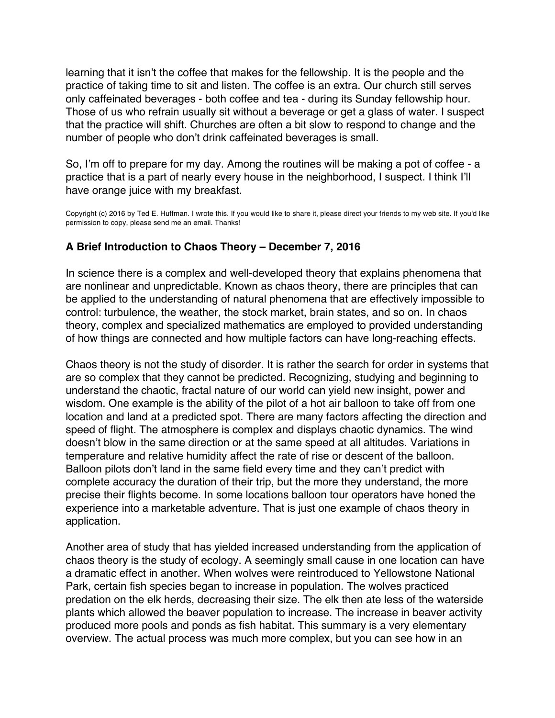<span id="page-13-0"></span>learning that it isn't the coffee that makes for the fellowship. It is the people and the practice of taking time to sit and listen. The coffee is an extra. Our church still serves only caffeinated beverages - both coffee and tea - during its Sunday fellowship hour. Those of us who refrain usually sit without a beverage or get a glass of water. I suspect that the practice will shift. Churches are often a bit slow to respond to change and the number of people who don't drink caffeinated beverages is small.

So, I'm off to prepare for my day. Among the routines will be making a pot of coffee - a practice that is a part of nearly every house in the neighborhood, I suspect. I think I'll have orange juice with my breakfast.

Copyright (c) 2016 by Ted E. Huffman. I wrote this. If you would like to share it, please direct your friends to my web site. If you'd like permission to copy, please send me an email. Thanks!

# **A Brief Introduction to Chaos Theory – December 7, 2016**

In science there is a complex and well-developed theory that explains phenomena that are nonlinear and unpredictable. Known as chaos theory, there are principles that can be applied to the understanding of natural phenomena that are effectively impossible to control: turbulence, the weather, the stock market, brain states, and so on. In chaos theory, complex and specialized mathematics are employed to provided understanding of how things are connected and how multiple factors can have long-reaching effects.

Chaos theory is not the study of disorder. It is rather the search for order in systems that are so complex that they cannot be predicted. Recognizing, studying and beginning to understand the chaotic, fractal nature of our world can yield new insight, power and wisdom. One example is the ability of the pilot of a hot air balloon to take off from one location and land at a predicted spot. There are many factors affecting the direction and speed of flight. The atmosphere is complex and displays chaotic dynamics. The wind doesn't blow in the same direction or at the same speed at all altitudes. Variations in temperature and relative humidity affect the rate of rise or descent of the balloon. Balloon pilots don't land in the same field every time and they can't predict with complete accuracy the duration of their trip, but the more they understand, the more precise their flights become. In some locations balloon tour operators have honed the experience into a marketable adventure. That is just one example of chaos theory in application.

Another area of study that has yielded increased understanding from the application of chaos theory is the study of ecology. A seemingly small cause in one location can have a dramatic effect in another. When wolves were reintroduced to Yellowstone National Park, certain fish species began to increase in population. The wolves practiced predation on the elk herds, decreasing their size. The elk then ate less of the waterside plants which allowed the beaver population to increase. The increase in beaver activity produced more pools and ponds as fish habitat. This summary is a very elementary overview. The actual process was much more complex, but you can see how in an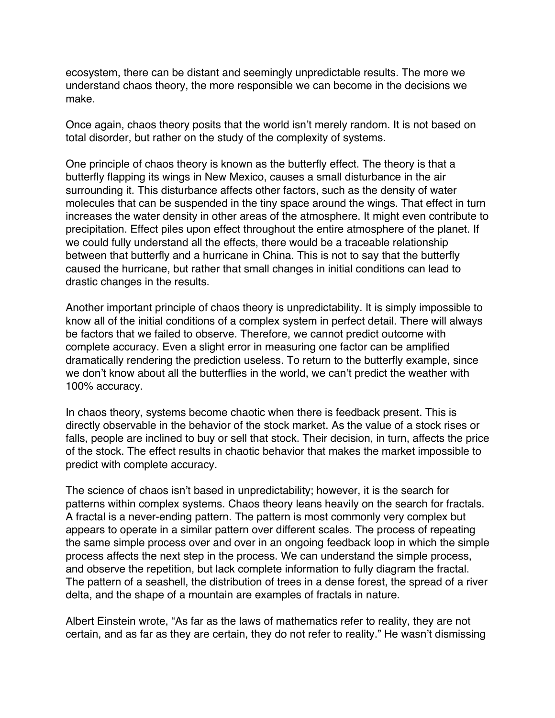ecosystem, there can be distant and seemingly unpredictable results. The more we understand chaos theory, the more responsible we can become in the decisions we make.

Once again, chaos theory posits that the world isn't merely random. It is not based on total disorder, but rather on the study of the complexity of systems.

One principle of chaos theory is known as the butterfly effect. The theory is that a butterfly flapping its wings in New Mexico, causes a small disturbance in the air surrounding it. This disturbance affects other factors, such as the density of water molecules that can be suspended in the tiny space around the wings. That effect in turn increases the water density in other areas of the atmosphere. It might even contribute to precipitation. Effect piles upon effect throughout the entire atmosphere of the planet. If we could fully understand all the effects, there would be a traceable relationship between that butterfly and a hurricane in China. This is not to say that the butterfly caused the hurricane, but rather that small changes in initial conditions can lead to drastic changes in the results.

Another important principle of chaos theory is unpredictability. It is simply impossible to know all of the initial conditions of a complex system in perfect detail. There will always be factors that we failed to observe. Therefore, we cannot predict outcome with complete accuracy. Even a slight error in measuring one factor can be amplified dramatically rendering the prediction useless. To return to the butterfly example, since we don't know about all the butterflies in the world, we can't predict the weather with 100% accuracy.

In chaos theory, systems become chaotic when there is feedback present. This is directly observable in the behavior of the stock market. As the value of a stock rises or falls, people are inclined to buy or sell that stock. Their decision, in turn, affects the price of the stock. The effect results in chaotic behavior that makes the market impossible to predict with complete accuracy.

The science of chaos isn't based in unpredictability; however, it is the search for patterns within complex systems. Chaos theory leans heavily on the search for fractals. A fractal is a never-ending pattern. The pattern is most commonly very complex but appears to operate in a similar pattern over different scales. The process of repeating the same simple process over and over in an ongoing feedback loop in which the simple process affects the next step in the process. We can understand the simple process, and observe the repetition, but lack complete information to fully diagram the fractal. The pattern of a seashell, the distribution of trees in a dense forest, the spread of a river delta, and the shape of a mountain are examples of fractals in nature.

Albert Einstein wrote, "As far as the laws of mathematics refer to reality, they are not certain, and as far as they are certain, they do not refer to reality." He wasn't dismissing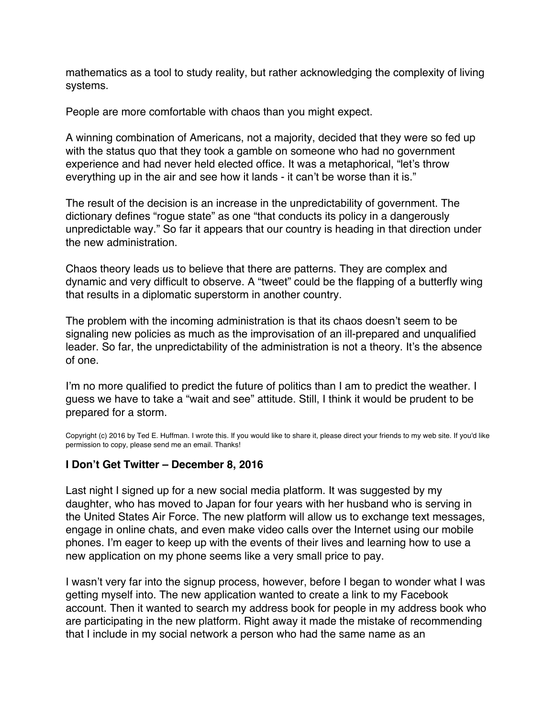<span id="page-15-0"></span>mathematics as a tool to study reality, but rather acknowledging the complexity of living systems.

People are more comfortable with chaos than you might expect.

A winning combination of Americans, not a majority, decided that they were so fed up with the status quo that they took a gamble on someone who had no government experience and had never held elected office. It was a metaphorical, "let's throw everything up in the air and see how it lands - it can't be worse than it is."

The result of the decision is an increase in the unpredictability of government. The dictionary defines "rogue state" as one "that conducts its policy in a dangerously unpredictable way." So far it appears that our country is heading in that direction under the new administration.

Chaos theory leads us to believe that there are patterns. They are complex and dynamic and very difficult to observe. A "tweet" could be the flapping of a butterfly wing that results in a diplomatic superstorm in another country.

The problem with the incoming administration is that its chaos doesn't seem to be signaling new policies as much as the improvisation of an ill-prepared and unqualified leader. So far, the unpredictability of the administration is not a theory. It's the absence of one.

I'm no more qualified to predict the future of politics than I am to predict the weather. I guess we have to take a "wait and see" attitude. Still, I think it would be prudent to be prepared for a storm.

Copyright (c) 2016 by Ted E. Huffman. I wrote this. If you would like to share it, please direct your friends to my web site. If you'd like permission to copy, please send me an email. Thanks!

## **I Don't Get Twitter – December 8, 2016**

Last night I signed up for a new social media platform. It was suggested by my daughter, who has moved to Japan for four years with her husband who is serving in the United States Air Force. The new platform will allow us to exchange text messages, engage in online chats, and even make video calls over the Internet using our mobile phones. I'm eager to keep up with the events of their lives and learning how to use a new application on my phone seems like a very small price to pay.

I wasn't very far into the signup process, however, before I began to wonder what I was getting myself into. The new application wanted to create a link to my Facebook account. Then it wanted to search my address book for people in my address book who are participating in the new platform. Right away it made the mistake of recommending that I include in my social network a person who had the same name as an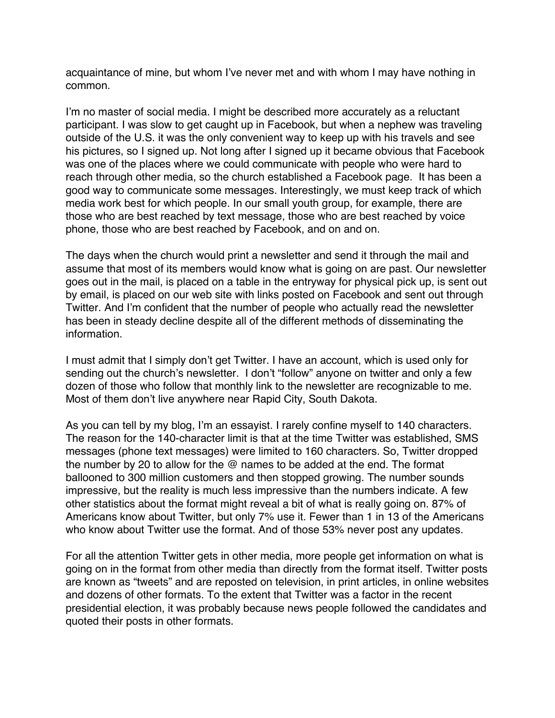acquaintance of mine, but whom I've never met and with whom I may have nothing in common.

I'm no master of social media. I might be described more accurately as a reluctant participant. I was slow to get caught up in Facebook, but when a nephew was traveling outside of the U.S. it was the only convenient way to keep up with his travels and see his pictures, so I signed up. Not long after I signed up it became obvious that Facebook was one of the places where we could communicate with people who were hard to reach through other media, so the church established a Facebook page. It has been a good way to communicate some messages. Interestingly, we must keep track of which media work best for which people. In our small youth group, for example, there are those who are best reached by text message, those who are best reached by voice phone, those who are best reached by Facebook, and on and on.

The days when the church would print a newsletter and send it through the mail and assume that most of its members would know what is going on are past. Our newsletter goes out in the mail, is placed on a table in the entryway for physical pick up, is sent out by email, is placed on our web site with links posted on Facebook and sent out through Twitter. And I'm confident that the number of people who actually read the newsletter has been in steady decline despite all of the different methods of disseminating the information.

I must admit that I simply don't get Twitter. I have an account, which is used only for sending out the church's newsletter. I don't "follow" anyone on twitter and only a few dozen of those who follow that monthly link to the newsletter are recognizable to me. Most of them don't live anywhere near Rapid City, South Dakota.

As you can tell by my blog, I'm an essayist. I rarely confine myself to 140 characters. The reason for the 140-character limit is that at the time Twitter was established, SMS messages (phone text messages) were limited to 160 characters. So, Twitter dropped the number by 20 to allow for the @ names to be added at the end. The format ballooned to 300 million customers and then stopped growing. The number sounds impressive, but the reality is much less impressive than the numbers indicate. A few other statistics about the format might reveal a bit of what is really going on. 87% of Americans know about Twitter, but only 7% use it. Fewer than 1 in 13 of the Americans who know about Twitter use the format. And of those 53% never post any updates.

For all the attention Twitter gets in other media, more people get information on what is going on in the format from other media than directly from the format itself. Twitter posts are known as "tweets" and are reposted on television, in print articles, in online websites and dozens of other formats. To the extent that Twitter was a factor in the recent presidential election, it was probably because news people followed the candidates and quoted their posts in other formats.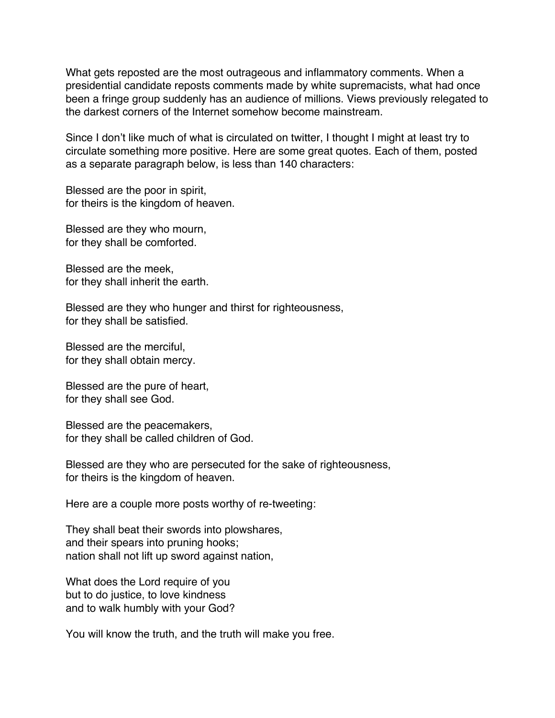What gets reposted are the most outrageous and inflammatory comments. When a presidential candidate reposts comments made by white supremacists, what had once been a fringe group suddenly has an audience of millions. Views previously relegated to the darkest corners of the Internet somehow become mainstream.

Since I don't like much of what is circulated on twitter, I thought I might at least try to circulate something more positive. Here are some great quotes. Each of them, posted as a separate paragraph below, is less than 140 characters:

Blessed are the poor in spirit, for theirs is the kingdom of heaven.

Blessed are they who mourn, for they shall be comforted.

Blessed are the meek, for they shall inherit the earth.

Blessed are they who hunger and thirst for righteousness, for they shall be satisfied.

Blessed are the merciful, for they shall obtain mercy.

Blessed are the pure of heart, for they shall see God.

Blessed are the peacemakers, for they shall be called children of God.

Blessed are they who are persecuted for the sake of righteousness, for theirs is the kingdom of heaven.

Here are a couple more posts worthy of re-tweeting:

They shall beat their swords into plowshares, and their spears into pruning hooks; nation shall not lift up sword against nation,

What does the Lord require of you but to do justice, to love kindness and to walk humbly with your God?

You will know the truth, and the truth will make you free.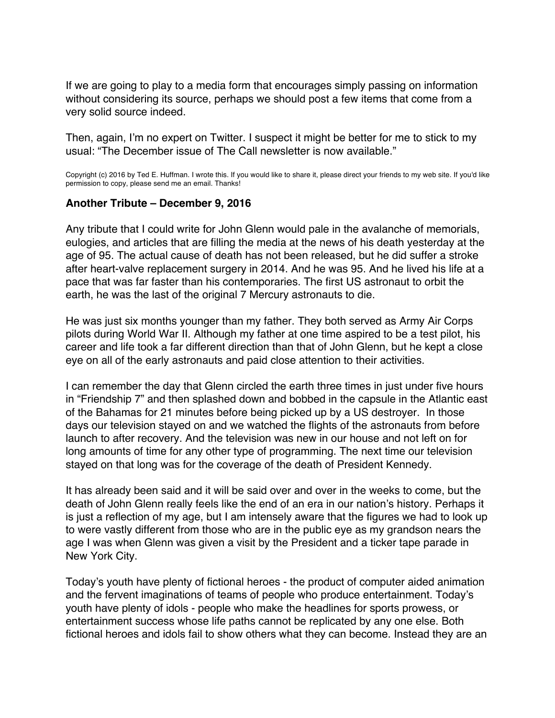<span id="page-18-0"></span>If we are going to play to a media form that encourages simply passing on information without considering its source, perhaps we should post a few items that come from a very solid source indeed.

Then, again, I'm no expert on Twitter. I suspect it might be better for me to stick to my usual: "The December issue of The Call newsletter is now available."

Copyright (c) 2016 by Ted E. Huffman. I wrote this. If you would like to share it, please direct your friends to my web site. If you'd like permission to copy, please send me an email. Thanks!

#### **Another Tribute – December 9, 2016**

Any tribute that I could write for John Glenn would pale in the avalanche of memorials, eulogies, and articles that are filling the media at the news of his death yesterday at the age of 95. The actual cause of death has not been released, but he did suffer a stroke after heart-valve replacement surgery in 2014. And he was 95. And he lived his life at a pace that was far faster than his contemporaries. The first US astronaut to orbit the earth, he was the last of the original 7 Mercury astronauts to die.

He was just six months younger than my father. They both served as Army Air Corps pilots during World War II. Although my father at one time aspired to be a test pilot, his career and life took a far different direction than that of John Glenn, but he kept a close eye on all of the early astronauts and paid close attention to their activities.

I can remember the day that Glenn circled the earth three times in just under five hours in "Friendship 7" and then splashed down and bobbed in the capsule in the Atlantic east of the Bahamas for 21 minutes before being picked up by a US destroyer. In those days our television stayed on and we watched the flights of the astronauts from before launch to after recovery. And the television was new in our house and not left on for long amounts of time for any other type of programming. The next time our television stayed on that long was for the coverage of the death of President Kennedy.

It has already been said and it will be said over and over in the weeks to come, but the death of John Glenn really feels like the end of an era in our nation's history. Perhaps it is just a reflection of my age, but I am intensely aware that the figures we had to look up to were vastly different from those who are in the public eye as my grandson nears the age I was when Glenn was given a visit by the President and a ticker tape parade in New York City.

Today's youth have plenty of fictional heroes - the product of computer aided animation and the fervent imaginations of teams of people who produce entertainment. Today's youth have plenty of idols - people who make the headlines for sports prowess, or entertainment success whose life paths cannot be replicated by any one else. Both fictional heroes and idols fail to show others what they can become. Instead they are an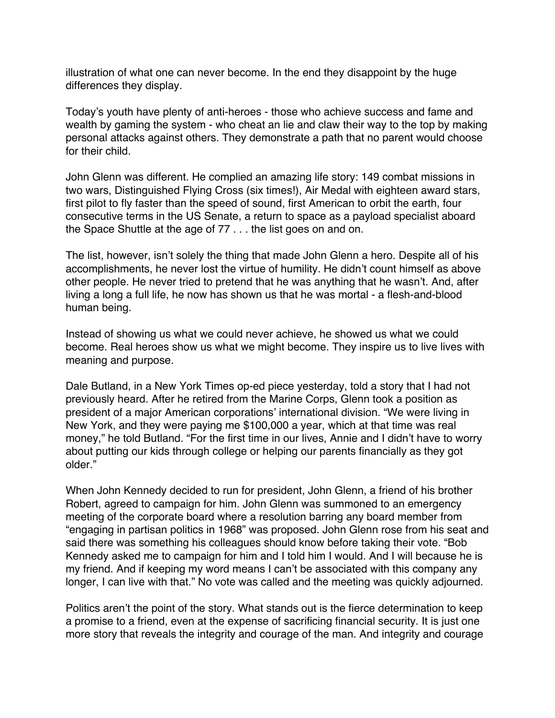illustration of what one can never become. In the end they disappoint by the huge differences they display.

Today's youth have plenty of anti-heroes - those who achieve success and fame and wealth by gaming the system - who cheat an lie and claw their way to the top by making personal attacks against others. They demonstrate a path that no parent would choose for their child.

John Glenn was different. He complied an amazing life story: 149 combat missions in two wars, Distinguished Flying Cross (six times!), Air Medal with eighteen award stars, first pilot to fly faster than the speed of sound, first American to orbit the earth, four consecutive terms in the US Senate, a return to space as a payload specialist aboard the Space Shuttle at the age of 77 . . . the list goes on and on.

The list, however, isn't solely the thing that made John Glenn a hero. Despite all of his accomplishments, he never lost the virtue of humility. He didn't count himself as above other people. He never tried to pretend that he was anything that he wasn't. And, after living a long a full life, he now has shown us that he was mortal - a flesh-and-blood human being.

Instead of showing us what we could never achieve, he showed us what we could become. Real heroes show us what we might become. They inspire us to live lives with meaning and purpose.

Dale Butland, in a New York Times op-ed piece yesterday, told a story that I had not previously heard. After he retired from the Marine Corps, Glenn took a position as president of a major American corporations' international division. "We were living in New York, and they were paying me \$100,000 a year, which at that time was real money," he told Butland. "For the first time in our lives, Annie and I didn't have to worry about putting our kids through college or helping our parents financially as they got older."

When John Kennedy decided to run for president, John Glenn, a friend of his brother Robert, agreed to campaign for him. John Glenn was summoned to an emergency meeting of the corporate board where a resolution barring any board member from "engaging in partisan politics in 1968" was proposed. John Glenn rose from his seat and said there was something his colleagues should know before taking their vote. "Bob Kennedy asked me to campaign for him and I told him I would. And I will because he is my friend. And if keeping my word means I can't be associated with this company any longer, I can live with that." No vote was called and the meeting was quickly adjourned.

Politics aren't the point of the story. What stands out is the fierce determination to keep a promise to a friend, even at the expense of sacrificing financial security. It is just one more story that reveals the integrity and courage of the man. And integrity and courage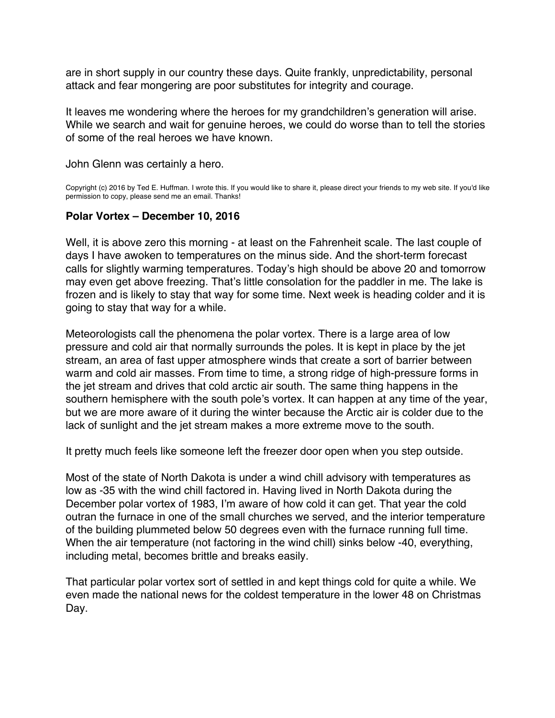<span id="page-20-0"></span>are in short supply in our country these days. Quite frankly, unpredictability, personal attack and fear mongering are poor substitutes for integrity and courage.

It leaves me wondering where the heroes for my grandchildren's generation will arise. While we search and wait for genuine heroes, we could do worse than to tell the stories of some of the real heroes we have known.

John Glenn was certainly a hero.

Copyright (c) 2016 by Ted E. Huffman. I wrote this. If you would like to share it, please direct your friends to my web site. If you'd like permission to copy, please send me an email. Thanks!

# **Polar Vortex – December 10, 2016**

Well, it is above zero this morning - at least on the Fahrenheit scale. The last couple of days I have awoken to temperatures on the minus side. And the short-term forecast calls for slightly warming temperatures. Today's high should be above 20 and tomorrow may even get above freezing. That's little consolation for the paddler in me. The lake is frozen and is likely to stay that way for some time. Next week is heading colder and it is going to stay that way for a while.

Meteorologists call the phenomena the polar vortex. There is a large area of low pressure and cold air that normally surrounds the poles. It is kept in place by the jet stream, an area of fast upper atmosphere winds that create a sort of barrier between warm and cold air masses. From time to time, a strong ridge of high-pressure forms in the jet stream and drives that cold arctic air south. The same thing happens in the southern hemisphere with the south pole's vortex. It can happen at any time of the year, but we are more aware of it during the winter because the Arctic air is colder due to the lack of sunlight and the jet stream makes a more extreme move to the south.

It pretty much feels like someone left the freezer door open when you step outside.

Most of the state of North Dakota is under a wind chill advisory with temperatures as low as -35 with the wind chill factored in. Having lived in North Dakota during the December polar vortex of 1983, I'm aware of how cold it can get. That year the cold outran the furnace in one of the small churches we served, and the interior temperature of the building plummeted below 50 degrees even with the furnace running full time. When the air temperature (not factoring in the wind chill) sinks below -40, everything, including metal, becomes brittle and breaks easily.

That particular polar vortex sort of settled in and kept things cold for quite a while. We even made the national news for the coldest temperature in the lower 48 on Christmas Day.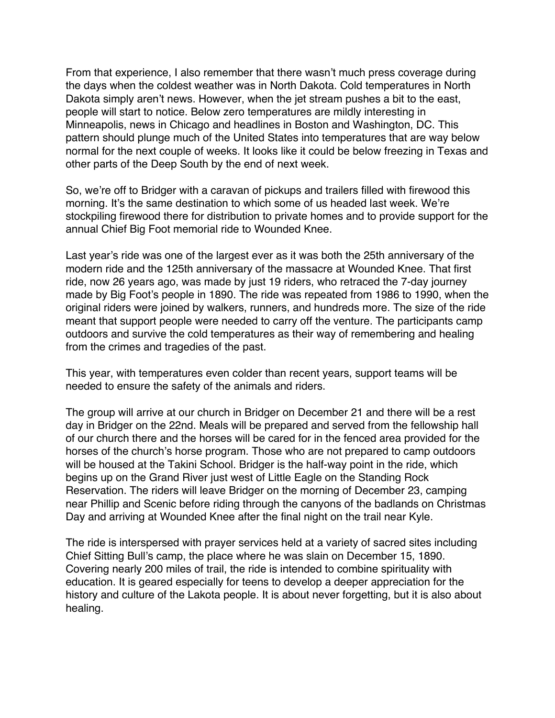From that experience, I also remember that there wasn't much press coverage during the days when the coldest weather was in North Dakota. Cold temperatures in North Dakota simply aren't news. However, when the jet stream pushes a bit to the east, people will start to notice. Below zero temperatures are mildly interesting in Minneapolis, news in Chicago and headlines in Boston and Washington, DC. This pattern should plunge much of the United States into temperatures that are way below normal for the next couple of weeks. It looks like it could be below freezing in Texas and other parts of the Deep South by the end of next week.

So, we're off to Bridger with a caravan of pickups and trailers filled with firewood this morning. It's the same destination to which some of us headed last week. We're stockpiling firewood there for distribution to private homes and to provide support for the annual Chief Big Foot memorial ride to Wounded Knee.

Last year's ride was one of the largest ever as it was both the 25th anniversary of the modern ride and the 125th anniversary of the massacre at Wounded Knee. That first ride, now 26 years ago, was made by just 19 riders, who retraced the 7-day journey made by Big Foot's people in 1890. The ride was repeated from 1986 to 1990, when the original riders were joined by walkers, runners, and hundreds more. The size of the ride meant that support people were needed to carry off the venture. The participants camp outdoors and survive the cold temperatures as their way of remembering and healing from the crimes and tragedies of the past.

This year, with temperatures even colder than recent years, support teams will be needed to ensure the safety of the animals and riders.

The group will arrive at our church in Bridger on December 21 and there will be a rest day in Bridger on the 22nd. Meals will be prepared and served from the fellowship hall of our church there and the horses will be cared for in the fenced area provided for the horses of the church's horse program. Those who are not prepared to camp outdoors will be housed at the Takini School. Bridger is the half-way point in the ride, which begins up on the Grand River just west of Little Eagle on the Standing Rock Reservation. The riders will leave Bridger on the morning of December 23, camping near Phillip and Scenic before riding through the canyons of the badlands on Christmas Day and arriving at Wounded Knee after the final night on the trail near Kyle.

The ride is interspersed with prayer services held at a variety of sacred sites including Chief Sitting Bull's camp, the place where he was slain on December 15, 1890. Covering nearly 200 miles of trail, the ride is intended to combine spirituality with education. It is geared especially for teens to develop a deeper appreciation for the history and culture of the Lakota people. It is about never forgetting, but it is also about healing.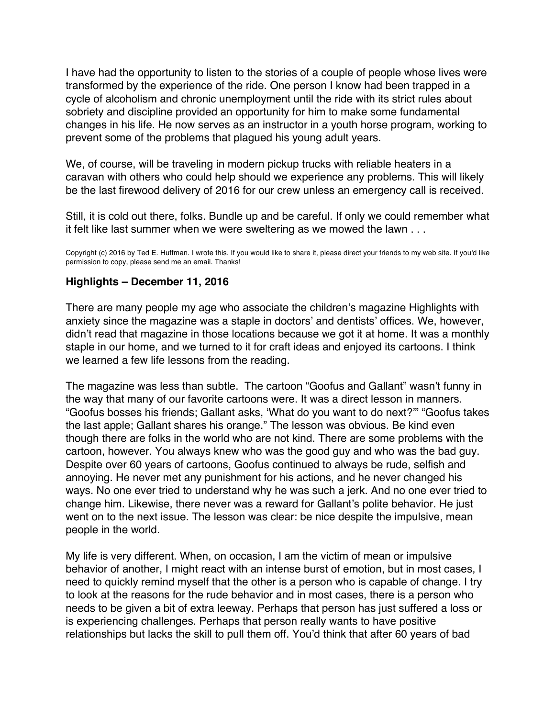<span id="page-22-0"></span>I have had the opportunity to listen to the stories of a couple of people whose lives were transformed by the experience of the ride. One person I know had been trapped in a cycle of alcoholism and chronic unemployment until the ride with its strict rules about sobriety and discipline provided an opportunity for him to make some fundamental changes in his life. He now serves as an instructor in a youth horse program, working to prevent some of the problems that plagued his young adult years.

We, of course, will be traveling in modern pickup trucks with reliable heaters in a caravan with others who could help should we experience any problems. This will likely be the last firewood delivery of 2016 for our crew unless an emergency call is received.

Still, it is cold out there, folks. Bundle up and be careful. If only we could remember what it felt like last summer when we were sweltering as we mowed the lawn . . .

Copyright (c) 2016 by Ted E. Huffman. I wrote this. If you would like to share it, please direct your friends to my web site. If you'd like permission to copy, please send me an email. Thanks!

#### **Highlights – December 11, 2016**

There are many people my age who associate the children's magazine Highlights with anxiety since the magazine was a staple in doctors' and dentists' offices. We, however, didn't read that magazine in those locations because we got it at home. It was a monthly staple in our home, and we turned to it for craft ideas and enjoyed its cartoons. I think we learned a few life lessons from the reading.

The magazine was less than subtle. The cartoon "Goofus and Gallant" wasn't funny in the way that many of our favorite cartoons were. It was a direct lesson in manners. "Goofus bosses his friends; Gallant asks, 'What do you want to do next?'" "Goofus takes the last apple; Gallant shares his orange." The lesson was obvious. Be kind even though there are folks in the world who are not kind. There are some problems with the cartoon, however. You always knew who was the good guy and who was the bad guy. Despite over 60 years of cartoons, Goofus continued to always be rude, selfish and annoying. He never met any punishment for his actions, and he never changed his ways. No one ever tried to understand why he was such a jerk. And no one ever tried to change him. Likewise, there never was a reward for Gallant's polite behavior. He just went on to the next issue. The lesson was clear: be nice despite the impulsive, mean people in the world.

My life is very different. When, on occasion, I am the victim of mean or impulsive behavior of another, I might react with an intense burst of emotion, but in most cases, I need to quickly remind myself that the other is a person who is capable of change. I try to look at the reasons for the rude behavior and in most cases, there is a person who needs to be given a bit of extra leeway. Perhaps that person has just suffered a loss or is experiencing challenges. Perhaps that person really wants to have positive relationships but lacks the skill to pull them off. You'd think that after 60 years of bad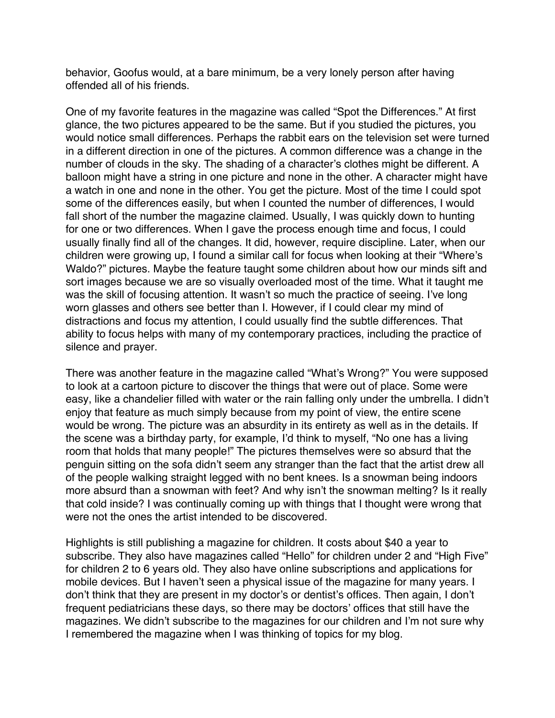behavior, Goofus would, at a bare minimum, be a very lonely person after having offended all of his friends.

One of my favorite features in the magazine was called "Spot the Differences." At first glance, the two pictures appeared to be the same. But if you studied the pictures, you would notice small differences. Perhaps the rabbit ears on the television set were turned in a different direction in one of the pictures. A common difference was a change in the number of clouds in the sky. The shading of a character's clothes might be different. A balloon might have a string in one picture and none in the other. A character might have a watch in one and none in the other. You get the picture. Most of the time I could spot some of the differences easily, but when I counted the number of differences, I would fall short of the number the magazine claimed. Usually, I was quickly down to hunting for one or two differences. When I gave the process enough time and focus, I could usually finally find all of the changes. It did, however, require discipline. Later, when our children were growing up, I found a similar call for focus when looking at their "Where's Waldo?" pictures. Maybe the feature taught some children about how our minds sift and sort images because we are so visually overloaded most of the time. What it taught me was the skill of focusing attention. It wasn't so much the practice of seeing. I've long worn glasses and others see better than I. However, if I could clear my mind of distractions and focus my attention, I could usually find the subtle differences. That ability to focus helps with many of my contemporary practices, including the practice of silence and prayer.

There was another feature in the magazine called "What's Wrong?" You were supposed to look at a cartoon picture to discover the things that were out of place. Some were easy, like a chandelier filled with water or the rain falling only under the umbrella. I didn't enjoy that feature as much simply because from my point of view, the entire scene would be wrong. The picture was an absurdity in its entirety as well as in the details. If the scene was a birthday party, for example, I'd think to myself, "No one has a living room that holds that many people!" The pictures themselves were so absurd that the penguin sitting on the sofa didn't seem any stranger than the fact that the artist drew all of the people walking straight legged with no bent knees. Is a snowman being indoors more absurd than a snowman with feet? And why isn't the snowman melting? Is it really that cold inside? I was continually coming up with things that I thought were wrong that were not the ones the artist intended to be discovered.

Highlights is still publishing a magazine for children. It costs about \$40 a year to subscribe. They also have magazines called "Hello" for children under 2 and "High Five" for children 2 to 6 years old. They also have online subscriptions and applications for mobile devices. But I haven't seen a physical issue of the magazine for many years. I don't think that they are present in my doctor's or dentist's offices. Then again, I don't frequent pediatricians these days, so there may be doctors' offices that still have the magazines. We didn't subscribe to the magazines for our children and I'm not sure why I remembered the magazine when I was thinking of topics for my blog.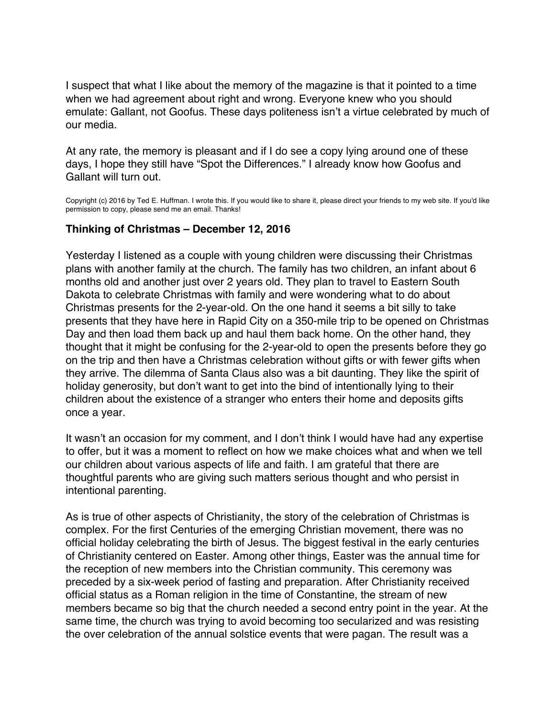<span id="page-24-0"></span>I suspect that what I like about the memory of the magazine is that it pointed to a time when we had agreement about right and wrong. Everyone knew who you should emulate: Gallant, not Goofus. These days politeness isn't a virtue celebrated by much of our media.

At any rate, the memory is pleasant and if I do see a copy lying around one of these days, I hope they still have "Spot the Differences." I already know how Goofus and Gallant will turn out.

Copyright (c) 2016 by Ted E. Huffman. I wrote this. If you would like to share it, please direct your friends to my web site. If you'd like permission to copy, please send me an email. Thanks!

#### **Thinking of Christmas – December 12, 2016**

Yesterday I listened as a couple with young children were discussing their Christmas plans with another family at the church. The family has two children, an infant about 6 months old and another just over 2 years old. They plan to travel to Eastern South Dakota to celebrate Christmas with family and were wondering what to do about Christmas presents for the 2-year-old. On the one hand it seems a bit silly to take presents that they have here in Rapid City on a 350-mile trip to be opened on Christmas Day and then load them back up and haul them back home. On the other hand, they thought that it might be confusing for the 2-year-old to open the presents before they go on the trip and then have a Christmas celebration without gifts or with fewer gifts when they arrive. The dilemma of Santa Claus also was a bit daunting. They like the spirit of holiday generosity, but don't want to get into the bind of intentionally lying to their children about the existence of a stranger who enters their home and deposits gifts once a year.

It wasn't an occasion for my comment, and I don't think I would have had any expertise to offer, but it was a moment to reflect on how we make choices what and when we tell our children about various aspects of life and faith. I am grateful that there are thoughtful parents who are giving such matters serious thought and who persist in intentional parenting.

As is true of other aspects of Christianity, the story of the celebration of Christmas is complex. For the first Centuries of the emerging Christian movement, there was no official holiday celebrating the birth of Jesus. The biggest festival in the early centuries of Christianity centered on Easter. Among other things, Easter was the annual time for the reception of new members into the Christian community. This ceremony was preceded by a six-week period of fasting and preparation. After Christianity received official status as a Roman religion in the time of Constantine, the stream of new members became so big that the church needed a second entry point in the year. At the same time, the church was trying to avoid becoming too secularized and was resisting the over celebration of the annual solstice events that were pagan. The result was a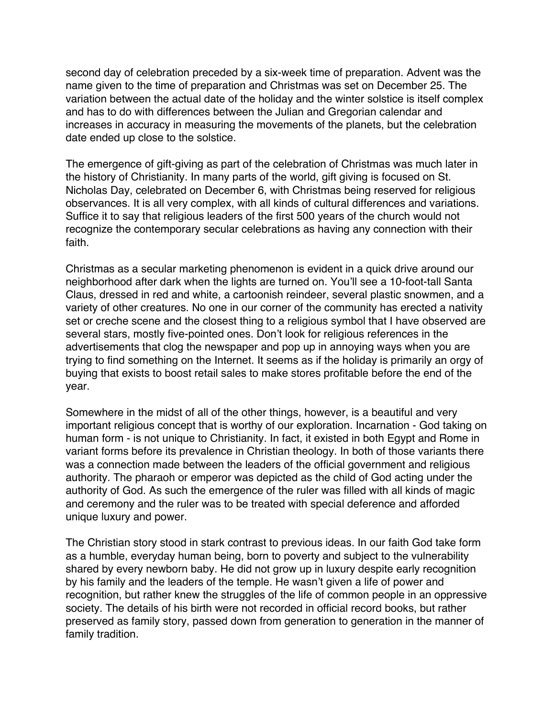second day of celebration preceded by a six-week time of preparation. Advent was the name given to the time of preparation and Christmas was set on December 25. The variation between the actual date of the holiday and the winter solstice is itself complex and has to do with differences between the Julian and Gregorian calendar and increases in accuracy in measuring the movements of the planets, but the celebration date ended up close to the solstice.

The emergence of gift-giving as part of the celebration of Christmas was much later in the history of Christianity. In many parts of the world, gift giving is focused on St. Nicholas Day, celebrated on December 6, with Christmas being reserved for religious observances. It is all very complex, with all kinds of cultural differences and variations. Suffice it to say that religious leaders of the first 500 years of the church would not recognize the contemporary secular celebrations as having any connection with their faith.

Christmas as a secular marketing phenomenon is evident in a quick drive around our neighborhood after dark when the lights are turned on. You'll see a 10-foot-tall Santa Claus, dressed in red and white, a cartoonish reindeer, several plastic snowmen, and a variety of other creatures. No one in our corner of the community has erected a nativity set or creche scene and the closest thing to a religious symbol that I have observed are several stars, mostly five-pointed ones. Don't look for religious references in the advertisements that clog the newspaper and pop up in annoying ways when you are trying to find something on the Internet. It seems as if the holiday is primarily an orgy of buying that exists to boost retail sales to make stores profitable before the end of the year.

Somewhere in the midst of all of the other things, however, is a beautiful and very important religious concept that is worthy of our exploration. Incarnation - God taking on human form - is not unique to Christianity. In fact, it existed in both Egypt and Rome in variant forms before its prevalence in Christian theology. In both of those variants there was a connection made between the leaders of the official government and religious authority. The pharaoh or emperor was depicted as the child of God acting under the authority of God. As such the emergence of the ruler was filled with all kinds of magic and ceremony and the ruler was to be treated with special deference and afforded unique luxury and power.

The Christian story stood in stark contrast to previous ideas. In our faith God take form as a humble, everyday human being, born to poverty and subject to the vulnerability shared by every newborn baby. He did not grow up in luxury despite early recognition by his family and the leaders of the temple. He wasn't given a life of power and recognition, but rather knew the struggles of the life of common people in an oppressive society. The details of his birth were not recorded in official record books, but rather preserved as family story, passed down from generation to generation in the manner of family tradition.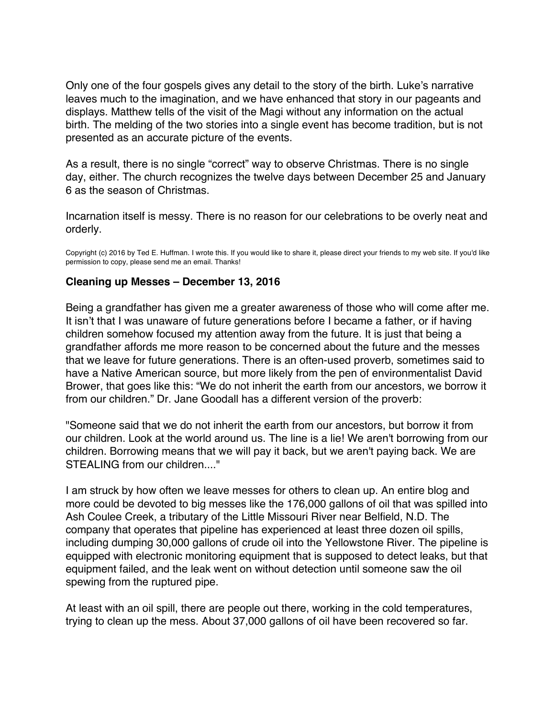<span id="page-26-0"></span>Only one of the four gospels gives any detail to the story of the birth. Luke's narrative leaves much to the imagination, and we have enhanced that story in our pageants and displays. Matthew tells of the visit of the Magi without any information on the actual birth. The melding of the two stories into a single event has become tradition, but is not presented as an accurate picture of the events.

As a result, there is no single "correct" way to observe Christmas. There is no single day, either. The church recognizes the twelve days between December 25 and January 6 as the season of Christmas.

Incarnation itself is messy. There is no reason for our celebrations to be overly neat and orderly.

Copyright (c) 2016 by Ted E. Huffman. I wrote this. If you would like to share it, please direct your friends to my web site. If you'd like permission to copy, please send me an email. Thanks!

## **Cleaning up Messes – December 13, 2016**

Being a grandfather has given me a greater awareness of those who will come after me. It isn't that I was unaware of future generations before I became a father, or if having children somehow focused my attention away from the future. It is just that being a grandfather affords me more reason to be concerned about the future and the messes that we leave for future generations. There is an often-used proverb, sometimes said to have a Native American source, but more likely from the pen of environmentalist David Brower, that goes like this: "We do not inherit the earth from our ancestors, we borrow it from our children." Dr. Jane Goodall has a different version of the proverb:

"Someone said that we do not inherit the earth from our ancestors, but borrow it from our children. Look at the world around us. The line is a lie! We aren't borrowing from our children. Borrowing means that we will pay it back, but we aren't paying back. We are STEALING from our children...."

I am struck by how often we leave messes for others to clean up. An entire blog and more could be devoted to big messes like the 176,000 gallons of oil that was spilled into Ash Coulee Creek, a tributary of the Little Missouri River near Belfield, N.D. The company that operates that pipeline has experienced at least three dozen oil spills, including dumping 30,000 gallons of crude oil into the Yellowstone River. The pipeline is equipped with electronic monitoring equipment that is supposed to detect leaks, but that equipment failed, and the leak went on without detection until someone saw the oil spewing from the ruptured pipe.

At least with an oil spill, there are people out there, working in the cold temperatures, trying to clean up the mess. About 37,000 gallons of oil have been recovered so far.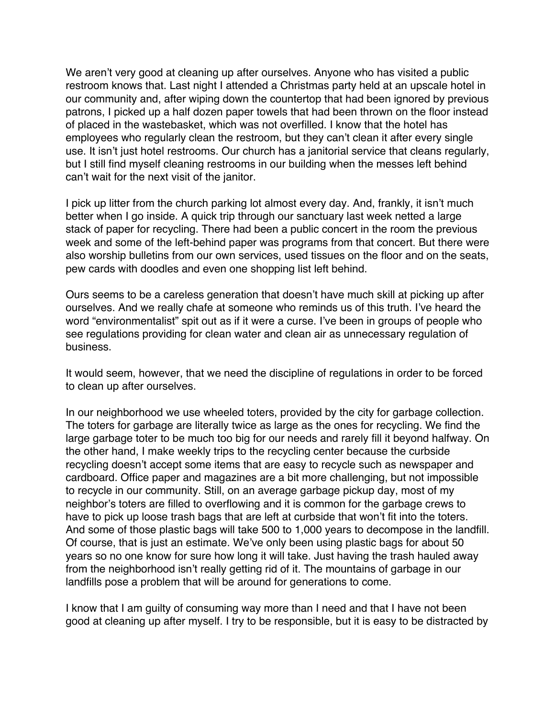We aren't very good at cleaning up after ourselves. Anyone who has visited a public restroom knows that. Last night I attended a Christmas party held at an upscale hotel in our community and, after wiping down the countertop that had been ignored by previous patrons, I picked up a half dozen paper towels that had been thrown on the floor instead of placed in the wastebasket, which was not overfilled. I know that the hotel has employees who regularly clean the restroom, but they can't clean it after every single use. It isn't just hotel restrooms. Our church has a janitorial service that cleans regularly, but I still find myself cleaning restrooms in our building when the messes left behind can't wait for the next visit of the janitor.

I pick up litter from the church parking lot almost every day. And, frankly, it isn't much better when I go inside. A quick trip through our sanctuary last week netted a large stack of paper for recycling. There had been a public concert in the room the previous week and some of the left-behind paper was programs from that concert. But there were also worship bulletins from our own services, used tissues on the floor and on the seats, pew cards with doodles and even one shopping list left behind.

Ours seems to be a careless generation that doesn't have much skill at picking up after ourselves. And we really chafe at someone who reminds us of this truth. I've heard the word "environmentalist" spit out as if it were a curse. I've been in groups of people who see regulations providing for clean water and clean air as unnecessary regulation of business.

It would seem, however, that we need the discipline of regulations in order to be forced to clean up after ourselves.

In our neighborhood we use wheeled toters, provided by the city for garbage collection. The toters for garbage are literally twice as large as the ones for recycling. We find the large garbage toter to be much too big for our needs and rarely fill it beyond halfway. On the other hand, I make weekly trips to the recycling center because the curbside recycling doesn't accept some items that are easy to recycle such as newspaper and cardboard. Office paper and magazines are a bit more challenging, but not impossible to recycle in our community. Still, on an average garbage pickup day, most of my neighbor's toters are filled to overflowing and it is common for the garbage crews to have to pick up loose trash bags that are left at curbside that won't fit into the toters. And some of those plastic bags will take 500 to 1,000 years to decompose in the landfill. Of course, that is just an estimate. We've only been using plastic bags for about 50 years so no one know for sure how long it will take. Just having the trash hauled away from the neighborhood isn't really getting rid of it. The mountains of garbage in our landfills pose a problem that will be around for generations to come.

I know that I am guilty of consuming way more than I need and that I have not been good at cleaning up after myself. I try to be responsible, but it is easy to be distracted by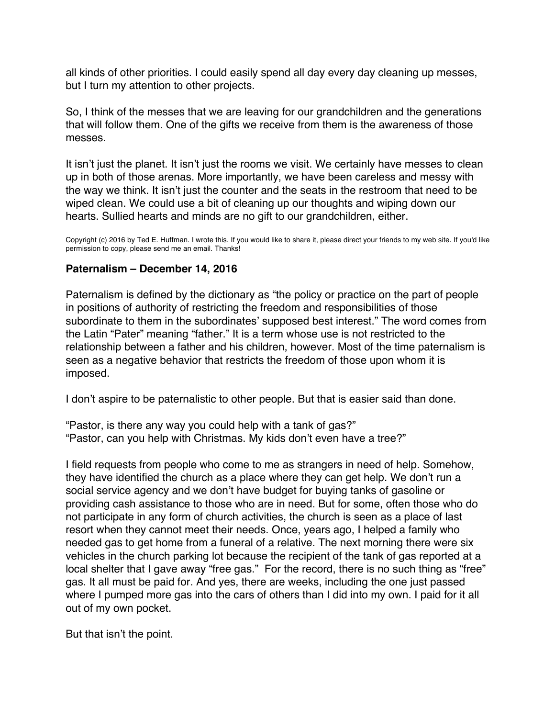<span id="page-28-0"></span>all kinds of other priorities. I could easily spend all day every day cleaning up messes, but I turn my attention to other projects.

So, I think of the messes that we are leaving for our grandchildren and the generations that will follow them. One of the gifts we receive from them is the awareness of those messes.

It isn't just the planet. It isn't just the rooms we visit. We certainly have messes to clean up in both of those arenas. More importantly, we have been careless and messy with the way we think. It isn't just the counter and the seats in the restroom that need to be wiped clean. We could use a bit of cleaning up our thoughts and wiping down our hearts. Sullied hearts and minds are no gift to our grandchildren, either.

Copyright (c) 2016 by Ted E. Huffman. I wrote this. If you would like to share it, please direct your friends to my web site. If you'd like permission to copy, please send me an email. Thanks!

## **Paternalism – December 14, 2016**

Paternalism is defined by the dictionary as "the policy or practice on the part of people in positions of authority of restricting the freedom and responsibilities of those subordinate to them in the subordinates' supposed best interest." The word comes from the Latin "Pater" meaning "father." It is a term whose use is not restricted to the relationship between a father and his children, however. Most of the time paternalism is seen as a negative behavior that restricts the freedom of those upon whom it is imposed.

I don't aspire to be paternalistic to other people. But that is easier said than done.

"Pastor, is there any way you could help with a tank of gas?" "Pastor, can you help with Christmas. My kids don't even have a tree?"

I field requests from people who come to me as strangers in need of help. Somehow, they have identified the church as a place where they can get help. We don't run a social service agency and we don't have budget for buying tanks of gasoline or providing cash assistance to those who are in need. But for some, often those who do not participate in any form of church activities, the church is seen as a place of last resort when they cannot meet their needs. Once, years ago, I helped a family who needed gas to get home from a funeral of a relative. The next morning there were six vehicles in the church parking lot because the recipient of the tank of gas reported at a local shelter that I gave away "free gas." For the record, there is no such thing as "free" gas. It all must be paid for. And yes, there are weeks, including the one just passed where I pumped more gas into the cars of others than I did into my own. I paid for it all out of my own pocket.

But that isn't the point.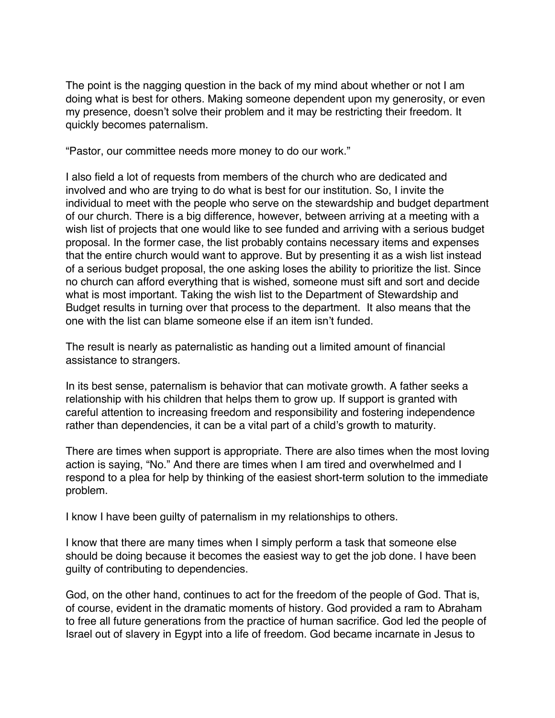The point is the nagging question in the back of my mind about whether or not I am doing what is best for others. Making someone dependent upon my generosity, or even my presence, doesn't solve their problem and it may be restricting their freedom. It quickly becomes paternalism.

"Pastor, our committee needs more money to do our work."

I also field a lot of requests from members of the church who are dedicated and involved and who are trying to do what is best for our institution. So, I invite the individual to meet with the people who serve on the stewardship and budget department of our church. There is a big difference, however, between arriving at a meeting with a wish list of projects that one would like to see funded and arriving with a serious budget proposal. In the former case, the list probably contains necessary items and expenses that the entire church would want to approve. But by presenting it as a wish list instead of a serious budget proposal, the one asking loses the ability to prioritize the list. Since no church can afford everything that is wished, someone must sift and sort and decide what is most important. Taking the wish list to the Department of Stewardship and Budget results in turning over that process to the department. It also means that the one with the list can blame someone else if an item isn't funded.

The result is nearly as paternalistic as handing out a limited amount of financial assistance to strangers.

In its best sense, paternalism is behavior that can motivate growth. A father seeks a relationship with his children that helps them to grow up. If support is granted with careful attention to increasing freedom and responsibility and fostering independence rather than dependencies, it can be a vital part of a child's growth to maturity.

There are times when support is appropriate. There are also times when the most loving action is saying, "No." And there are times when I am tired and overwhelmed and I respond to a plea for help by thinking of the easiest short-term solution to the immediate problem.

I know I have been guilty of paternalism in my relationships to others.

I know that there are many times when I simply perform a task that someone else should be doing because it becomes the easiest way to get the job done. I have been guilty of contributing to dependencies.

God, on the other hand, continues to act for the freedom of the people of God. That is, of course, evident in the dramatic moments of history. God provided a ram to Abraham to free all future generations from the practice of human sacrifice. God led the people of Israel out of slavery in Egypt into a life of freedom. God became incarnate in Jesus to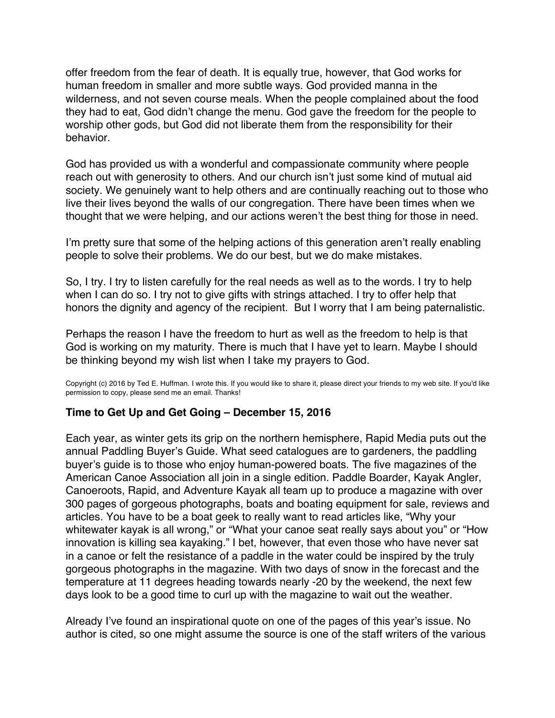<span id="page-30-0"></span>offer freedom from the fear of death. It is equally true, however, that God works for human freedom in smaller and more subtle ways. God provided manna in the wilderness, and not seven course meals. When the people complained about the food they had to eat, God didn't change the menu. God gave the freedom for the people to worship other gods, but God did not liberate them from the responsibility for their behavior.

God has provided us with a wonderful and compassionate community where people reach out with generosity to others. And our church isn't just some kind of mutual aid society. We genuinely want to help others and are continually reaching out to those who live their lives beyond the walls of our congregation. There have been times when we thought that we were helping, and our actions weren't the best thing for those in need.

I'm pretty sure that some of the helping actions of this generation aren't really enabling people to solve their problems. We do our best, but we do make mistakes.

So, I try. I try to listen carefully for the real needs as well as to the words. I try to help when I can do so. I try not to give gifts with strings attached. I try to offer help that honors the dignity and agency of the recipient. But I worry that I am being paternalistic.

Perhaps the reason I have the freedom to hurt as well as the freedom to help is that God is working on my maturity. There is much that I have yet to learn. Maybe I should be thinking beyond my wish list when I take my prayers to God.

Copyright (c) 2016 by Ted E. Huffman. I wrote this. If you would like to share it, please direct your friends to my web site. If you'd like permission to copy, please send me an email. Thanks!

## **Time to Get Up and Get Going – December 15, 2016**

Each year, as winter gets its grip on the northern hemisphere, Rapid Media puts out the annual Paddling Buyer's Guide. What seed catalogues are to gardeners, the paddling buyer's guide is to those who enjoy human-powered boats. The five magazines of the American Canoe Association all join in a single edition. Paddle Boarder, Kayak Angler, Canoeroots, Rapid, and Adventure Kayak all team up to produce a magazine with over 300 pages of gorgeous photographs, boats and boating equipment for sale, reviews and articles. You have to be a boat geek to really want to read articles like, "Why your whitewater kayak is all wrong," or "What your canoe seat really says about you" or "How innovation is killing sea kayaking." I bet, however, that even those who have never sat in a canoe or felt the resistance of a paddle in the water could be inspired by the truly gorgeous photographs in the magazine. With two days of snow in the forecast and the temperature at 11 degrees heading towards nearly -20 by the weekend, the next few days look to be a good time to curl up with the magazine to wait out the weather.

Already I've found an inspirational quote on one of the pages of this year's issue. No author is cited, so one might assume the source is one of the staff writers of the various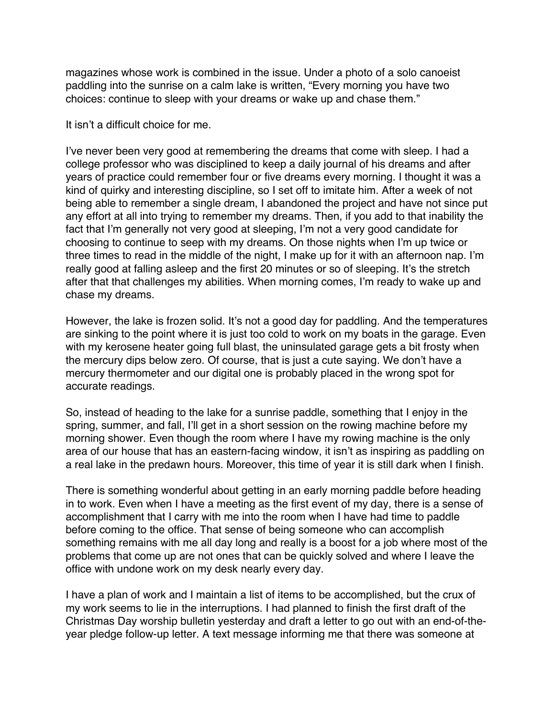magazines whose work is combined in the issue. Under a photo of a solo canoeist paddling into the sunrise on a calm lake is written, "Every morning you have two choices: continue to sleep with your dreams or wake up and chase them."

It isn't a difficult choice for me.

I've never been very good at remembering the dreams that come with sleep. I had a college professor who was disciplined to keep a daily journal of his dreams and after years of practice could remember four or five dreams every morning. I thought it was a kind of quirky and interesting discipline, so I set off to imitate him. After a week of not being able to remember a single dream, I abandoned the project and have not since put any effort at all into trying to remember my dreams. Then, if you add to that inability the fact that I'm generally not very good at sleeping, I'm not a very good candidate for choosing to continue to seep with my dreams. On those nights when I'm up twice or three times to read in the middle of the night, I make up for it with an afternoon nap. I'm really good at falling asleep and the first 20 minutes or so of sleeping. It's the stretch after that that challenges my abilities. When morning comes, I'm ready to wake up and chase my dreams.

However, the lake is frozen solid. It's not a good day for paddling. And the temperatures are sinking to the point where it is just too cold to work on my boats in the garage. Even with my kerosene heater going full blast, the uninsulated garage gets a bit frosty when the mercury dips below zero. Of course, that is just a cute saying. We don't have a mercury thermometer and our digital one is probably placed in the wrong spot for accurate readings.

So, instead of heading to the lake for a sunrise paddle, something that I enjoy in the spring, summer, and fall, I'll get in a short session on the rowing machine before my morning shower. Even though the room where I have my rowing machine is the only area of our house that has an eastern-facing window, it isn't as inspiring as paddling on a real lake in the predawn hours. Moreover, this time of year it is still dark when I finish.

There is something wonderful about getting in an early morning paddle before heading in to work. Even when I have a meeting as the first event of my day, there is a sense of accomplishment that I carry with me into the room when I have had time to paddle before coming to the office. That sense of being someone who can accomplish something remains with me all day long and really is a boost for a job where most of the problems that come up are not ones that can be quickly solved and where I leave the office with undone work on my desk nearly every day.

I have a plan of work and I maintain a list of items to be accomplished, but the crux of my work seems to lie in the interruptions. I had planned to finish the first draft of the Christmas Day worship bulletin yesterday and draft a letter to go out with an end-of-theyear pledge follow-up letter. A text message informing me that there was someone at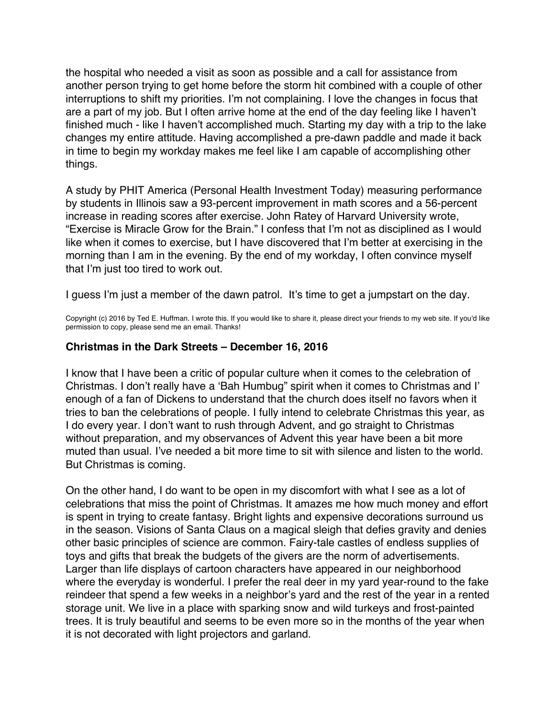<span id="page-32-0"></span>the hospital who needed a visit as soon as possible and a call for assistance from another person trying to get home before the storm hit combined with a couple of other interruptions to shift my priorities. I'm not complaining. I love the changes in focus that are a part of my job. But I often arrive home at the end of the day feeling like I haven't finished much - like I haven't accomplished much. Starting my day with a trip to the lake changes my entire attitude. Having accomplished a pre-dawn paddle and made it back in time to begin my workday makes me feel like I am capable of accomplishing other things.

A study by PHIT America (Personal Health Investment Today) measuring performance by students in Illinois saw a 93-percent improvement in math scores and a 56-percent increase in reading scores after exercise. John Ratey of Harvard University wrote, "Exercise is Miracle Grow for the Brain." I confess that I'm not as disciplined as I would like when it comes to exercise, but I have discovered that I'm better at exercising in the morning than I am in the evening. By the end of my workday, I often convince myself that I'm just too tired to work out.

I guess I'm just a member of the dawn patrol. It's time to get a jumpstart on the day.

Copyright (c) 2016 by Ted E. Huffman. I wrote this. If you would like to share it, please direct your friends to my web site. If you'd like permission to copy, please send me an email. Thanks!

## **Christmas in the Dark Streets – December 16, 2016**

I know that I have been a critic of popular culture when it comes to the celebration of Christmas. I don't really have a 'Bah Humbug" spirit when it comes to Christmas and I' enough of a fan of Dickens to understand that the church does itself no favors when it tries to ban the celebrations of people. I fully intend to celebrate Christmas this year, as I do every year. I don't want to rush through Advent, and go straight to Christmas without preparation, and my observances of Advent this year have been a bit more muted than usual. I've needed a bit more time to sit with silence and listen to the world. But Christmas is coming.

On the other hand, I do want to be open in my discomfort with what I see as a lot of celebrations that miss the point of Christmas. It amazes me how much money and effort is spent in trying to create fantasy. Bright lights and expensive decorations surround us in the season. Visions of Santa Claus on a magical sleigh that defies gravity and denies other basic principles of science are common. Fairy-tale castles of endless supplies of toys and gifts that break the budgets of the givers are the norm of advertisements. Larger than life displays of cartoon characters have appeared in our neighborhood where the everyday is wonderful. I prefer the real deer in my yard year-round to the fake reindeer that spend a few weeks in a neighbor's yard and the rest of the year in a rented storage unit. We live in a place with sparking snow and wild turkeys and frost-painted trees. It is truly beautiful and seems to be even more so in the months of the year when it is not decorated with light projectors and garland.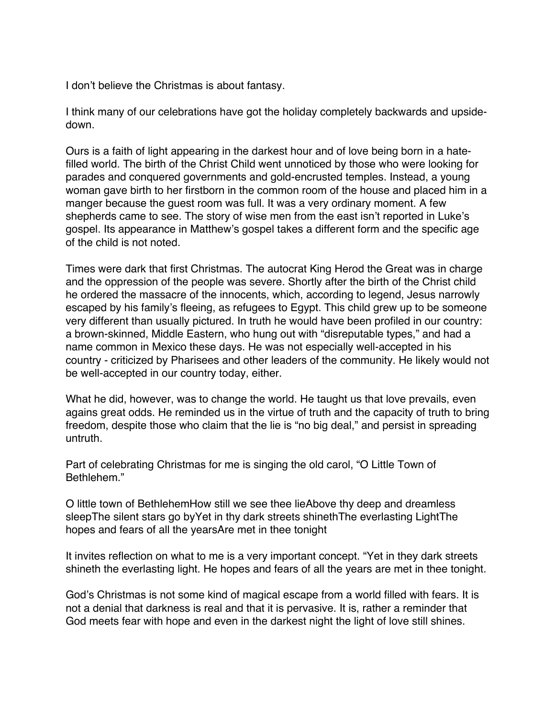I don't believe the Christmas is about fantasy.

I think many of our celebrations have got the holiday completely backwards and upsidedown.

Ours is a faith of light appearing in the darkest hour and of love being born in a hatefilled world. The birth of the Christ Child went unnoticed by those who were looking for parades and conquered governments and gold-encrusted temples. Instead, a young woman gave birth to her firstborn in the common room of the house and placed him in a manger because the guest room was full. It was a very ordinary moment. A few shepherds came to see. The story of wise men from the east isn't reported in Luke's gospel. Its appearance in Matthew's gospel takes a different form and the specific age of the child is not noted.

Times were dark that first Christmas. The autocrat King Herod the Great was in charge and the oppression of the people was severe. Shortly after the birth of the Christ child he ordered the massacre of the innocents, which, according to legend, Jesus narrowly escaped by his family's fleeing, as refugees to Egypt. This child grew up to be someone very different than usually pictured. In truth he would have been profiled in our country: a brown-skinned, Middle Eastern, who hung out with "disreputable types," and had a name common in Mexico these days. He was not especially well-accepted in his country - criticized by Pharisees and other leaders of the community. He likely would not be well-accepted in our country today, either.

What he did, however, was to change the world. He taught us that love prevails, even agains great odds. He reminded us in the virtue of truth and the capacity of truth to bring freedom, despite those who claim that the lie is "no big deal," and persist in spreading untruth.

Part of celebrating Christmas for me is singing the old carol, "O Little Town of Bethlehem."

O little town of BethlehemHow still we see thee lieAbove thy deep and dreamless sleepThe silent stars go byYet in thy dark streets shinethThe everlasting LightThe hopes and fears of all the yearsAre met in thee tonight

It invites reflection on what to me is a very important concept. "Yet in they dark streets shineth the everlasting light. He hopes and fears of all the years are met in thee tonight.

God's Christmas is not some kind of magical escape from a world filled with fears. It is not a denial that darkness is real and that it is pervasive. It is, rather a reminder that God meets fear with hope and even in the darkest night the light of love still shines.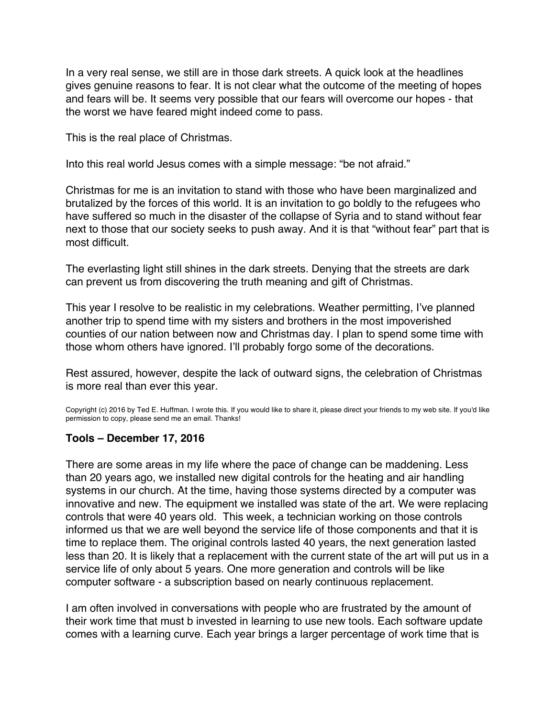<span id="page-34-0"></span>In a very real sense, we still are in those dark streets. A quick look at the headlines gives genuine reasons to fear. It is not clear what the outcome of the meeting of hopes and fears will be. It seems very possible that our fears will overcome our hopes - that the worst we have feared might indeed come to pass.

This is the real place of Christmas.

Into this real world Jesus comes with a simple message: "be not afraid."

Christmas for me is an invitation to stand with those who have been marginalized and brutalized by the forces of this world. It is an invitation to go boldly to the refugees who have suffered so much in the disaster of the collapse of Syria and to stand without fear next to those that our society seeks to push away. And it is that "without fear" part that is most difficult.

The everlasting light still shines in the dark streets. Denying that the streets are dark can prevent us from discovering the truth meaning and gift of Christmas.

This year I resolve to be realistic in my celebrations. Weather permitting, I've planned another trip to spend time with my sisters and brothers in the most impoverished counties of our nation between now and Christmas day. I plan to spend some time with those whom others have ignored. I'll probably forgo some of the decorations.

Rest assured, however, despite the lack of outward signs, the celebration of Christmas is more real than ever this year.

Copyright (c) 2016 by Ted E. Huffman. I wrote this. If you would like to share it, please direct your friends to my web site. If you'd like permission to copy, please send me an email. Thanks!

## **Tools – December 17, 2016**

There are some areas in my life where the pace of change can be maddening. Less than 20 years ago, we installed new digital controls for the heating and air handling systems in our church. At the time, having those systems directed by a computer was innovative and new. The equipment we installed was state of the art. We were replacing controls that were 40 years old. This week, a technician working on those controls informed us that we are well beyond the service life of those components and that it is time to replace them. The original controls lasted 40 years, the next generation lasted less than 20. It is likely that a replacement with the current state of the art will put us in a service life of only about 5 years. One more generation and controls will be like computer software - a subscription based on nearly continuous replacement.

I am often involved in conversations with people who are frustrated by the amount of their work time that must b invested in learning to use new tools. Each software update comes with a learning curve. Each year brings a larger percentage of work time that is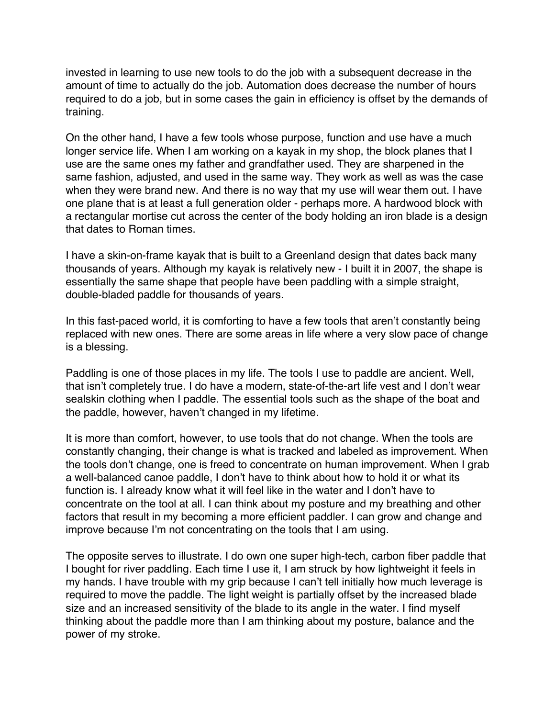invested in learning to use new tools to do the job with a subsequent decrease in the amount of time to actually do the job. Automation does decrease the number of hours required to do a job, but in some cases the gain in efficiency is offset by the demands of training.

On the other hand, I have a few tools whose purpose, function and use have a much longer service life. When I am working on a kayak in my shop, the block planes that I use are the same ones my father and grandfather used. They are sharpened in the same fashion, adjusted, and used in the same way. They work as well as was the case when they were brand new. And there is no way that my use will wear them out. I have one plane that is at least a full generation older - perhaps more. A hardwood block with a rectangular mortise cut across the center of the body holding an iron blade is a design that dates to Roman times.

I have a skin-on-frame kayak that is built to a Greenland design that dates back many thousands of years. Although my kayak is relatively new - I built it in 2007, the shape is essentially the same shape that people have been paddling with a simple straight, double-bladed paddle for thousands of years.

In this fast-paced world, it is comforting to have a few tools that aren't constantly being replaced with new ones. There are some areas in life where a very slow pace of change is a blessing.

Paddling is one of those places in my life. The tools I use to paddle are ancient. Well, that isn't completely true. I do have a modern, state-of-the-art life vest and I don't wear sealskin clothing when I paddle. The essential tools such as the shape of the boat and the paddle, however, haven't changed in my lifetime.

It is more than comfort, however, to use tools that do not change. When the tools are constantly changing, their change is what is tracked and labeled as improvement. When the tools don't change, one is freed to concentrate on human improvement. When I grab a well-balanced canoe paddle, I don't have to think about how to hold it or what its function is. I already know what it will feel like in the water and I don't have to concentrate on the tool at all. I can think about my posture and my breathing and other factors that result in my becoming a more efficient paddler. I can grow and change and improve because I'm not concentrating on the tools that I am using.

The opposite serves to illustrate. I do own one super high-tech, carbon fiber paddle that I bought for river paddling. Each time I use it, I am struck by how lightweight it feels in my hands. I have trouble with my grip because I can't tell initially how much leverage is required to move the paddle. The light weight is partially offset by the increased blade size and an increased sensitivity of the blade to its angle in the water. I find myself thinking about the paddle more than I am thinking about my posture, balance and the power of my stroke.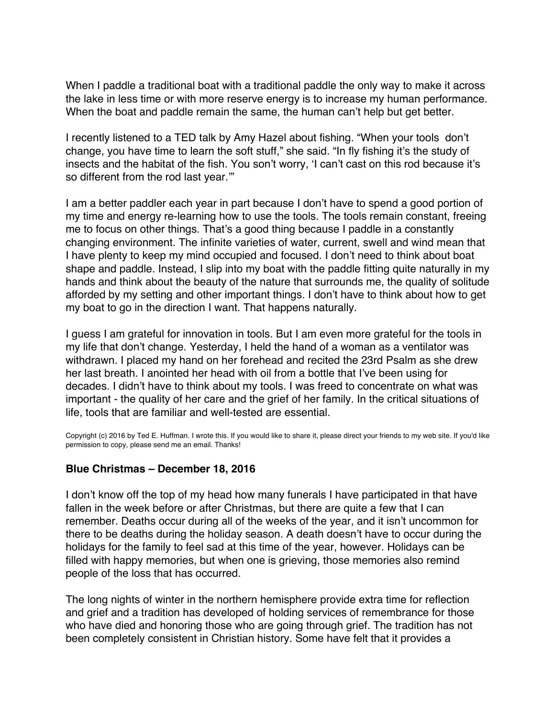<span id="page-36-0"></span>When I paddle a traditional boat with a traditional paddle the only way to make it across the lake in less time or with more reserve energy is to increase my human performance. When the boat and paddle remain the same, the human can't help but get better.

I recently listened to a TED talk by Amy Hazel about fishing. "When your tools don't change, you have time to learn the soft stuff," she said. "In fly fishing it's the study of insects and the habitat of the fish. You son't worry, 'I can't cast on this rod because it's so different from the rod last year.'"

I am a better paddler each year in part because I don't have to spend a good portion of my time and energy re-learning how to use the tools. The tools remain constant, freeing me to focus on other things. That's a good thing because I paddle in a constantly changing environment. The infinite varieties of water, current, swell and wind mean that I have plenty to keep my mind occupied and focused. I don't need to think about boat shape and paddle. Instead, I slip into my boat with the paddle fitting quite naturally in my hands and think about the beauty of the nature that surrounds me, the quality of solitude afforded by my setting and other important things. I don't have to think about how to get my boat to go in the direction I want. That happens naturally.

I guess I am grateful for innovation in tools. But I am even more grateful for the tools in my life that don't change. Yesterday, I held the hand of a woman as a ventilator was withdrawn. I placed my hand on her forehead and recited the 23rd Psalm as she drew her last breath. I anointed her head with oil from a bottle that I've been using for decades. I didn't have to think about my tools. I was freed to concentrate on what was important - the quality of her care and the grief of her family. In the critical situations of life, tools that are familiar and well-tested are essential.

Copyright (c) 2016 by Ted E. Huffman. I wrote this. If you would like to share it, please direct your friends to my web site. If you'd like permission to copy, please send me an email. Thanks!

## **Blue Christmas – December 18, 2016**

I don't know off the top of my head how many funerals I have participated in that have fallen in the week before or after Christmas, but there are quite a few that I can remember. Deaths occur during all of the weeks of the year, and it isn't uncommon for there to be deaths during the holiday season. A death doesn't have to occur during the holidays for the family to feel sad at this time of the year, however. Holidays can be filled with happy memories, but when one is grieving, those memories also remind people of the loss that has occurred.

The long nights of winter in the northern hemisphere provide extra time for reflection and grief and a tradition has developed of holding services of remembrance for those who have died and honoring those who are going through grief. The tradition has not been completely consistent in Christian history. Some have felt that it provides a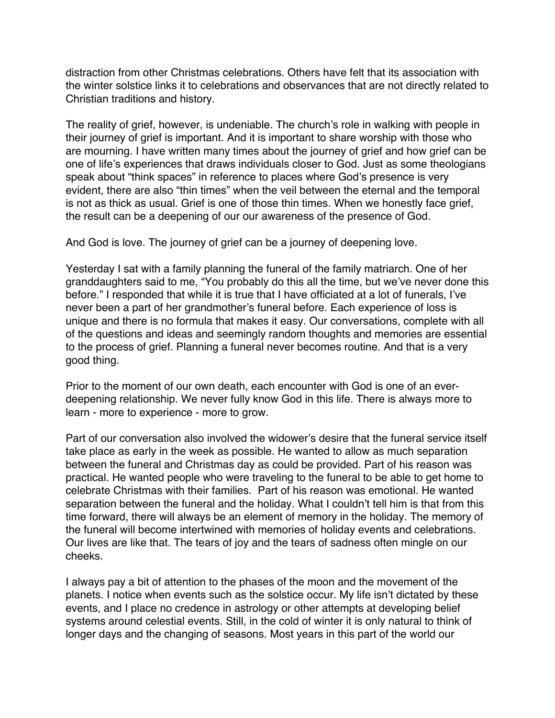distraction from other Christmas celebrations. Others have felt that its association with the winter solstice links it to celebrations and observances that are not directly related to Christian traditions and history.

The reality of grief, however, is undeniable. The church's role in walking with people in their journey of grief is important. And it is important to share worship with those who are mourning. I have written many times about the journey of grief and how grief can be one of life's experiences that draws individuals closer to God. Just as some theologians speak about "think spaces" in reference to places where God's presence is very evident, there are also "thin times" when the veil between the eternal and the temporal is not as thick as usual. Grief is one of those thin times. When we honestly face grief, the result can be a deepening of our our awareness of the presence of God.

And God is love. The journey of grief can be a journey of deepening love.

Yesterday I sat with a family planning the funeral of the family matriarch. One of her granddaughters said to me, "You probably do this all the time, but we've never done this before." I responded that while it is true that I have officiated at a lot of funerals, I've never been a part of her grandmother's funeral before. Each experience of loss is unique and there is no formula that makes it easy. Our conversations, complete with all of the questions and ideas and seemingly random thoughts and memories are essential to the process of grief. Planning a funeral never becomes routine. And that is a very good thing.

Prior to the moment of our own death, each encounter with God is one of an everdeepening relationship. We never fully know God in this life. There is always more to learn - more to experience - more to grow.

Part of our conversation also involved the widower's desire that the funeral service itself take place as early in the week as possible. He wanted to allow as much separation between the funeral and Christmas day as could be provided. Part of his reason was practical. He wanted people who were traveling to the funeral to be able to get home to celebrate Christmas with their families. Part of his reason was emotional. He wanted separation between the funeral and the holiday. What I couldn't tell him is that from this time forward, there will always be an element of memory in the holiday. The memory of the funeral will become intertwined with memories of holiday events and celebrations. Our lives are like that. The tears of joy and the tears of sadness often mingle on our cheeks.

I always pay a bit of attention to the phases of the moon and the movement of the planets. I notice when events such as the solstice occur. My life isn't dictated by these events, and I place no credence in astrology or other attempts at developing belief systems around celestial events. Still, in the cold of winter it is only natural to think of longer days and the changing of seasons. Most years in this part of the world our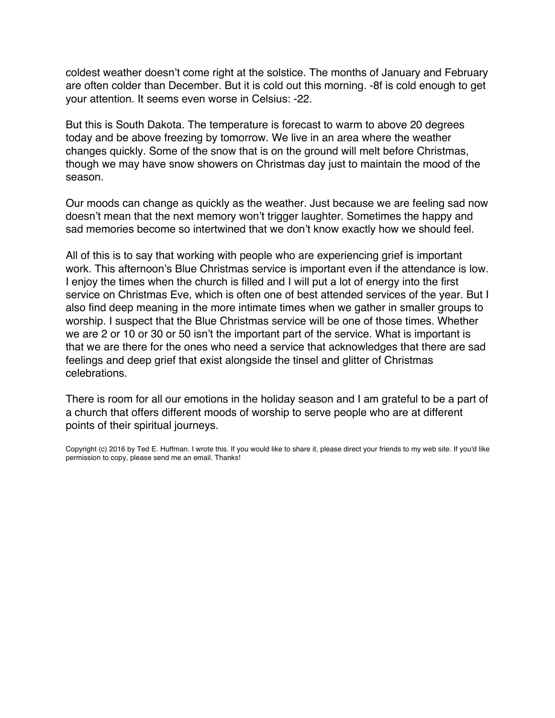coldest weather doesn't come right at the solstice. The months of January and February are often colder than December. But it is cold out this morning. -8f is cold enough to get your attention. It seems even worse in Celsius: -22.

But this is South Dakota. The temperature is forecast to warm to above 20 degrees today and be above freezing by tomorrow. We live in an area where the weather changes quickly. Some of the snow that is on the ground will melt before Christmas, though we may have snow showers on Christmas day just to maintain the mood of the season.

Our moods can change as quickly as the weather. Just because we are feeling sad now doesn't mean that the next memory won't trigger laughter. Sometimes the happy and sad memories become so intertwined that we don't know exactly how we should feel.

All of this is to say that working with people who are experiencing grief is important work. This afternoon's Blue Christmas service is important even if the attendance is low. I enjoy the times when the church is filled and I will put a lot of energy into the first service on Christmas Eve, which is often one of best attended services of the year. But I also find deep meaning in the more intimate times when we gather in smaller groups to worship. I suspect that the Blue Christmas service will be one of those times. Whether we are 2 or 10 or 30 or 50 isn't the important part of the service. What is important is that we are there for the ones who need a service that acknowledges that there are sad feelings and deep grief that exist alongside the tinsel and glitter of Christmas celebrations.

There is room for all our emotions in the holiday season and I am grateful to be a part of a church that offers different moods of worship to serve people who are at different points of their spiritual journeys.

Copyright (c) 2016 by Ted E. Huffman. I wrote this. If you would like to share it, please direct your friends to my web site. If you'd like permission to copy, please send me an email. Thanks!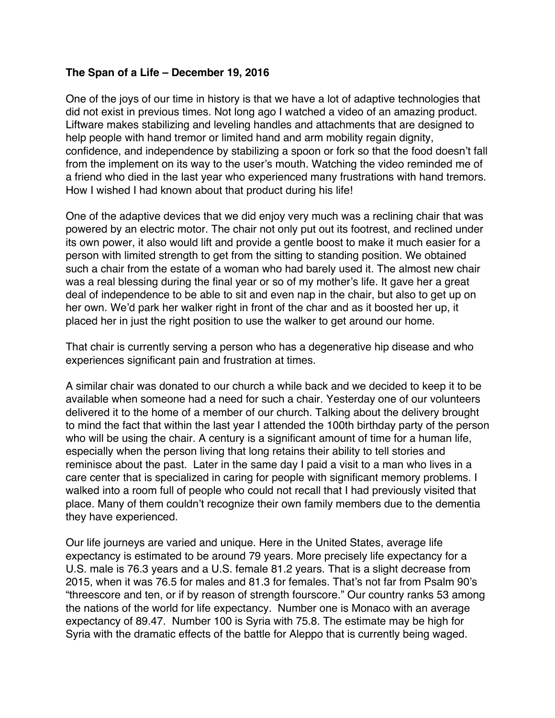## <span id="page-39-0"></span>**The Span of a Life – December 19, 2016**

One of the joys of our time in history is that we have a lot of adaptive technologies that did not exist in previous times. Not long ago I watched a video of an amazing product. Liftware makes stabilizing and leveling handles and attachments that are designed to help people with hand tremor or limited hand and arm mobility regain dignity, confidence, and independence by stabilizing a spoon or fork so that the food doesn't fall from the implement on its way to the user's mouth. Watching the video reminded me of a friend who died in the last year who experienced many frustrations with hand tremors. How I wished I had known about that product during his life!

One of the adaptive devices that we did enjoy very much was a reclining chair that was powered by an electric motor. The chair not only put out its footrest, and reclined under its own power, it also would lift and provide a gentle boost to make it much easier for a person with limited strength to get from the sitting to standing position. We obtained such a chair from the estate of a woman who had barely used it. The almost new chair was a real blessing during the final year or so of my mother's life. It gave her a great deal of independence to be able to sit and even nap in the chair, but also to get up on her own. We'd park her walker right in front of the char and as it boosted her up, it placed her in just the right position to use the walker to get around our home.

That chair is currently serving a person who has a degenerative hip disease and who experiences significant pain and frustration at times.

A similar chair was donated to our church a while back and we decided to keep it to be available when someone had a need for such a chair. Yesterday one of our volunteers delivered it to the home of a member of our church. Talking about the delivery brought to mind the fact that within the last year I attended the 100th birthday party of the person who will be using the chair. A century is a significant amount of time for a human life, especially when the person living that long retains their ability to tell stories and reminisce about the past. Later in the same day I paid a visit to a man who lives in a care center that is specialized in caring for people with significant memory problems. I walked into a room full of people who could not recall that I had previously visited that place. Many of them couldn't recognize their own family members due to the dementia they have experienced.

Our life journeys are varied and unique. Here in the United States, average life expectancy is estimated to be around 79 years. More precisely life expectancy for a U.S. male is 76.3 years and a U.S. female 81.2 years. That is a slight decrease from 2015, when it was 76.5 for males and 81.3 for females. That's not far from Psalm 90's "threescore and ten, or if by reason of strength fourscore." Our country ranks 53 among the nations of the world for life expectancy. Number one is Monaco with an average expectancy of 89.47. Number 100 is Syria with 75.8. The estimate may be high for Syria with the dramatic effects of the battle for Aleppo that is currently being waged.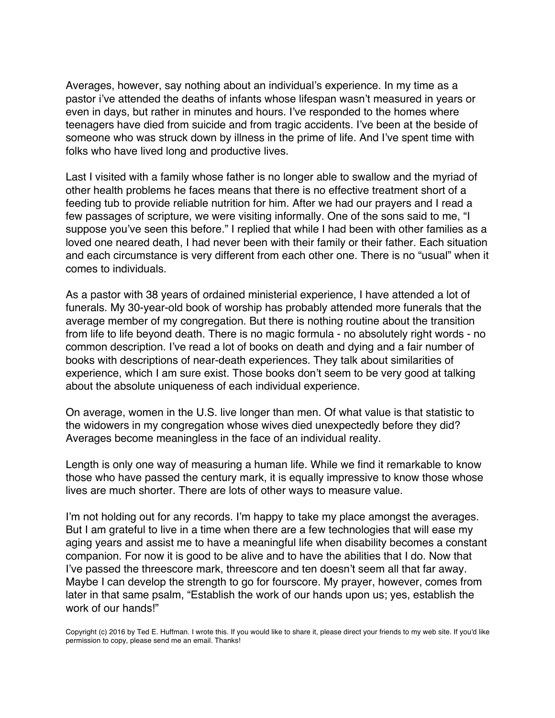Averages, however, say nothing about an individual's experience. In my time as a pastor i've attended the deaths of infants whose lifespan wasn't measured in years or even in days, but rather in minutes and hours. I've responded to the homes where teenagers have died from suicide and from tragic accidents. I've been at the beside of someone who was struck down by illness in the prime of life. And I've spent time with folks who have lived long and productive lives.

Last I visited with a family whose father is no longer able to swallow and the myriad of other health problems he faces means that there is no effective treatment short of a feeding tub to provide reliable nutrition for him. After we had our prayers and I read a few passages of scripture, we were visiting informally. One of the sons said to me, "I suppose you've seen this before." I replied that while I had been with other families as a loved one neared death, I had never been with their family or their father. Each situation and each circumstance is very different from each other one. There is no "usual" when it comes to individuals.

As a pastor with 38 years of ordained ministerial experience, I have attended a lot of funerals. My 30-year-old book of worship has probably attended more funerals that the average member of my congregation. But there is nothing routine about the transition from life to life beyond death. There is no magic formula - no absolutely right words - no common description. I've read a lot of books on death and dying and a fair number of books with descriptions of near-death experiences. They talk about similarities of experience, which I am sure exist. Those books don't seem to be very good at talking about the absolute uniqueness of each individual experience.

On average, women in the U.S. live longer than men. Of what value is that statistic to the widowers in my congregation whose wives died unexpectedly before they did? Averages become meaningless in the face of an individual reality.

Length is only one way of measuring a human life. While we find it remarkable to know those who have passed the century mark, it is equally impressive to know those whose lives are much shorter. There are lots of other ways to measure value.

I'm not holding out for any records. I'm happy to take my place amongst the averages. But I am grateful to live in a time when there are a few technologies that will ease my aging years and assist me to have a meaningful life when disability becomes a constant companion. For now it is good to be alive and to have the abilities that I do. Now that I've passed the threescore mark, threescore and ten doesn't seem all that far away. Maybe I can develop the strength to go for fourscore. My prayer, however, comes from later in that same psalm, "Establish the work of our hands upon us; yes, establish the work of our hands!"

Copyright (c) 2016 by Ted E. Huffman. I wrote this. If you would like to share it, please direct your friends to my web site. If you'd like permission to copy, please send me an email. Thanks!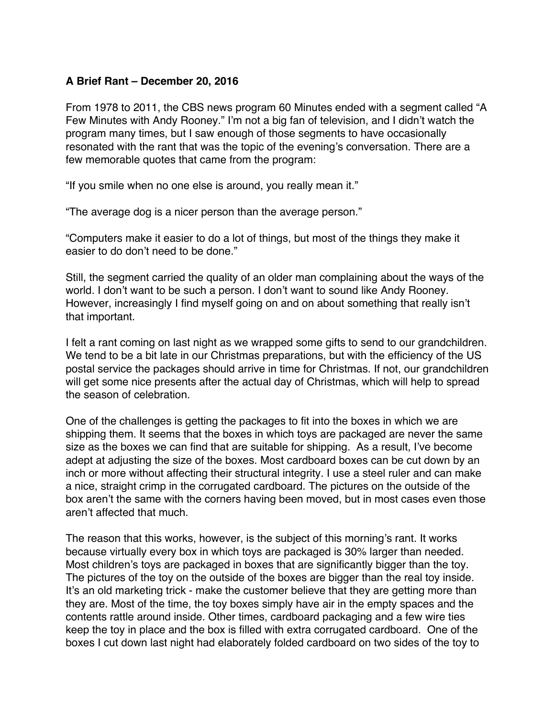# <span id="page-41-0"></span>**A Brief Rant – December 20, 2016**

From 1978 to 2011, the CBS news program 60 Minutes ended with a segment called "A Few Minutes with Andy Rooney." I'm not a big fan of television, and I didn't watch the program many times, but I saw enough of those segments to have occasionally resonated with the rant that was the topic of the evening's conversation. There are a few memorable quotes that came from the program:

"If you smile when no one else is around, you really mean it."

"The average dog is a nicer person than the average person."

"Computers make it easier to do a lot of things, but most of the things they make it easier to do don't need to be done."

Still, the segment carried the quality of an older man complaining about the ways of the world. I don't want to be such a person. I don't want to sound like Andy Rooney. However, increasingly I find myself going on and on about something that really isn't that important.

I felt a rant coming on last night as we wrapped some gifts to send to our grandchildren. We tend to be a bit late in our Christmas preparations, but with the efficiency of the US postal service the packages should arrive in time for Christmas. If not, our grandchildren will get some nice presents after the actual day of Christmas, which will help to spread the season of celebration.

One of the challenges is getting the packages to fit into the boxes in which we are shipping them. It seems that the boxes in which toys are packaged are never the same size as the boxes we can find that are suitable for shipping. As a result, I've become adept at adjusting the size of the boxes. Most cardboard boxes can be cut down by an inch or more without affecting their structural integrity. I use a steel ruler and can make a nice, straight crimp in the corrugated cardboard. The pictures on the outside of the box aren't the same with the corners having been moved, but in most cases even those aren't affected that much.

The reason that this works, however, is the subject of this morning's rant. It works because virtually every box in which toys are packaged is 30% larger than needed. Most children's toys are packaged in boxes that are significantly bigger than the toy. The pictures of the toy on the outside of the boxes are bigger than the real toy inside. It's an old marketing trick - make the customer believe that they are getting more than they are. Most of the time, the toy boxes simply have air in the empty spaces and the contents rattle around inside. Other times, cardboard packaging and a few wire ties keep the toy in place and the box is filled with extra corrugated cardboard. One of the boxes I cut down last night had elaborately folded cardboard on two sides of the toy to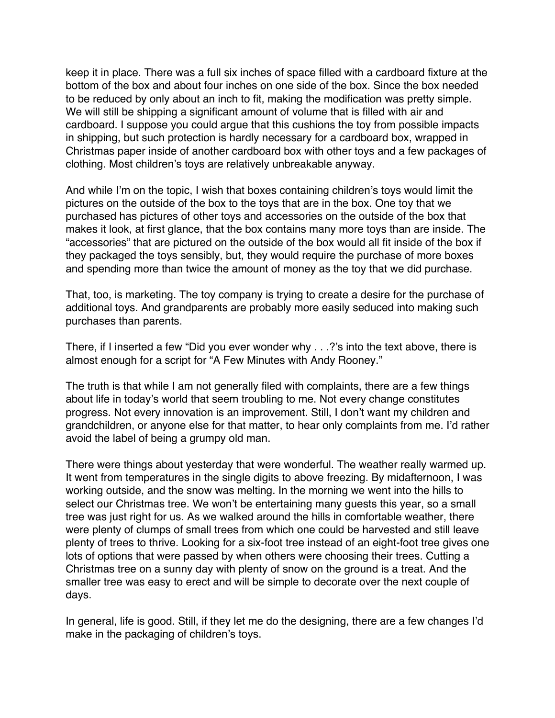keep it in place. There was a full six inches of space filled with a cardboard fixture at the bottom of the box and about four inches on one side of the box. Since the box needed to be reduced by only about an inch to fit, making the modification was pretty simple. We will still be shipping a significant amount of volume that is filled with air and cardboard. I suppose you could argue that this cushions the toy from possible impacts in shipping, but such protection is hardly necessary for a cardboard box, wrapped in Christmas paper inside of another cardboard box with other toys and a few packages of clothing. Most children's toys are relatively unbreakable anyway.

And while I'm on the topic, I wish that boxes containing children's toys would limit the pictures on the outside of the box to the toys that are in the box. One toy that we purchased has pictures of other toys and accessories on the outside of the box that makes it look, at first glance, that the box contains many more toys than are inside. The "accessories" that are pictured on the outside of the box would all fit inside of the box if they packaged the toys sensibly, but, they would require the purchase of more boxes and spending more than twice the amount of money as the toy that we did purchase.

That, too, is marketing. The toy company is trying to create a desire for the purchase of additional toys. And grandparents are probably more easily seduced into making such purchases than parents.

There, if I inserted a few "Did you ever wonder why . . .?'s into the text above, there is almost enough for a script for "A Few Minutes with Andy Rooney."

The truth is that while I am not generally filed with complaints, there are a few things about life in today's world that seem troubling to me. Not every change constitutes progress. Not every innovation is an improvement. Still, I don't want my children and grandchildren, or anyone else for that matter, to hear only complaints from me. I'd rather avoid the label of being a grumpy old man.

There were things about yesterday that were wonderful. The weather really warmed up. It went from temperatures in the single digits to above freezing. By midafternoon, I was working outside, and the snow was melting. In the morning we went into the hills to select our Christmas tree. We won't be entertaining many guests this year, so a small tree was just right for us. As we walked around the hills in comfortable weather, there were plenty of clumps of small trees from which one could be harvested and still leave plenty of trees to thrive. Looking for a six-foot tree instead of an eight-foot tree gives one lots of options that were passed by when others were choosing their trees. Cutting a Christmas tree on a sunny day with plenty of snow on the ground is a treat. And the smaller tree was easy to erect and will be simple to decorate over the next couple of days.

In general, life is good. Still, if they let me do the designing, there are a few changes I'd make in the packaging of children's toys.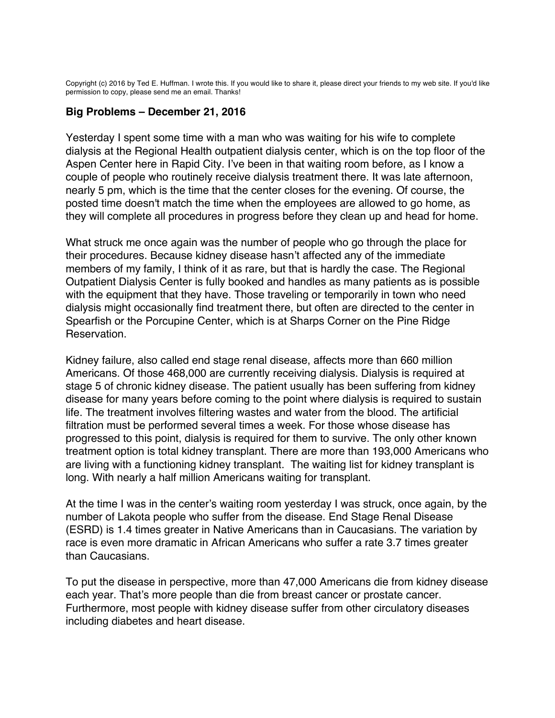<span id="page-43-0"></span>Copyright (c) 2016 by Ted E. Huffman. I wrote this. If you would like to share it, please direct your friends to my web site. If you'd like permission to copy, please send me an email. Thanks!

## **Big Problems – December 21, 2016**

Yesterday I spent some time with a man who was waiting for his wife to complete dialysis at the Regional Health outpatient dialysis center, which is on the top floor of the Aspen Center here in Rapid City. I've been in that waiting room before, as I know a couple of people who routinely receive dialysis treatment there. It was late afternoon, nearly 5 pm, which is the time that the center closes for the evening. Of course, the posted time doesn't match the time when the employees are allowed to go home, as they will complete all procedures in progress before they clean up and head for home.

What struck me once again was the number of people who go through the place for their procedures. Because kidney disease hasn't affected any of the immediate members of my family, I think of it as rare, but that is hardly the case. The Regional Outpatient Dialysis Center is fully booked and handles as many patients as is possible with the equipment that they have. Those traveling or temporarily in town who need dialysis might occasionally find treatment there, but often are directed to the center in Spearfish or the Porcupine Center, which is at Sharps Corner on the Pine Ridge Reservation.

Kidney failure, also called end stage renal disease, affects more than 660 million Americans. Of those 468,000 are currently receiving dialysis. Dialysis is required at stage 5 of chronic kidney disease. The patient usually has been suffering from kidney disease for many years before coming to the point where dialysis is required to sustain life. The treatment involves filtering wastes and water from the blood. The artificial filtration must be performed several times a week. For those whose disease has progressed to this point, dialysis is required for them to survive. The only other known treatment option is total kidney transplant. There are more than 193,000 Americans who are living with a functioning kidney transplant. The waiting list for kidney transplant is long. With nearly a half million Americans waiting for transplant.

At the time I was in the center's waiting room yesterday I was struck, once again, by the number of Lakota people who suffer from the disease. End Stage Renal Disease (ESRD) is 1.4 times greater in Native Americans than in Caucasians. The variation by race is even more dramatic in African Americans who suffer a rate 3.7 times greater than Caucasians.

To put the disease in perspective, more than 47,000 Americans die from kidney disease each year. That's more people than die from breast cancer or prostate cancer. Furthermore, most people with kidney disease suffer from other circulatory diseases including diabetes and heart disease.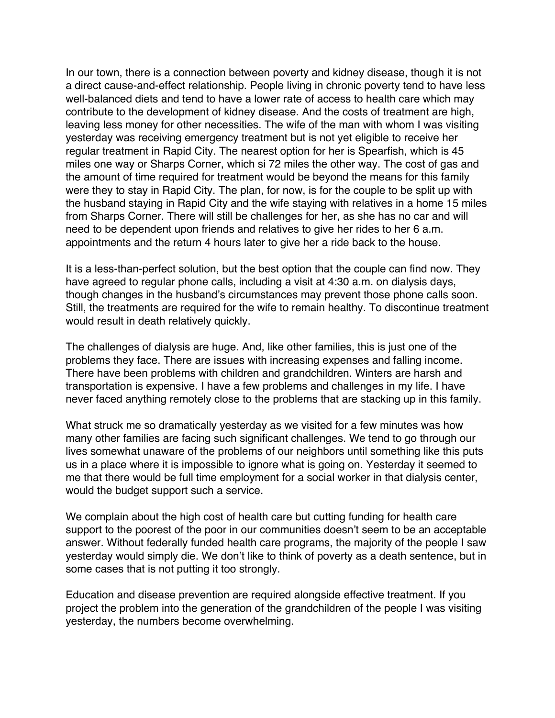In our town, there is a connection between poverty and kidney disease, though it is not a direct cause-and-effect relationship. People living in chronic poverty tend to have less well-balanced diets and tend to have a lower rate of access to health care which may contribute to the development of kidney disease. And the costs of treatment are high, leaving less money for other necessities. The wife of the man with whom I was visiting yesterday was receiving emergency treatment but is not yet eligible to receive her regular treatment in Rapid City. The nearest option for her is Spearfish, which is 45 miles one way or Sharps Corner, which si 72 miles the other way. The cost of gas and the amount of time required for treatment would be beyond the means for this family were they to stay in Rapid City. The plan, for now, is for the couple to be split up with the husband staying in Rapid City and the wife staying with relatives in a home 15 miles from Sharps Corner. There will still be challenges for her, as she has no car and will need to be dependent upon friends and relatives to give her rides to her 6 a.m. appointments and the return 4 hours later to give her a ride back to the house.

It is a less-than-perfect solution, but the best option that the couple can find now. They have agreed to regular phone calls, including a visit at 4:30 a.m. on dialysis days, though changes in the husband's circumstances may prevent those phone calls soon. Still, the treatments are required for the wife to remain healthy. To discontinue treatment would result in death relatively quickly.

The challenges of dialysis are huge. And, like other families, this is just one of the problems they face. There are issues with increasing expenses and falling income. There have been problems with children and grandchildren. Winters are harsh and transportation is expensive. I have a few problems and challenges in my life. I have never faced anything remotely close to the problems that are stacking up in this family.

What struck me so dramatically yesterday as we visited for a few minutes was how many other families are facing such significant challenges. We tend to go through our lives somewhat unaware of the problems of our neighbors until something like this puts us in a place where it is impossible to ignore what is going on. Yesterday it seemed to me that there would be full time employment for a social worker in that dialysis center, would the budget support such a service.

We complain about the high cost of health care but cutting funding for health care support to the poorest of the poor in our communities doesn't seem to be an acceptable answer. Without federally funded health care programs, the majority of the people I saw yesterday would simply die. We don't like to think of poverty as a death sentence, but in some cases that is not putting it too strongly.

Education and disease prevention are required alongside effective treatment. If you project the problem into the generation of the grandchildren of the people I was visiting yesterday, the numbers become overwhelming.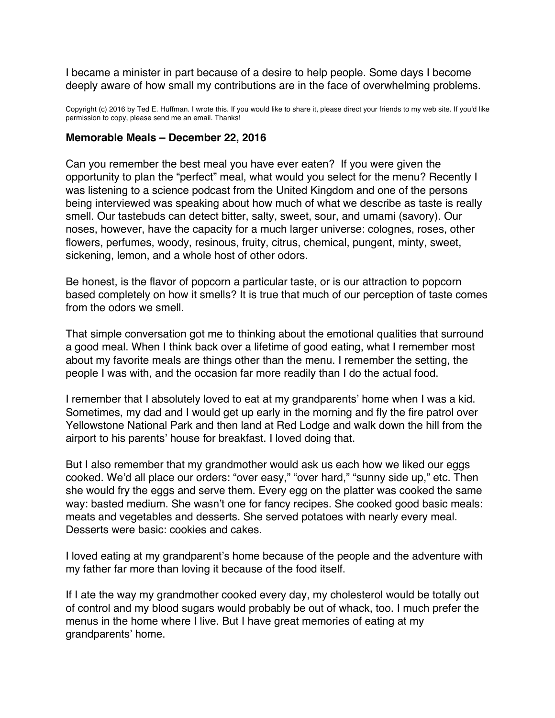<span id="page-45-0"></span>I became a minister in part because of a desire to help people. Some days I become deeply aware of how small my contributions are in the face of overwhelming problems.

Copyright (c) 2016 by Ted E. Huffman. I wrote this. If you would like to share it, please direct your friends to my web site. If you'd like permission to copy, please send me an email. Thanks!

#### **Memorable Meals – December 22, 2016**

Can you remember the best meal you have ever eaten? If you were given the opportunity to plan the "perfect" meal, what would you select for the menu? Recently I was listening to a science podcast from the United Kingdom and one of the persons being interviewed was speaking about how much of what we describe as taste is really smell. Our tastebuds can detect bitter, salty, sweet, sour, and umami (savory). Our noses, however, have the capacity for a much larger universe: colognes, roses, other flowers, perfumes, woody, resinous, fruity, citrus, chemical, pungent, minty, sweet, sickening, lemon, and a whole host of other odors.

Be honest, is the flavor of popcorn a particular taste, or is our attraction to popcorn based completely on how it smells? It is true that much of our perception of taste comes from the odors we smell.

That simple conversation got me to thinking about the emotional qualities that surround a good meal. When I think back over a lifetime of good eating, what I remember most about my favorite meals are things other than the menu. I remember the setting, the people I was with, and the occasion far more readily than I do the actual food.

I remember that I absolutely loved to eat at my grandparents' home when I was a kid. Sometimes, my dad and I would get up early in the morning and fly the fire patrol over Yellowstone National Park and then land at Red Lodge and walk down the hill from the airport to his parents' house for breakfast. I loved doing that.

But I also remember that my grandmother would ask us each how we liked our eggs cooked. We'd all place our orders: "over easy," "over hard," "sunny side up," etc. Then she would fry the eggs and serve them. Every egg on the platter was cooked the same way: basted medium. She wasn't one for fancy recipes. She cooked good basic meals: meats and vegetables and desserts. She served potatoes with nearly every meal. Desserts were basic: cookies and cakes.

I loved eating at my grandparent's home because of the people and the adventure with my father far more than loving it because of the food itself.

If I ate the way my grandmother cooked every day, my cholesterol would be totally out of control and my blood sugars would probably be out of whack, too. I much prefer the menus in the home where I live. But I have great memories of eating at my grandparents' home.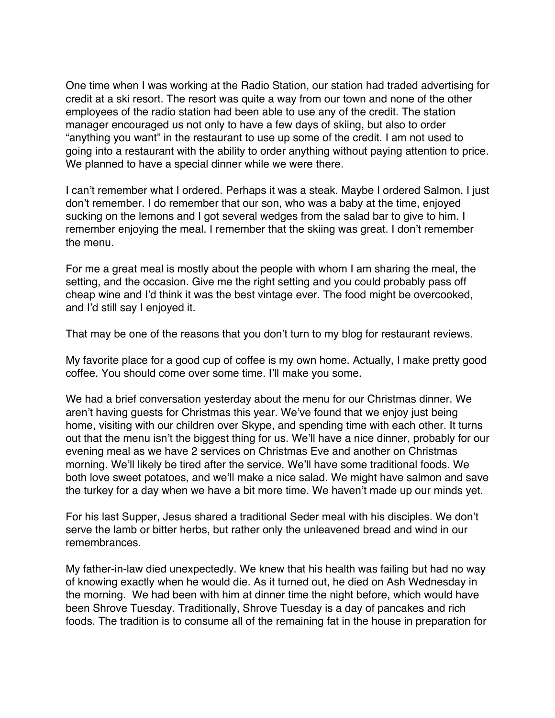One time when I was working at the Radio Station, our station had traded advertising for credit at a ski resort. The resort was quite a way from our town and none of the other employees of the radio station had been able to use any of the credit. The station manager encouraged us not only to have a few days of skiing, but also to order "anything you want" in the restaurant to use up some of the credit. I am not used to going into a restaurant with the ability to order anything without paying attention to price. We planned to have a special dinner while we were there.

I can't remember what I ordered. Perhaps it was a steak. Maybe I ordered Salmon. I just don't remember. I do remember that our son, who was a baby at the time, enjoyed sucking on the lemons and I got several wedges from the salad bar to give to him. I remember enjoying the meal. I remember that the skiing was great. I don't remember the menu.

For me a great meal is mostly about the people with whom I am sharing the meal, the setting, and the occasion. Give me the right setting and you could probably pass off cheap wine and I'd think it was the best vintage ever. The food might be overcooked, and I'd still say I enjoyed it.

That may be one of the reasons that you don't turn to my blog for restaurant reviews.

My favorite place for a good cup of coffee is my own home. Actually, I make pretty good coffee. You should come over some time. I'll make you some.

We had a brief conversation yesterday about the menu for our Christmas dinner. We aren't having guests for Christmas this year. We've found that we enjoy just being home, visiting with our children over Skype, and spending time with each other. It turns out that the menu isn't the biggest thing for us. We'll have a nice dinner, probably for our evening meal as we have 2 services on Christmas Eve and another on Christmas morning. We'll likely be tired after the service. We'll have some traditional foods. We both love sweet potatoes, and we'll make a nice salad. We might have salmon and save the turkey for a day when we have a bit more time. We haven't made up our minds yet.

For his last Supper, Jesus shared a traditional Seder meal with his disciples. We don't serve the lamb or bitter herbs, but rather only the unleavened bread and wind in our remembrances.

My father-in-law died unexpectedly. We knew that his health was failing but had no way of knowing exactly when he would die. As it turned out, he died on Ash Wednesday in the morning. We had been with him at dinner time the night before, which would have been Shrove Tuesday. Traditionally, Shrove Tuesday is a day of pancakes and rich foods. The tradition is to consume all of the remaining fat in the house in preparation for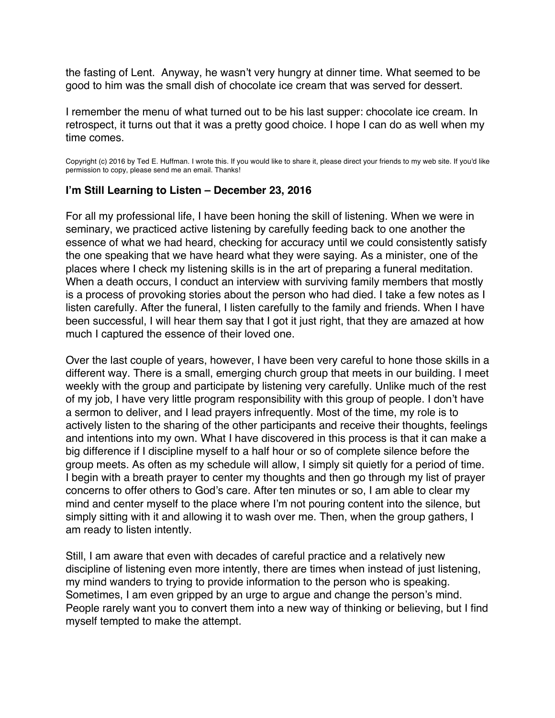<span id="page-47-0"></span>the fasting of Lent. Anyway, he wasn't very hungry at dinner time. What seemed to be good to him was the small dish of chocolate ice cream that was served for dessert.

I remember the menu of what turned out to be his last supper: chocolate ice cream. In retrospect, it turns out that it was a pretty good choice. I hope I can do as well when my time comes.

Copyright (c) 2016 by Ted E. Huffman. I wrote this. If you would like to share it, please direct your friends to my web site. If you'd like permission to copy, please send me an email. Thanks!

# **I'm Still Learning to Listen – December 23, 2016**

For all my professional life, I have been honing the skill of listening. When we were in seminary, we practiced active listening by carefully feeding back to one another the essence of what we had heard, checking for accuracy until we could consistently satisfy the one speaking that we have heard what they were saying. As a minister, one of the places where I check my listening skills is in the art of preparing a funeral meditation. When a death occurs, I conduct an interview with surviving family members that mostly is a process of provoking stories about the person who had died. I take a few notes as I listen carefully. After the funeral, I listen carefully to the family and friends. When I have been successful, I will hear them say that I got it just right, that they are amazed at how much I captured the essence of their loved one.

Over the last couple of years, however, I have been very careful to hone those skills in a different way. There is a small, emerging church group that meets in our building. I meet weekly with the group and participate by listening very carefully. Unlike much of the rest of my job, I have very little program responsibility with this group of people. I don't have a sermon to deliver, and I lead prayers infrequently. Most of the time, my role is to actively listen to the sharing of the other participants and receive their thoughts, feelings and intentions into my own. What I have discovered in this process is that it can make a big difference if I discipline myself to a half hour or so of complete silence before the group meets. As often as my schedule will allow, I simply sit quietly for a period of time. I begin with a breath prayer to center my thoughts and then go through my list of prayer concerns to offer others to God's care. After ten minutes or so, I am able to clear my mind and center myself to the place where I'm not pouring content into the silence, but simply sitting with it and allowing it to wash over me. Then, when the group gathers, I am ready to listen intently.

Still, I am aware that even with decades of careful practice and a relatively new discipline of listening even more intently, there are times when instead of just listening, my mind wanders to trying to provide information to the person who is speaking. Sometimes, I am even gripped by an urge to argue and change the person's mind. People rarely want you to convert them into a new way of thinking or believing, but I find myself tempted to make the attempt.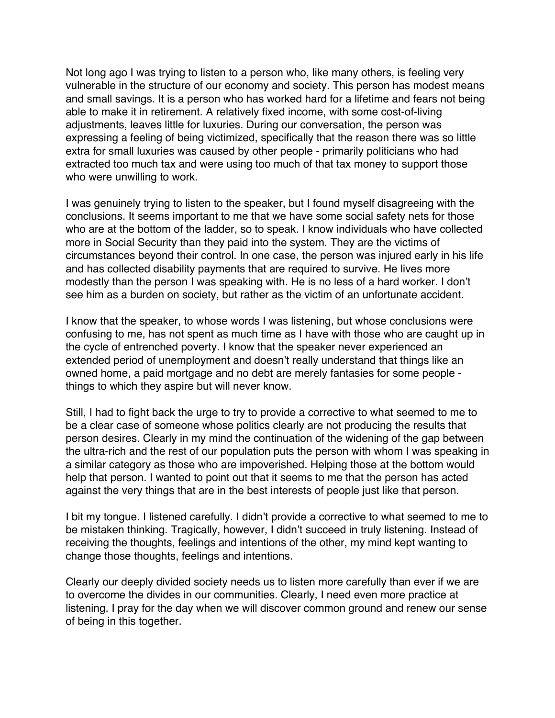Not long ago I was trying to listen to a person who, like many others, is feeling very vulnerable in the structure of our economy and society. This person has modest means and small savings. It is a person who has worked hard for a lifetime and fears not being able to make it in retirement. A relatively fixed income, with some cost-of-living adjustments, leaves little for luxuries. During our conversation, the person was expressing a feeling of being victimized, specifically that the reason there was so little extra for small luxuries was caused by other people - primarily politicians who had extracted too much tax and were using too much of that tax money to support those who were unwilling to work.

I was genuinely trying to listen to the speaker, but I found myself disagreeing with the conclusions. It seems important to me that we have some social safety nets for those who are at the bottom of the ladder, so to speak. I know individuals who have collected more in Social Security than they paid into the system. They are the victims of circumstances beyond their control. In one case, the person was injured early in his life and has collected disability payments that are required to survive. He lives more modestly than the person I was speaking with. He is no less of a hard worker. I don't see him as a burden on society, but rather as the victim of an unfortunate accident.

I know that the speaker, to whose words I was listening, but whose conclusions were confusing to me, has not spent as much time as I have with those who are caught up in the cycle of entrenched poverty. I know that the speaker never experienced an extended period of unemployment and doesn't really understand that things like an owned home, a paid mortgage and no debt are merely fantasies for some people things to which they aspire but will never know.

Still, I had to fight back the urge to try to provide a corrective to what seemed to me to be a clear case of someone whose politics clearly are not producing the results that person desires. Clearly in my mind the continuation of the widening of the gap between the ultra-rich and the rest of our population puts the person with whom I was speaking in a similar category as those who are impoverished. Helping those at the bottom would help that person. I wanted to point out that it seems to me that the person has acted against the very things that are in the best interests of people just like that person.

I bit my tongue. I listened carefully. I didn't provide a corrective to what seemed to me to be mistaken thinking. Tragically, however, I didn't succeed in truly listening. Instead of receiving the thoughts, feelings and intentions of the other, my mind kept wanting to change those thoughts, feelings and intentions.

Clearly our deeply divided society needs us to listen more carefully than ever if we are to overcome the divides in our communities. Clearly, I need even more practice at listening. I pray for the day when we will discover common ground and renew our sense of being in this together.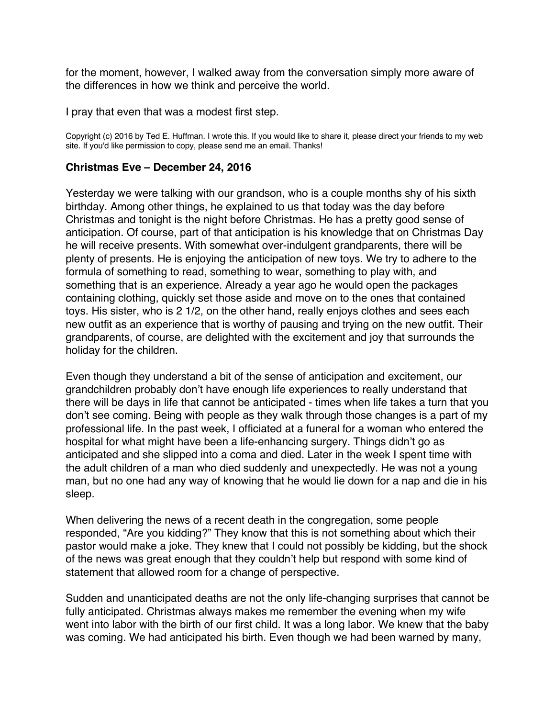<span id="page-49-0"></span>for the moment, however, I walked away from the conversation simply more aware of the differences in how we think and perceive the world.

I pray that even that was a modest first step.

Copyright (c) 2016 by Ted E. Huffman. I wrote this. If you would like to share it, please direct your friends to my web site. If you'd like permission to copy, please send me an email. Thanks!

#### **Christmas Eve – December 24, 2016**

Yesterday we were talking with our grandson, who is a couple months shy of his sixth birthday. Among other things, he explained to us that today was the day before Christmas and tonight is the night before Christmas. He has a pretty good sense of anticipation. Of course, part of that anticipation is his knowledge that on Christmas Day he will receive presents. With somewhat over-indulgent grandparents, there will be plenty of presents. He is enjoying the anticipation of new toys. We try to adhere to the formula of something to read, something to wear, something to play with, and something that is an experience. Already a year ago he would open the packages containing clothing, quickly set those aside and move on to the ones that contained toys. His sister, who is 2 1/2, on the other hand, really enjoys clothes and sees each new outfit as an experience that is worthy of pausing and trying on the new outfit. Their grandparents, of course, are delighted with the excitement and joy that surrounds the holiday for the children.

Even though they understand a bit of the sense of anticipation and excitement, our grandchildren probably don't have enough life experiences to really understand that there will be days in life that cannot be anticipated - times when life takes a turn that you don't see coming. Being with people as they walk through those changes is a part of my professional life. In the past week, I officiated at a funeral for a woman who entered the hospital for what might have been a life-enhancing surgery. Things didn't go as anticipated and she slipped into a coma and died. Later in the week I spent time with the adult children of a man who died suddenly and unexpectedly. He was not a young man, but no one had any way of knowing that he would lie down for a nap and die in his sleep.

When delivering the news of a recent death in the congregation, some people responded, "Are you kidding?" They know that this is not something about which their pastor would make a joke. They knew that I could not possibly be kidding, but the shock of the news was great enough that they couldn't help but respond with some kind of statement that allowed room for a change of perspective.

Sudden and unanticipated deaths are not the only life-changing surprises that cannot be fully anticipated. Christmas always makes me remember the evening when my wife went into labor with the birth of our first child. It was a long labor. We knew that the baby was coming. We had anticipated his birth. Even though we had been warned by many,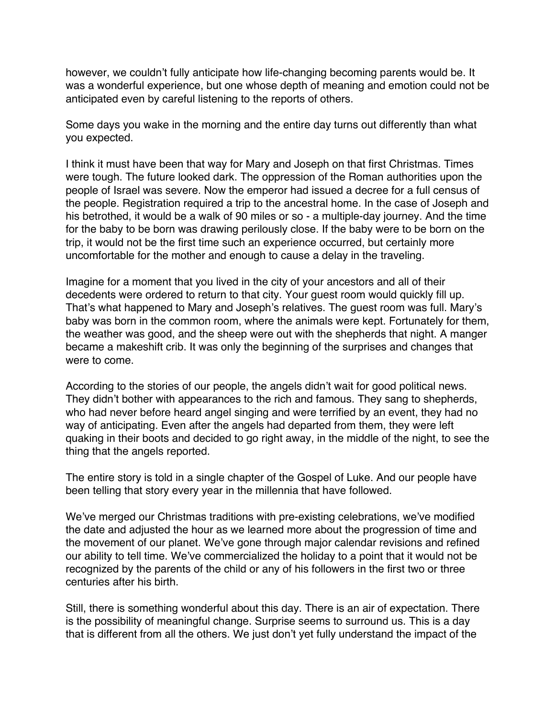however, we couldn't fully anticipate how life-changing becoming parents would be. It was a wonderful experience, but one whose depth of meaning and emotion could not be anticipated even by careful listening to the reports of others.

Some days you wake in the morning and the entire day turns out differently than what you expected.

I think it must have been that way for Mary and Joseph on that first Christmas. Times were tough. The future looked dark. The oppression of the Roman authorities upon the people of Israel was severe. Now the emperor had issued a decree for a full census of the people. Registration required a trip to the ancestral home. In the case of Joseph and his betrothed, it would be a walk of 90 miles or so - a multiple-day journey. And the time for the baby to be born was drawing perilously close. If the baby were to be born on the trip, it would not be the first time such an experience occurred, but certainly more uncomfortable for the mother and enough to cause a delay in the traveling.

Imagine for a moment that you lived in the city of your ancestors and all of their decedents were ordered to return to that city. Your guest room would quickly fill up. That's what happened to Mary and Joseph's relatives. The guest room was full. Mary's baby was born in the common room, where the animals were kept. Fortunately for them, the weather was good, and the sheep were out with the shepherds that night. A manger became a makeshift crib. It was only the beginning of the surprises and changes that were to come.

According to the stories of our people, the angels didn't wait for good political news. They didn't bother with appearances to the rich and famous. They sang to shepherds, who had never before heard angel singing and were terrified by an event, they had no way of anticipating. Even after the angels had departed from them, they were left quaking in their boots and decided to go right away, in the middle of the night, to see the thing that the angels reported.

The entire story is told in a single chapter of the Gospel of Luke. And our people have been telling that story every year in the millennia that have followed.

We've merged our Christmas traditions with pre-existing celebrations, we've modified the date and adjusted the hour as we learned more about the progression of time and the movement of our planet. We've gone through major calendar revisions and refined our ability to tell time. We've commercialized the holiday to a point that it would not be recognized by the parents of the child or any of his followers in the first two or three centuries after his birth.

Still, there is something wonderful about this day. There is an air of expectation. There is the possibility of meaningful change. Surprise seems to surround us. This is a day that is different from all the others. We just don't yet fully understand the impact of the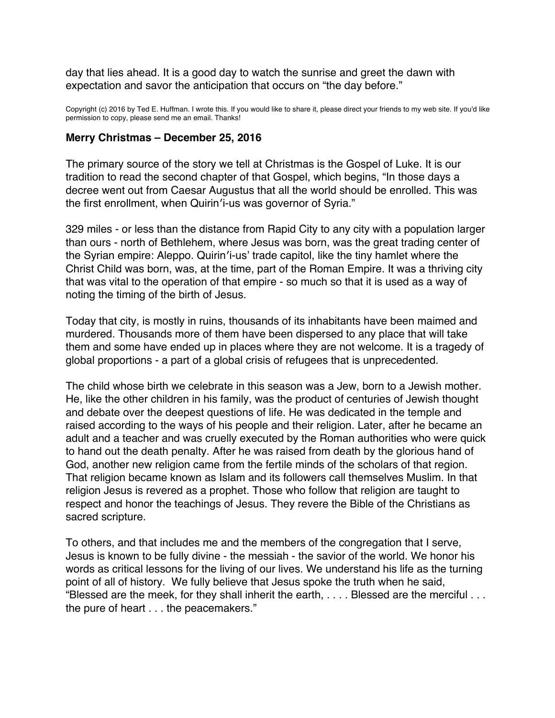<span id="page-51-0"></span>day that lies ahead. It is a good day to watch the sunrise and greet the dawn with expectation and savor the anticipation that occurs on "the day before."

Copyright (c) 2016 by Ted E. Huffman. I wrote this. If you would like to share it, please direct your friends to my web site. If you'd like permission to copy, please send me an email. Thanks!

#### **Merry Christmas – December 25, 2016**

The primary source of the story we tell at Christmas is the Gospel of Luke. It is our tradition to read the second chapter of that Gospel, which begins, "In those days a decree went out from Caesar Augustus that all the world should be enrolled. This was the first enrollment, when Quirin′i-us was governor of Syria."

329 miles - or less than the distance from Rapid City to any city with a population larger than ours - north of Bethlehem, where Jesus was born, was the great trading center of the Syrian empire: Aleppo. Quirin′i-us' trade capitol, like the tiny hamlet where the Christ Child was born, was, at the time, part of the Roman Empire. It was a thriving city that was vital to the operation of that empire - so much so that it is used as a way of noting the timing of the birth of Jesus.

Today that city, is mostly in ruins, thousands of its inhabitants have been maimed and murdered. Thousands more of them have been dispersed to any place that will take them and some have ended up in places where they are not welcome. It is a tragedy of global proportions - a part of a global crisis of refugees that is unprecedented.

The child whose birth we celebrate in this season was a Jew, born to a Jewish mother. He, like the other children in his family, was the product of centuries of Jewish thought and debate over the deepest questions of life. He was dedicated in the temple and raised according to the ways of his people and their religion. Later, after he became an adult and a teacher and was cruelly executed by the Roman authorities who were quick to hand out the death penalty. After he was raised from death by the glorious hand of God, another new religion came from the fertile minds of the scholars of that region. That religion became known as Islam and its followers call themselves Muslim. In that religion Jesus is revered as a prophet. Those who follow that religion are taught to respect and honor the teachings of Jesus. They revere the Bible of the Christians as sacred scripture.

To others, and that includes me and the members of the congregation that I serve, Jesus is known to be fully divine - the messiah - the savior of the world. We honor his words as critical lessons for the living of our lives. We understand his life as the turning point of all of history. We fully believe that Jesus spoke the truth when he said, "Blessed are the meek, for they shall inherit the earth, . . . . Blessed are the merciful . . . the pure of heart . . . the peacemakers."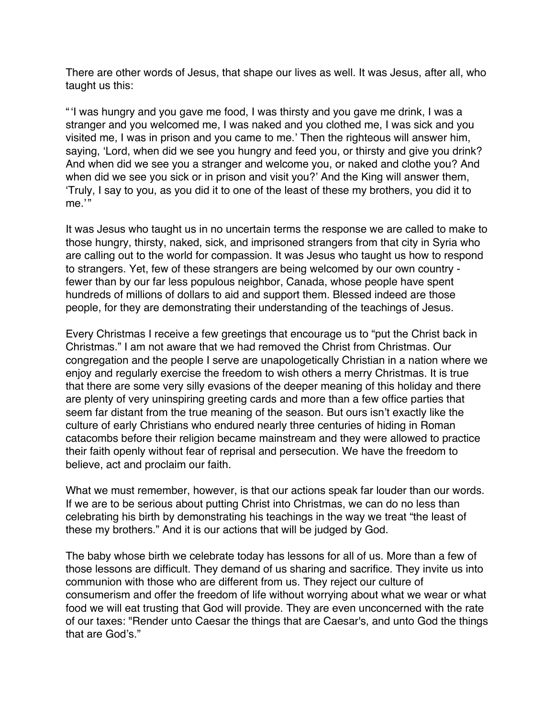There are other words of Jesus, that shape our lives as well. It was Jesus, after all, who taught us this:

"'I was hungry and you gave me food, I was thirsty and you gave me drink, I was a stranger and you welcomed me, I was naked and you clothed me, I was sick and you visited me, I was in prison and you came to me.' Then the righteous will answer him, saying, 'Lord, when did we see you hungry and feed you, or thirsty and give you drink? And when did we see you a stranger and welcome you, or naked and clothe you? And when did we see you sick or in prison and visit you?' And the King will answer them, 'Truly, I say to you, as you did it to one of the least of these my brothers, you did it to me.'"

It was Jesus who taught us in no uncertain terms the response we are called to make to those hungry, thirsty, naked, sick, and imprisoned strangers from that city in Syria who are calling out to the world for compassion. It was Jesus who taught us how to respond to strangers. Yet, few of these strangers are being welcomed by our own country fewer than by our far less populous neighbor, Canada, whose people have spent hundreds of millions of dollars to aid and support them. Blessed indeed are those people, for they are demonstrating their understanding of the teachings of Jesus.

Every Christmas I receive a few greetings that encourage us to "put the Christ back in Christmas." I am not aware that we had removed the Christ from Christmas. Our congregation and the people I serve are unapologetically Christian in a nation where we enjoy and regularly exercise the freedom to wish others a merry Christmas. It is true that there are some very silly evasions of the deeper meaning of this holiday and there are plenty of very uninspiring greeting cards and more than a few office parties that seem far distant from the true meaning of the season. But ours isn't exactly like the culture of early Christians who endured nearly three centuries of hiding in Roman catacombs before their religion became mainstream and they were allowed to practice their faith openly without fear of reprisal and persecution. We have the freedom to believe, act and proclaim our faith.

What we must remember, however, is that our actions speak far louder than our words. If we are to be serious about putting Christ into Christmas, we can do no less than celebrating his birth by demonstrating his teachings in the way we treat "the least of these my brothers." And it is our actions that will be judged by God.

The baby whose birth we celebrate today has lessons for all of us. More than a few of those lessons are difficult. They demand of us sharing and sacrifice. They invite us into communion with those who are different from us. They reject our culture of consumerism and offer the freedom of life without worrying about what we wear or what food we will eat trusting that God will provide. They are even unconcerned with the rate of our taxes: "Render unto Caesar the things that are Caesar's, and unto God the things that are God's."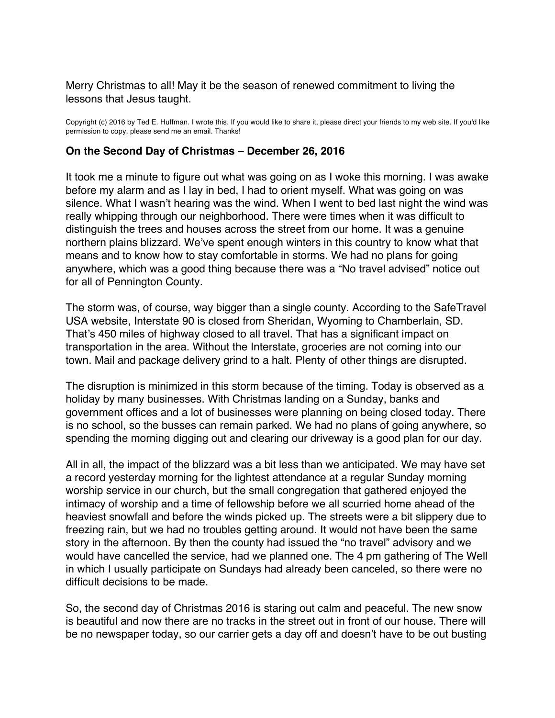## <span id="page-53-0"></span>Merry Christmas to all! May it be the season of renewed commitment to living the lessons that Jesus taught.

Copyright (c) 2016 by Ted E. Huffman. I wrote this. If you would like to share it, please direct your friends to my web site. If you'd like permission to copy, please send me an email. Thanks!

#### **On the Second Day of Christmas – December 26, 2016**

It took me a minute to figure out what was going on as I woke this morning. I was awake before my alarm and as I lay in bed, I had to orient myself. What was going on was silence. What I wasn't hearing was the wind. When I went to bed last night the wind was really whipping through our neighborhood. There were times when it was difficult to distinguish the trees and houses across the street from our home. It was a genuine northern plains blizzard. We've spent enough winters in this country to know what that means and to know how to stay comfortable in storms. We had no plans for going anywhere, which was a good thing because there was a "No travel advised" notice out for all of Pennington County.

The storm was, of course, way bigger than a single county. According to the SafeTravel USA website, Interstate 90 is closed from Sheridan, Wyoming to Chamberlain, SD. That's 450 miles of highway closed to all travel. That has a significant impact on transportation in the area. Without the Interstate, groceries are not coming into our town. Mail and package delivery grind to a halt. Plenty of other things are disrupted.

The disruption is minimized in this storm because of the timing. Today is observed as a holiday by many businesses. With Christmas landing on a Sunday, banks and government offices and a lot of businesses were planning on being closed today. There is no school, so the busses can remain parked. We had no plans of going anywhere, so spending the morning digging out and clearing our driveway is a good plan for our day.

All in all, the impact of the blizzard was a bit less than we anticipated. We may have set a record yesterday morning for the lightest attendance at a regular Sunday morning worship service in our church, but the small congregation that gathered enjoyed the intimacy of worship and a time of fellowship before we all scurried home ahead of the heaviest snowfall and before the winds picked up. The streets were a bit slippery due to freezing rain, but we had no troubles getting around. It would not have been the same story in the afternoon. By then the county had issued the "no travel" advisory and we would have cancelled the service, had we planned one. The 4 pm gathering of The Well in which I usually participate on Sundays had already been canceled, so there were no difficult decisions to be made.

So, the second day of Christmas 2016 is staring out calm and peaceful. The new snow is beautiful and now there are no tracks in the street out in front of our house. There will be no newspaper today, so our carrier gets a day off and doesn't have to be out busting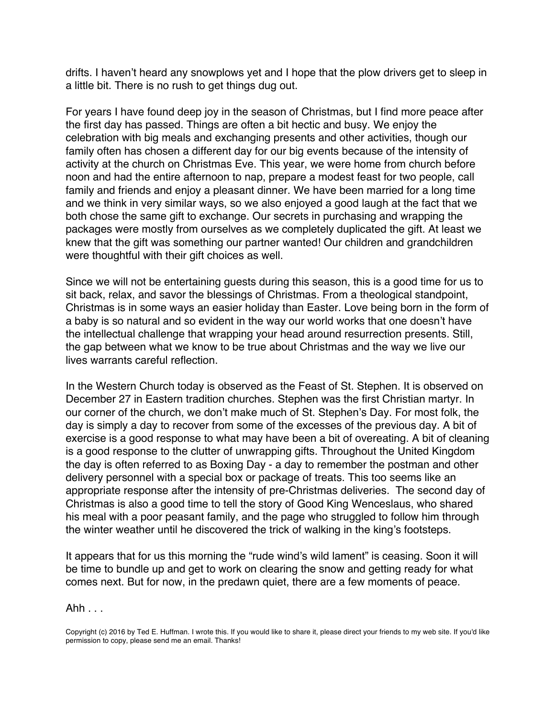drifts. I haven't heard any snowplows yet and I hope that the plow drivers get to sleep in a little bit. There is no rush to get things dug out.

For years I have found deep joy in the season of Christmas, but I find more peace after the first day has passed. Things are often a bit hectic and busy. We enjoy the celebration with big meals and exchanging presents and other activities, though our family often has chosen a different day for our big events because of the intensity of activity at the church on Christmas Eve. This year, we were home from church before noon and had the entire afternoon to nap, prepare a modest feast for two people, call family and friends and enjoy a pleasant dinner. We have been married for a long time and we think in very similar ways, so we also enjoyed a good laugh at the fact that we both chose the same gift to exchange. Our secrets in purchasing and wrapping the packages were mostly from ourselves as we completely duplicated the gift. At least we knew that the gift was something our partner wanted! Our children and grandchildren were thoughtful with their gift choices as well.

Since we will not be entertaining guests during this season, this is a good time for us to sit back, relax, and savor the blessings of Christmas. From a theological standpoint, Christmas is in some ways an easier holiday than Easter. Love being born in the form of a baby is so natural and so evident in the way our world works that one doesn't have the intellectual challenge that wrapping your head around resurrection presents. Still, the gap between what we know to be true about Christmas and the way we live our lives warrants careful reflection.

In the Western Church today is observed as the Feast of St. Stephen. It is observed on December 27 in Eastern tradition churches. Stephen was the first Christian martyr. In our corner of the church, we don't make much of St. Stephen's Day. For most folk, the day is simply a day to recover from some of the excesses of the previous day. A bit of exercise is a good response to what may have been a bit of overeating. A bit of cleaning is a good response to the clutter of unwrapping gifts. Throughout the United Kingdom the day is often referred to as Boxing Day - a day to remember the postman and other delivery personnel with a special box or package of treats. This too seems like an appropriate response after the intensity of pre-Christmas deliveries. The second day of Christmas is also a good time to tell the story of Good King Wenceslaus, who shared his meal with a poor peasant family, and the page who struggled to follow him through the winter weather until he discovered the trick of walking in the king's footsteps.

It appears that for us this morning the "rude wind's wild lament" is ceasing. Soon it will be time to bundle up and get to work on clearing the snow and getting ready for what comes next. But for now, in the predawn quiet, there are a few moments of peace.

Ahh . . .

Copyright (c) 2016 by Ted E. Huffman. I wrote this. If you would like to share it, please direct your friends to my web site. If you'd like permission to copy, please send me an email. Thanks!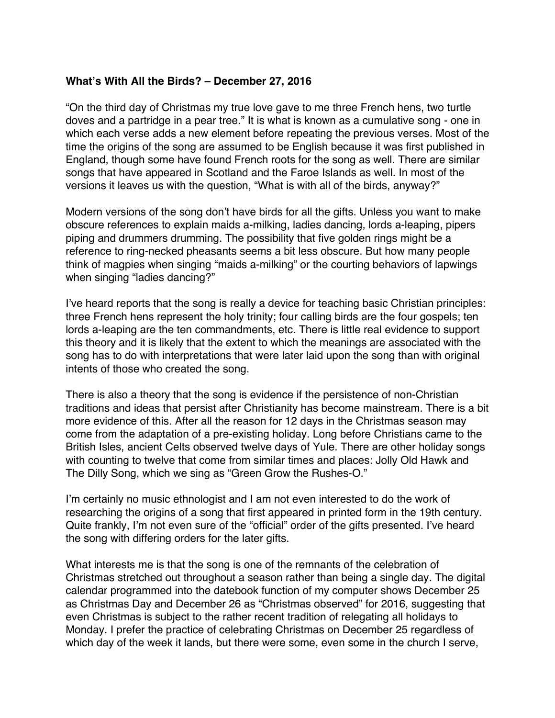# <span id="page-55-0"></span>**What's With All the Birds? – December 27, 2016**

"On the third day of Christmas my true love gave to me three French hens, two turtle doves and a partridge in a pear tree." It is what is known as a cumulative song - one in which each verse adds a new element before repeating the previous verses. Most of the time the origins of the song are assumed to be English because it was first published in England, though some have found French roots for the song as well. There are similar songs that have appeared in Scotland and the Faroe Islands as well. In most of the versions it leaves us with the question, "What is with all of the birds, anyway?"

Modern versions of the song don't have birds for all the gifts. Unless you want to make obscure references to explain maids a-milking, ladies dancing, lords a-leaping, pipers piping and drummers drumming. The possibility that five golden rings might be a reference to ring-necked pheasants seems a bit less obscure. But how many people think of magpies when singing "maids a-milking" or the courting behaviors of lapwings when singing "ladies dancing?"

I've heard reports that the song is really a device for teaching basic Christian principles: three French hens represent the holy trinity; four calling birds are the four gospels; ten lords a-leaping are the ten commandments, etc. There is little real evidence to support this theory and it is likely that the extent to which the meanings are associated with the song has to do with interpretations that were later laid upon the song than with original intents of those who created the song.

There is also a theory that the song is evidence if the persistence of non-Christian traditions and ideas that persist after Christianity has become mainstream. There is a bit more evidence of this. After all the reason for 12 days in the Christmas season may come from the adaptation of a pre-existing holiday. Long before Christians came to the British Isles, ancient Celts observed twelve days of Yule. There are other holiday songs with counting to twelve that come from similar times and places: Jolly Old Hawk and The Dilly Song, which we sing as "Green Grow the Rushes-O."

I'm certainly no music ethnologist and I am not even interested to do the work of researching the origins of a song that first appeared in printed form in the 19th century. Quite frankly, I'm not even sure of the "official" order of the gifts presented. I've heard the song with differing orders for the later gifts.

What interests me is that the song is one of the remnants of the celebration of Christmas stretched out throughout a season rather than being a single day. The digital calendar programmed into the datebook function of my computer shows December 25 as Christmas Day and December 26 as "Christmas observed" for 2016, suggesting that even Christmas is subject to the rather recent tradition of relegating all holidays to Monday. I prefer the practice of celebrating Christmas on December 25 regardless of which day of the week it lands, but there were some, even some in the church I serve,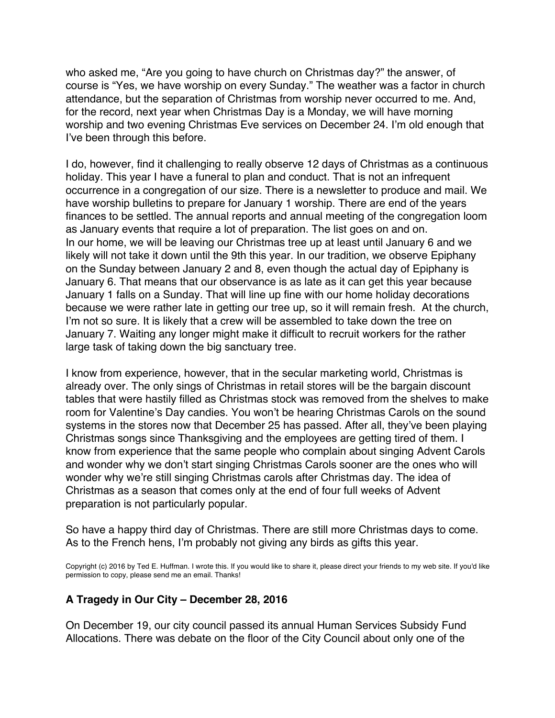who asked me, "Are you going to have church on Christmas day?" the answer, of course is "Yes, we have worship on every Sunday." The weather was a factor in church attendance, but the separation of Christmas from worship never occurred to me. And, for the record, next year when Christmas Day is a Monday, we will have morning worship and two evening Christmas Eve services on December 24. I'm old enough that I've been through this before.

I do, however, find it challenging to really observe 12 days of Christmas as a continuous holiday. This year I have a funeral to plan and conduct. That is not an infrequent occurrence in a congregation of our size. There is a newsletter to produce and mail. We have worship bulletins to prepare for January 1 worship. There are end of the years finances to be settled. The annual reports and annual meeting of the congregation loom as January events that require a lot of preparation. The list goes on and on. In our home, we will be leaving our Christmas tree up at least until January 6 and we likely will not take it down until the 9th this year. In our tradition, we observe Epiphany on the Sunday between January 2 and 8, even though the actual day of Epiphany is January 6. That means that our observance is as late as it can get this year because January 1 falls on a Sunday. That will line up fine with our home holiday decorations because we were rather late in getting our tree up, so it will remain fresh. At the church, I'm not so sure. It is likely that a crew will be assembled to take down the tree on January 7. Waiting any longer might make it difficult to recruit workers for the rather large task of taking down the big sanctuary tree.

I know from experience, however, that in the secular marketing world, Christmas is already over. The only sings of Christmas in retail stores will be the bargain discount tables that were hastily filled as Christmas stock was removed from the shelves to make room for Valentine's Day candies. You won't be hearing Christmas Carols on the sound systems in the stores now that December 25 has passed. After all, they've been playing Christmas songs since Thanksgiving and the employees are getting tired of them. I know from experience that the same people who complain about singing Advent Carols and wonder why we don't start singing Christmas Carols sooner are the ones who will wonder why we're still singing Christmas carols after Christmas day. The idea of Christmas as a season that comes only at the end of four full weeks of Advent preparation is not particularly popular.

So have a happy third day of Christmas. There are still more Christmas days to come. As to the French hens, I'm probably not giving any birds as gifts this year.

Copyright (c) 2016 by Ted E. Huffman. I wrote this. If you would like to share it, please direct your friends to my web site. If you'd like permission to copy, please send me an email. Thanks!

## **A Tragedy in Our City – December 28, 2016**

On December 19, our city council passed its annual Human Services Subsidy Fund Allocations. There was debate on the floor of the City Council about only one of the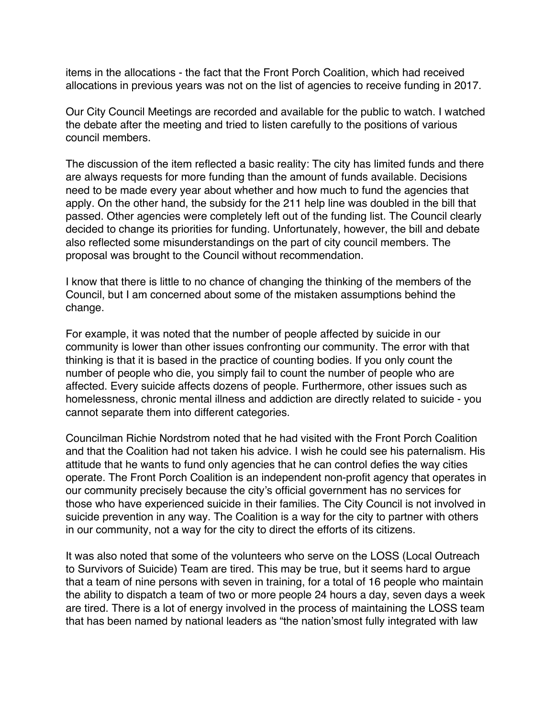<span id="page-57-0"></span>items in the allocations - the fact that the Front Porch Coalition, which had received allocations in previous years was not on the list of agencies to receive funding in 2017.

Our City Council Meetings are recorded and available for the public to watch. I watched the debate after the meeting and tried to listen carefully to the positions of various council members.

The discussion of the item reflected a basic reality: The city has limited funds and there are always requests for more funding than the amount of funds available. Decisions need to be made every year about whether and how much to fund the agencies that apply. On the other hand, the subsidy for the 211 help line was doubled in the bill that passed. Other agencies were completely left out of the funding list. The Council clearly decided to change its priorities for funding. Unfortunately, however, the bill and debate also reflected some misunderstandings on the part of city council members. The proposal was brought to the Council without recommendation.

I know that there is little to no chance of changing the thinking of the members of the Council, but I am concerned about some of the mistaken assumptions behind the change.

For example, it was noted that the number of people affected by suicide in our community is lower than other issues confronting our community. The error with that thinking is that it is based in the practice of counting bodies. If you only count the number of people who die, you simply fail to count the number of people who are affected. Every suicide affects dozens of people. Furthermore, other issues such as homelessness, chronic mental illness and addiction are directly related to suicide - you cannot separate them into different categories.

Councilman Richie Nordstrom noted that he had visited with the Front Porch Coalition and that the Coalition had not taken his advice. I wish he could see his paternalism. His attitude that he wants to fund only agencies that he can control defies the way cities operate. The Front Porch Coalition is an independent non-profit agency that operates in our community precisely because the city's official government has no services for those who have experienced suicide in their families. The City Council is not involved in suicide prevention in any way. The Coalition is a way for the city to partner with others in our community, not a way for the city to direct the efforts of its citizens.

It was also noted that some of the volunteers who serve on the LOSS (Local Outreach to Survivors of Suicide) Team are tired. This may be true, but it seems hard to argue that a team of nine persons with seven in training, for a total of 16 people who maintain the ability to dispatch a team of two or more people 24 hours a day, seven days a week are tired. There is a lot of energy involved in the process of maintaining the LOSS team that has been named by national leaders as "the nation'smost fully integrated with law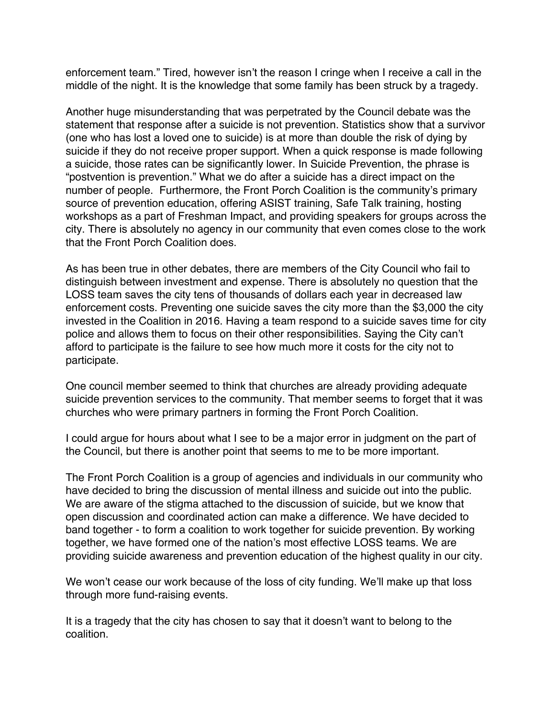enforcement team." Tired, however isn't the reason I cringe when I receive a call in the middle of the night. It is the knowledge that some family has been struck by a tragedy.

Another huge misunderstanding that was perpetrated by the Council debate was the statement that response after a suicide is not prevention. Statistics show that a survivor (one who has lost a loved one to suicide) is at more than double the risk of dying by suicide if they do not receive proper support. When a quick response is made following a suicide, those rates can be significantly lower. In Suicide Prevention, the phrase is "postvention is prevention." What we do after a suicide has a direct impact on the number of people. Furthermore, the Front Porch Coalition is the community's primary source of prevention education, offering ASIST training, Safe Talk training, hosting workshops as a part of Freshman Impact, and providing speakers for groups across the city. There is absolutely no agency in our community that even comes close to the work that the Front Porch Coalition does.

As has been true in other debates, there are members of the City Council who fail to distinguish between investment and expense. There is absolutely no question that the LOSS team saves the city tens of thousands of dollars each year in decreased law enforcement costs. Preventing one suicide saves the city more than the \$3,000 the city invested in the Coalition in 2016. Having a team respond to a suicide saves time for city police and allows them to focus on their other responsibilities. Saying the City can't afford to participate is the failure to see how much more it costs for the city not to participate.

One council member seemed to think that churches are already providing adequate suicide prevention services to the community. That member seems to forget that it was churches who were primary partners in forming the Front Porch Coalition.

I could argue for hours about what I see to be a major error in judgment on the part of the Council, but there is another point that seems to me to be more important.

The Front Porch Coalition is a group of agencies and individuals in our community who have decided to bring the discussion of mental illness and suicide out into the public. We are aware of the stigma attached to the discussion of suicide, but we know that open discussion and coordinated action can make a difference. We have decided to band together - to form a coalition to work together for suicide prevention. By working together, we have formed one of the nation's most effective LOSS teams. We are providing suicide awareness and prevention education of the highest quality in our city.

We won't cease our work because of the loss of city funding. We'll make up that loss through more fund-raising events.

It is a tragedy that the city has chosen to say that it doesn't want to belong to the coalition.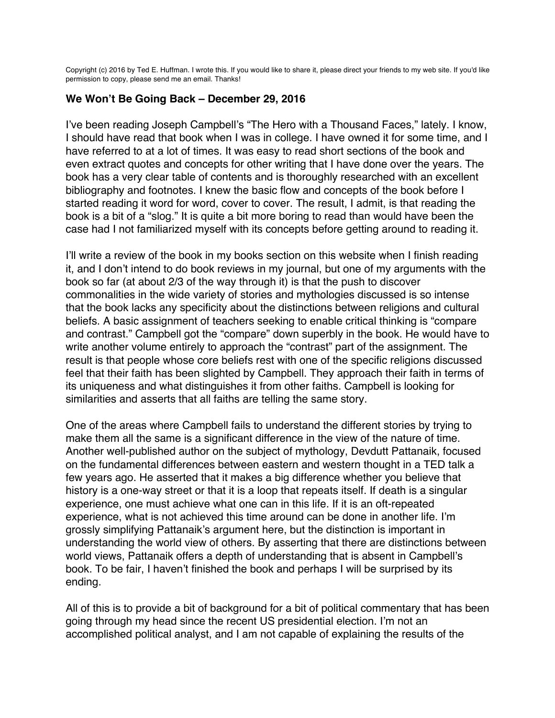<span id="page-59-0"></span>Copyright (c) 2016 by Ted E. Huffman. I wrote this. If you would like to share it, please direct your friends to my web site. If you'd like permission to copy, please send me an email. Thanks!

## **We Won't Be Going Back – December 29, 2016**

I've been reading Joseph Campbell's "The Hero with a Thousand Faces," lately. I know, I should have read that book when I was in college. I have owned it for some time, and I have referred to at a lot of times. It was easy to read short sections of the book and even extract quotes and concepts for other writing that I have done over the years. The book has a very clear table of contents and is thoroughly researched with an excellent bibliography and footnotes. I knew the basic flow and concepts of the book before I started reading it word for word, cover to cover. The result, I admit, is that reading the book is a bit of a "slog." It is quite a bit more boring to read than would have been the case had I not familiarized myself with its concepts before getting around to reading it.

I'll write a review of the book in my books section on this website when I finish reading it, and I don't intend to do book reviews in my journal, but one of my arguments with the book so far (at about 2/3 of the way through it) is that the push to discover commonalities in the wide variety of stories and mythologies discussed is so intense that the book lacks any specificity about the distinctions between religions and cultural beliefs. A basic assignment of teachers seeking to enable critical thinking is "compare and contrast." Campbell got the "compare" down superbly in the book. He would have to write another volume entirely to approach the "contrast" part of the assignment. The result is that people whose core beliefs rest with one of the specific religions discussed feel that their faith has been slighted by Campbell. They approach their faith in terms of its uniqueness and what distinguishes it from other faiths. Campbell is looking for similarities and asserts that all faiths are telling the same story.

One of the areas where Campbell fails to understand the different stories by trying to make them all the same is a significant difference in the view of the nature of time. Another well-published author on the subject of mythology, Devdutt Pattanaik, focused on the fundamental differences between eastern and western thought in a TED talk a few years ago. He asserted that it makes a big difference whether you believe that history is a one-way street or that it is a loop that repeats itself. If death is a singular experience, one must achieve what one can in this life. If it is an oft-repeated experience, what is not achieved this time around can be done in another life. I'm grossly simplifying Pattanaik's argument here, but the distinction is important in understanding the world view of others. By asserting that there are distinctions between world views, Pattanaik offers a depth of understanding that is absent in Campbell's book. To be fair, I haven't finished the book and perhaps I will be surprised by its ending.

All of this is to provide a bit of background for a bit of political commentary that has been going through my head since the recent US presidential election. I'm not an accomplished political analyst, and I am not capable of explaining the results of the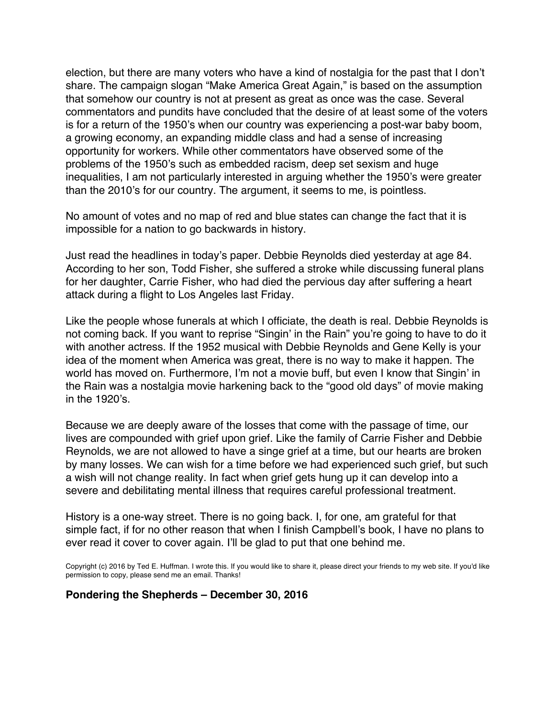election, but there are many voters who have a kind of nostalgia for the past that I don't share. The campaign slogan "Make America Great Again," is based on the assumption that somehow our country is not at present as great as once was the case. Several commentators and pundits have concluded that the desire of at least some of the voters is for a return of the 1950's when our country was experiencing a post-war baby boom, a growing economy, an expanding middle class and had a sense of increasing opportunity for workers. While other commentators have observed some of the problems of the 1950's such as embedded racism, deep set sexism and huge inequalities, I am not particularly interested in arguing whether the 1950's were greater than the 2010's for our country. The argument, it seems to me, is pointless.

No amount of votes and no map of red and blue states can change the fact that it is impossible for a nation to go backwards in history.

Just read the headlines in today's paper. Debbie Reynolds died yesterday at age 84. According to her son, Todd Fisher, she suffered a stroke while discussing funeral plans for her daughter, Carrie Fisher, who had died the pervious day after suffering a heart attack during a flight to Los Angeles last Friday.

Like the people whose funerals at which I officiate, the death is real. Debbie Reynolds is not coming back. If you want to reprise "Singin' in the Rain" you're going to have to do it with another actress. If the 1952 musical with Debbie Reynolds and Gene Kelly is your idea of the moment when America was great, there is no way to make it happen. The world has moved on. Furthermore, I'm not a movie buff, but even I know that Singin' in the Rain was a nostalgia movie harkening back to the "good old days" of movie making in the 1920's.

Because we are deeply aware of the losses that come with the passage of time, our lives are compounded with grief upon grief. Like the family of Carrie Fisher and Debbie Reynolds, we are not allowed to have a singe grief at a time, but our hearts are broken by many losses. We can wish for a time before we had experienced such grief, but such a wish will not change reality. In fact when grief gets hung up it can develop into a severe and debilitating mental illness that requires careful professional treatment.

History is a one-way street. There is no going back. I, for one, am grateful for that simple fact, if for no other reason that when I finish Campbell's book, I have no plans to ever read it cover to cover again. I'll be glad to put that one behind me.

Copyright (c) 2016 by Ted E. Huffman. I wrote this. If you would like to share it, please direct your friends to my web site. If you'd like permission to copy, please send me an email. Thanks!

#### **Pondering the Shepherds – December 30, 2016**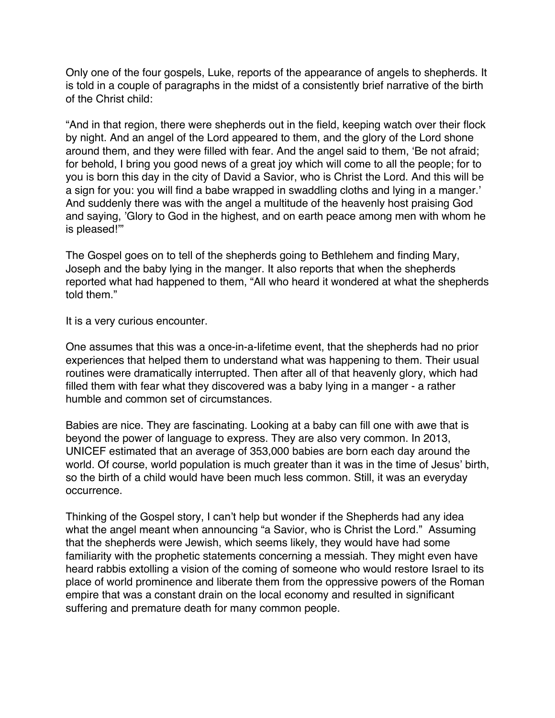<span id="page-61-0"></span>Only one of the four gospels, Luke, reports of the appearance of angels to shepherds. It is told in a couple of paragraphs in the midst of a consistently brief narrative of the birth of the Christ child:

"And in that region, there were shepherds out in the field, keeping watch over their flock by night. And an angel of the Lord appeared to them, and the glory of the Lord shone around them, and they were filled with fear. And the angel said to them, 'Be not afraid; for behold, I bring you good news of a great joy which will come to all the people; for to you is born this day in the city of David a Savior, who is Christ the Lord. And this will be a sign for you: you will find a babe wrapped in swaddling cloths and lying in a manger.' And suddenly there was with the angel a multitude of the heavenly host praising God and saying, 'Glory to God in the highest, and on earth peace among men with whom he is pleased!'"

The Gospel goes on to tell of the shepherds going to Bethlehem and finding Mary, Joseph and the baby lying in the manger. It also reports that when the shepherds reported what had happened to them, "All who heard it wondered at what the shepherds told them."

It is a very curious encounter.

One assumes that this was a once-in-a-lifetime event, that the shepherds had no prior experiences that helped them to understand what was happening to them. Their usual routines were dramatically interrupted. Then after all of that heavenly glory, which had filled them with fear what they discovered was a baby lying in a manger - a rather humble and common set of circumstances.

Babies are nice. They are fascinating. Looking at a baby can fill one with awe that is beyond the power of language to express. They are also very common. In 2013, UNICEF estimated that an average of 353,000 babies are born each day around the world. Of course, world population is much greater than it was in the time of Jesus' birth, so the birth of a child would have been much less common. Still, it was an everyday occurrence.

Thinking of the Gospel story, I can't help but wonder if the Shepherds had any idea what the angel meant when announcing "a Savior, who is Christ the Lord." Assuming that the shepherds were Jewish, which seems likely, they would have had some familiarity with the prophetic statements concerning a messiah. They might even have heard rabbis extolling a vision of the coming of someone who would restore Israel to its place of world prominence and liberate them from the oppressive powers of the Roman empire that was a constant drain on the local economy and resulted in significant suffering and premature death for many common people.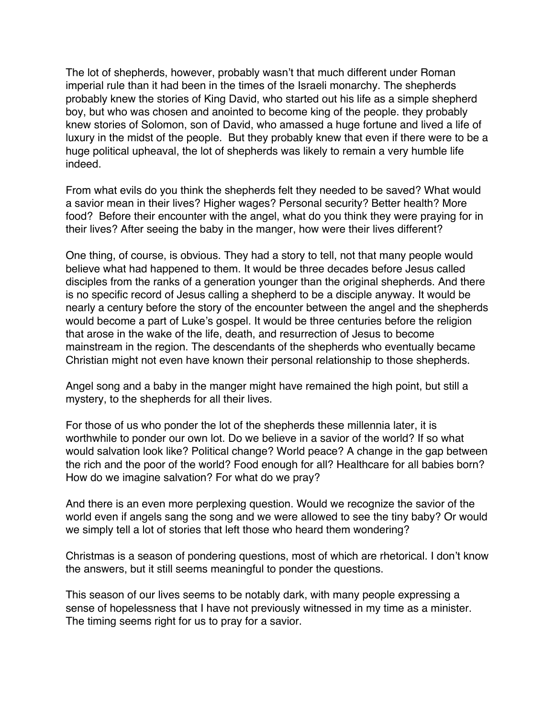The lot of shepherds, however, probably wasn't that much different under Roman imperial rule than it had been in the times of the Israeli monarchy. The shepherds probably knew the stories of King David, who started out his life as a simple shepherd boy, but who was chosen and anointed to become king of the people. they probably knew stories of Solomon, son of David, who amassed a huge fortune and lived a life of luxury in the midst of the people. But they probably knew that even if there were to be a huge political upheaval, the lot of shepherds was likely to remain a very humble life indeed.

From what evils do you think the shepherds felt they needed to be saved? What would a savior mean in their lives? Higher wages? Personal security? Better health? More food? Before their encounter with the angel, what do you think they were praying for in their lives? After seeing the baby in the manger, how were their lives different?

One thing, of course, is obvious. They had a story to tell, not that many people would believe what had happened to them. It would be three decades before Jesus called disciples from the ranks of a generation younger than the original shepherds. And there is no specific record of Jesus calling a shepherd to be a disciple anyway. It would be nearly a century before the story of the encounter between the angel and the shepherds would become a part of Luke's gospel. It would be three centuries before the religion that arose in the wake of the life, death, and resurrection of Jesus to become mainstream in the region. The descendants of the shepherds who eventually became Christian might not even have known their personal relationship to those shepherds.

Angel song and a baby in the manger might have remained the high point, but still a mystery, to the shepherds for all their lives.

For those of us who ponder the lot of the shepherds these millennia later, it is worthwhile to ponder our own lot. Do we believe in a savior of the world? If so what would salvation look like? Political change? World peace? A change in the gap between the rich and the poor of the world? Food enough for all? Healthcare for all babies born? How do we imagine salvation? For what do we pray?

And there is an even more perplexing question. Would we recognize the savior of the world even if angels sang the song and we were allowed to see the tiny baby? Or would we simply tell a lot of stories that left those who heard them wondering?

Christmas is a season of pondering questions, most of which are rhetorical. I don't know the answers, but it still seems meaningful to ponder the questions.

This season of our lives seems to be notably dark, with many people expressing a sense of hopelessness that I have not previously witnessed in my time as a minister. The timing seems right for us to pray for a savior.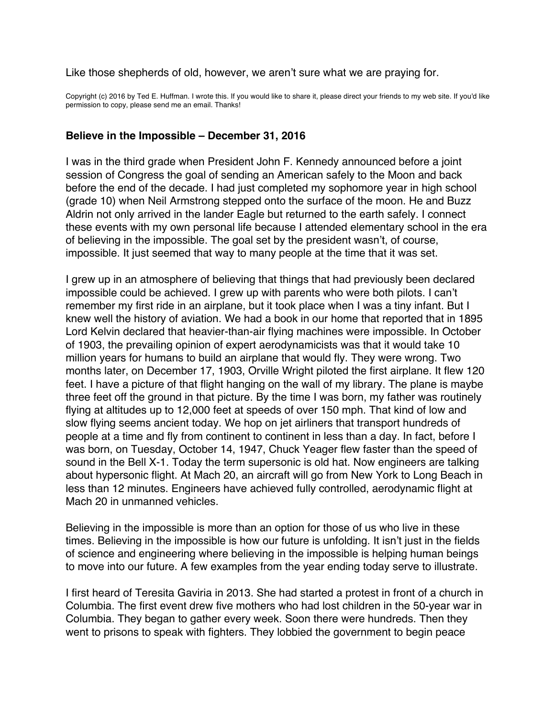<span id="page-63-0"></span>Like those shepherds of old, however, we aren't sure what we are praying for.

Copyright (c) 2016 by Ted E. Huffman. I wrote this. If you would like to share it, please direct your friends to my web site. If you'd like permission to copy, please send me an email. Thanks!

#### **Believe in the Impossible – December 31, 2016**

I was in the third grade when President John F. Kennedy announced before a joint session of Congress the goal of sending an American safely to the Moon and back before the end of the decade. I had just completed my sophomore year in high school (grade 10) when Neil Armstrong stepped onto the surface of the moon. He and Buzz Aldrin not only arrived in the lander Eagle but returned to the earth safely. I connect these events with my own personal life because I attended elementary school in the era of believing in the impossible. The goal set by the president wasn't, of course, impossible. It just seemed that way to many people at the time that it was set.

I grew up in an atmosphere of believing that things that had previously been declared impossible could be achieved. I grew up with parents who were both pilots. I can't remember my first ride in an airplane, but it took place when I was a tiny infant. But I knew well the history of aviation. We had a book in our home that reported that in 1895 Lord Kelvin declared that heavier-than-air flying machines were impossible. In October of 1903, the prevailing opinion of expert aerodynamicists was that it would take 10 million years for humans to build an airplane that would fly. They were wrong. Two months later, on December 17, 1903, Orville Wright piloted the first airplane. It flew 120 feet. I have a picture of that flight hanging on the wall of my library. The plane is maybe three feet off the ground in that picture. By the time I was born, my father was routinely flying at altitudes up to 12,000 feet at speeds of over 150 mph. That kind of low and slow flying seems ancient today. We hop on jet airliners that transport hundreds of people at a time and fly from continent to continent in less than a day. In fact, before I was born, on Tuesday, October 14, 1947, Chuck Yeager flew faster than the speed of sound in the Bell X-1. Today the term supersonic is old hat. Now engineers are talking about hypersonic flight. At Mach 20, an aircraft will go from New York to Long Beach in less than 12 minutes. Engineers have achieved fully controlled, aerodynamic flight at Mach 20 in unmanned vehicles.

Believing in the impossible is more than an option for those of us who live in these times. Believing in the impossible is how our future is unfolding. It isn't just in the fields of science and engineering where believing in the impossible is helping human beings to move into our future. A few examples from the year ending today serve to illustrate.

I first heard of Teresita Gaviria in 2013. She had started a protest in front of a church in Columbia. The first event drew five mothers who had lost children in the 50-year war in Columbia. They began to gather every week. Soon there were hundreds. Then they went to prisons to speak with fighters. They lobbied the government to begin peace